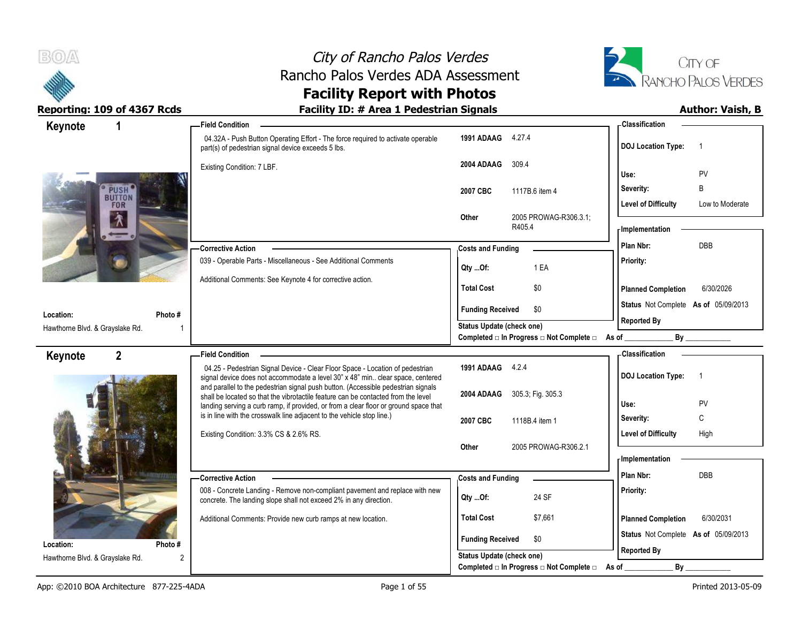



| Keynote                         |                      | <b>Field Condition</b>                                                                                                                                                 |                                     |        |                                                  |           | - Classification           |                                      |
|---------------------------------|----------------------|------------------------------------------------------------------------------------------------------------------------------------------------------------------------|-------------------------------------|--------|--------------------------------------------------|-----------|----------------------------|--------------------------------------|
|                                 |                      | 04.32A - Push Button Operating Effort - The force required to activate operable<br>part(s) of pedestrian signal device exceeds 5 lbs.                                  | 1991 ADAAG 4.27.4                   |        |                                                  |           | <b>DOJ Location Type:</b>  | $\overline{\phantom{0}}$             |
|                                 |                      | Existing Condition: 7 LBF.                                                                                                                                             | 2004 ADAAG                          | 309.4  |                                                  | Use:      |                            | PV                                   |
|                                 | PUSH <sup>®</sup>    |                                                                                                                                                                        | 2007 CBC                            |        | 1117B.6 item 4                                   |           | Severity:                  | B                                    |
|                                 | <b>BUTTON</b><br>FOR |                                                                                                                                                                        |                                     |        |                                                  |           | <b>Level of Difficulty</b> | Low to Moderate                      |
| $\lambda$                       |                      |                                                                                                                                                                        | Other                               | R405.4 | 2005 PROWAG-R306.3.1;                            |           | - Implementation           |                                      |
|                                 |                      | <b>Corrective Action</b>                                                                                                                                               | <b>Costs and Funding</b>            |        |                                                  |           | Plan Nbr:                  | DBB                                  |
|                                 |                      | 039 - Operable Parts - Miscellaneous - See Additional Comments                                                                                                         | Qty Of:                             |        | 1 EA                                             | Priority: |                            |                                      |
|                                 |                      | Additional Comments: See Keynote 4 for corrective action.                                                                                                              | <b>Total Cost</b>                   |        | \$0                                              |           | <b>Planned Completion</b>  | 6/30/2026                            |
| Location:                       | Photo #              |                                                                                                                                                                        | <b>Funding Received</b>             |        | \$0                                              |           |                            | Status Not Complete As of 05/09/2013 |
| Hawthorne Blvd. & Grayslake Rd. |                      |                                                                                                                                                                        | <b>Status Update (check one)</b>    |        |                                                  |           | <b>Reported By</b>         |                                      |
|                                 |                      |                                                                                                                                                                        |                                     |        | Completed □ In Progress □ Not Complete □ As of _ |           |                            | By                                   |
| Keynote                         | $\overline{2}$       | <b>Field Condition</b>                                                                                                                                                 |                                     |        |                                                  |           | - Classification           |                                      |
|                                 |                      | 04.25 - Pedestrian Signal Device - Clear Floor Space - Location of pedestrian<br>signal device does not accommodate a level 30" x 48" min clear space, centered        | 1991 ADAAG 4.2.4                    |        |                                                  |           | <b>DOJ Location Type:</b>  | $\overline{\phantom{0}}$ 1           |
|                                 |                      | and parallel to the pedestrian signal push button. (Accessible pedestrian signals<br>shall be located so that the vibrotactile feature can be contacted from the level | 2004 ADAAG                          |        | 305.3; Fig. 305.3                                |           |                            |                                      |
|                                 |                      | landing serving a curb ramp, if provided, or from a clear floor or ground space that<br>is in line with the crosswalk line adjacent to the vehicle stop line.)         |                                     |        |                                                  | Use:      |                            | <b>PV</b>                            |
|                                 |                      |                                                                                                                                                                        | 2007 CBC                            |        | 1118B.4 item 1                                   |           | Severity:                  | C                                    |
|                                 |                      | Existing Condition: 3.3% CS & 2.6% RS.                                                                                                                                 | Other                               |        | 2005 PROWAG-R306.2.1                             |           | <b>Level of Difficulty</b> | High                                 |
|                                 |                      |                                                                                                                                                                        |                                     |        |                                                  |           | - Implementation           |                                      |
|                                 |                      |                                                                                                                                                                        |                                     |        |                                                  |           | Plan Nbr:                  | DBB                                  |
|                                 |                      | <b>Corrective Action</b>                                                                                                                                               |                                     |        |                                                  |           |                            |                                      |
|                                 |                      | 008 - Concrete Landing - Remove non-compliant pavement and replace with new<br>concrete. The landing slope shall not exceed 2% in any direction.                       | <b>Costs and Funding</b><br>Qty Of: |        | 24 SF                                            | Priority: |                            |                                      |
|                                 |                      | Additional Comments: Provide new curb ramps at new location.                                                                                                           | <b>Total Cost</b>                   |        | \$7,661                                          |           | <b>Planned Completion</b>  | 6/30/2031                            |
| Location:                       | Photo#               |                                                                                                                                                                        | <b>Funding Received</b>             |        | \$0                                              |           |                            | Status Not Complete As of 05/09/2013 |
| Hawthorne Blvd. & Grayslake Rd. | $\overline{2}$       |                                                                                                                                                                        | <b>Status Update (check one)</b>    |        | Completed □ In Progress □ Not Complete □         |           | <b>Reported By</b><br>By   |                                      |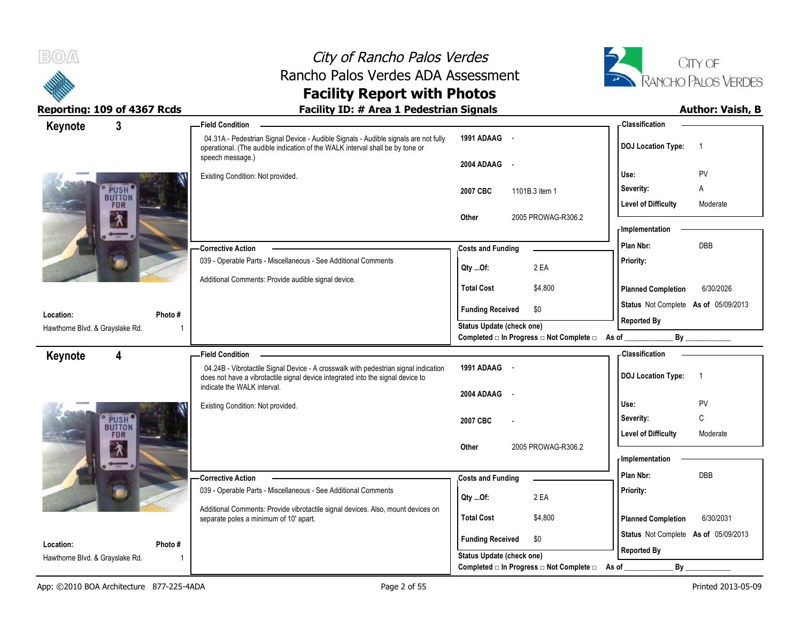



| Keynote                                      | $\overline{3}$                     | <b>Field Condition</b>                                                                                                                                                                   |                                                  | - Classification                            |
|----------------------------------------------|------------------------------------|------------------------------------------------------------------------------------------------------------------------------------------------------------------------------------------|--------------------------------------------------|---------------------------------------------|
|                                              |                                    | 04.31A - Pedestrian Signal Device - Audible Signals - Audible signals are not fully<br>operational. (The audible indication of the WALK interval shall be by tone or<br>speech message.) | 1991 ADAAG -                                     | <b>DOJ Location Type:</b><br>$\overline{1}$ |
|                                              |                                    |                                                                                                                                                                                          | 2004 ADAAG -                                     | Use:<br>PV                                  |
|                                              |                                    | Existing Condition: Not provided.                                                                                                                                                        |                                                  | Α                                           |
|                                              | PUSH <sup>®</sup><br><b>BUTTON</b> |                                                                                                                                                                                          | 2007 CBC<br>1101B.3 item 1                       | Severity:<br>Moderate                       |
|                                              | <b>FOR</b>                         |                                                                                                                                                                                          | 2005 PROWAG-R306.2<br>Other                      | <b>Level of Difficulty</b>                  |
|                                              | $\lambda$                          |                                                                                                                                                                                          |                                                  | - Implementation                            |
|                                              |                                    | <b>Corrective Action</b>                                                                                                                                                                 | <b>Costs and Funding</b>                         | DBB<br>Plan Nbr:                            |
|                                              |                                    | 039 - Operable Parts - Miscellaneous - See Additional Comments                                                                                                                           |                                                  | Priority:                                   |
|                                              |                                    | Additional Comments: Provide audible signal device.                                                                                                                                      | 2 EA<br>Qty Of:                                  |                                             |
|                                              |                                    |                                                                                                                                                                                          | <b>Total Cost</b><br>\$4,800                     | 6/30/2026<br><b>Planned Completion</b>      |
|                                              |                                    |                                                                                                                                                                                          | <b>Funding Received</b><br>\$0                   | Status Not Complete As of 05/09/2013        |
| Location:<br>Hawthorne Blvd. & Grayslake Rd. | Photo#                             |                                                                                                                                                                                          | Status Update (check one)                        | <b>Reported By</b>                          |
|                                              |                                    |                                                                                                                                                                                          | Completed □ In Progress □ Not Complete □ As of _ | By                                          |
| Keynote                                      | 4                                  | <b>Field Condition</b>                                                                                                                                                                   |                                                  | <b>Classification</b>                       |
|                                              |                                    | 04.24B - Vibrotactile Signal Device - A crosswalk with pedestrian signal indication<br>does not have a vibrotactile signal device integrated into the signal device to                   | 1991 ADAAG -                                     | <b>DOJ Location Type:</b><br>$\overline{1}$ |
|                                              |                                    | indicate the WALK interval.                                                                                                                                                              |                                                  |                                             |
|                                              |                                    | Existing Condition: Not provided.                                                                                                                                                        | 2004 ADAAG<br>$\sim$ $-$                         | PV<br>Use:                                  |
|                                              | PUSH <sup>®</sup>                  |                                                                                                                                                                                          | 2007 CBC                                         | C<br>Severity:                              |
|                                              | <b>BUTTON</b><br>FOR               |                                                                                                                                                                                          |                                                  |                                             |
|                                              |                                    |                                                                                                                                                                                          |                                                  | <b>Level of Difficulty</b><br>Moderate      |
|                                              |                                    |                                                                                                                                                                                          | 2005 PROWAG-R306.2<br>Other                      |                                             |
|                                              | $\lambda$                          |                                                                                                                                                                                          |                                                  | - Implementation                            |
|                                              |                                    | <b>Corrective Action</b>                                                                                                                                                                 | <b>Costs and Funding</b>                         | Plan Nbr:<br><b>DBB</b>                     |
|                                              |                                    | 039 - Operable Parts - Miscellaneous - See Additional Comments                                                                                                                           | 2 EA                                             | Priority:                                   |
|                                              |                                    | Additional Comments: Provide vibrotactile signal devices. Also, mount devices on                                                                                                         | Qty Of:                                          |                                             |
|                                              |                                    | separate poles a minimum of 10' apart.                                                                                                                                                   | <b>Total Cost</b><br>\$4,800                     | 6/30/2031<br><b>Planned Completion</b>      |
|                                              |                                    |                                                                                                                                                                                          | <b>Funding Received</b><br>\$0                   | Status Not Complete As of 05/09/2013        |
| Location:<br>Hawthorne Blvd. & Grayslake Rd. | Photo#                             |                                                                                                                                                                                          | Status Update (check one)                        | <b>Reported By</b>                          |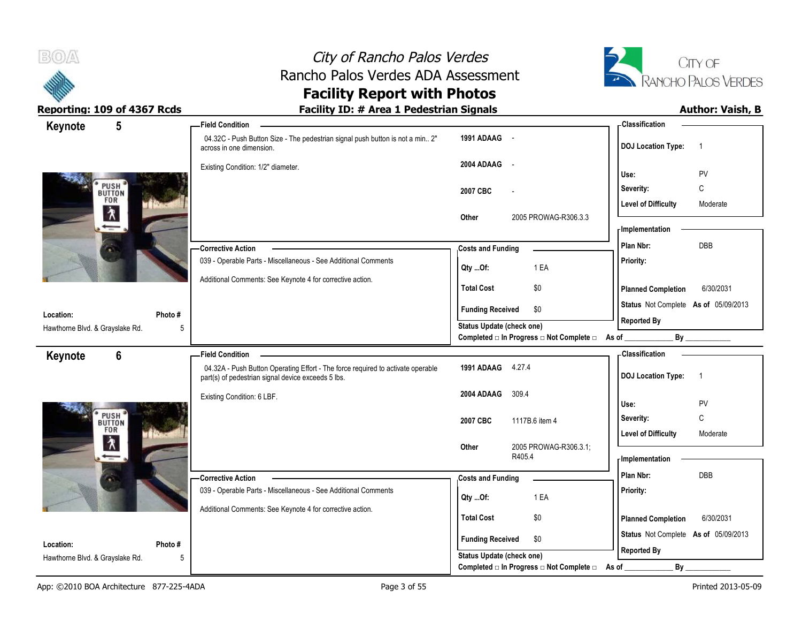



| 5<br>Keynote                                                | -Field Condition                                                                                                                      |                                                                       | - Classification                            |
|-------------------------------------------------------------|---------------------------------------------------------------------------------------------------------------------------------------|-----------------------------------------------------------------------|---------------------------------------------|
|                                                             | 04.32C - Push Button Size - The pedestrian signal push button is not a min 2"<br>across in one dimension.                             | 1991 ADAAG -                                                          | <b>DOJ</b> Location Type:<br>$\overline{1}$ |
|                                                             | Existing Condition: 1/2" diameter.                                                                                                    | 2004 ADAAG<br>$\sim$                                                  | PV<br>Use:                                  |
|                                                             |                                                                                                                                       | 2007 CBC<br>$\overline{a}$                                            | Severity:<br>C                              |
| PUSH <sup>®</sup><br>BUTTON<br>FOR                          |                                                                                                                                       |                                                                       | <b>Level of Difficulty</b><br>Moderate      |
| $\lambda$                                                   |                                                                                                                                       | 2005 PROWAG-R306.3.3<br>Other                                         |                                             |
|                                                             |                                                                                                                                       |                                                                       | - Implementation                            |
|                                                             | <b>Corrective Action</b>                                                                                                              | <b>Costs and Funding</b>                                              | DBB<br>Plan Nbr:                            |
|                                                             | 039 - Operable Parts - Miscellaneous - See Additional Comments                                                                        | 1 EA<br>Qty Of:                                                       | Priority:                                   |
|                                                             | Additional Comments: See Keynote 4 for corrective action.                                                                             | <b>Total Cost</b><br>\$0                                              | <b>Planned Completion</b><br>6/30/2031      |
|                                                             |                                                                                                                                       | <b>Funding Received</b><br>\$0                                        | Status Not Complete As of 05/09/2013        |
| Location:<br>Photo#<br>Hawthorne Blvd. & Grayslake Rd.<br>5 |                                                                                                                                       | Status Update (check one)                                             | <b>Reported By</b>                          |
|                                                             |                                                                                                                                       | Completed □ In Progress □ Not Complete □ As of _                      | By                                          |
|                                                             |                                                                                                                                       |                                                                       |                                             |
| $6\phantom{1}$                                              | <b>Field Condition</b>                                                                                                                |                                                                       | - Classification                            |
| Keynote                                                     | 04.32A - Push Button Operating Effort - The force required to activate operable<br>part(s) of pedestrian signal device exceeds 5 lbs. | 1991 ADAAG 4.27.4                                                     | <b>DOJ</b> Location Type:<br>$\overline{1}$ |
|                                                             | Existing Condition: 6 LBF.                                                                                                            | 2004 ADAAG<br>309.4                                                   |                                             |
|                                                             |                                                                                                                                       |                                                                       | Use:<br>PV                                  |
|                                                             |                                                                                                                                       | 2007 CBC<br>1117B.6 item 4                                            | $\mathsf{C}$<br>Severity:                   |
| PUSH <sup>®</sup><br>BUTTON<br>FOR                          |                                                                                                                                       |                                                                       | <b>Level of Difficulty</b><br>Moderate      |
| $\lambda$                                                   |                                                                                                                                       | 2005 PROWAG-R306.3.1;<br>Other<br>R405.4                              | <b>Implementation</b>                       |
|                                                             | -Corrective Action                                                                                                                    | <b>Costs and Funding</b>                                              | Plan Nbr:<br><b>DBB</b>                     |
|                                                             | 039 - Operable Parts - Miscellaneous - See Additional Comments                                                                        |                                                                       | Priority:                                   |
|                                                             | Additional Comments: See Keynote 4 for corrective action.                                                                             | 1 EA<br>Qty Of:                                                       |                                             |
|                                                             |                                                                                                                                       | <b>Total Cost</b><br>\$0                                              | 6/30/2031<br><b>Planned Completion</b>      |
| Location:                                                   |                                                                                                                                       | <b>Funding Received</b><br>\$0                                        | Status Not Complete As of 05/09/2013        |
| Photo#<br>Hawthorne Blvd. & Grayslake Rd.<br>5              |                                                                                                                                       | Status Update (check one)<br>Completed □ In Progress □ Not Complete □ | <b>Reported By</b><br>By                    |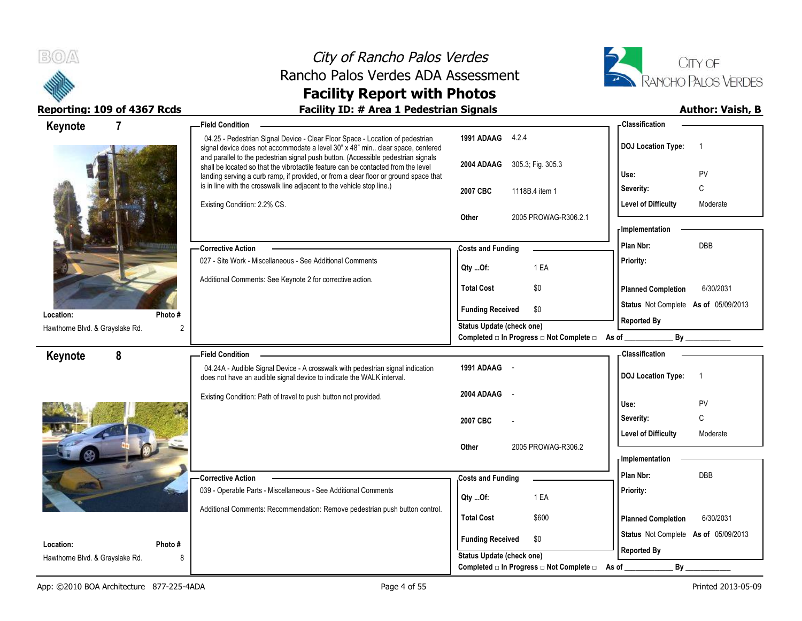



| Keynote                                                      | <b>Field Condition</b>                                                                                                                                                                                                                                         |                                                                    | - Classification                            |
|--------------------------------------------------------------|----------------------------------------------------------------------------------------------------------------------------------------------------------------------------------------------------------------------------------------------------------------|--------------------------------------------------------------------|---------------------------------------------|
|                                                              | 04.25 - Pedestrian Signal Device - Clear Floor Space - Location of pedestrian<br>signal device does not accommodate a level 30" x 48" min clear space, centered                                                                                                | 1991 ADAAG 4.2.4                                                   | <b>DOJ Location Type:</b><br>$\overline{1}$ |
|                                                              | and parallel to the pedestrian signal push button. (Accessible pedestrian signals<br>shall be located so that the vibrotactile feature can be contacted from the level<br>landing serving a curb ramp, if provided, or from a clear floor or ground space that | 2004 ADAAG 305.3, Fig. 305.3                                       | PV<br>Use:                                  |
|                                                              | is in line with the crosswalk line adjacent to the vehicle stop line.)                                                                                                                                                                                         | 2007 CBC<br>1118B.4 item 1                                         | C<br>Severity:                              |
|                                                              | Existing Condition: 2.2% CS.                                                                                                                                                                                                                                   |                                                                    | Level of Difficulty<br>Moderate             |
|                                                              |                                                                                                                                                                                                                                                                | 2005 PROWAG-R306.2.1<br><b>Other</b>                               | - Implementation                            |
|                                                              | <b>Corrective Action</b>                                                                                                                                                                                                                                       | <b>Costs and Funding</b>                                           | Plan Nbr:<br>DBB                            |
|                                                              | 027 - Site Work - Miscellaneous - See Additional Comments                                                                                                                                                                                                      |                                                                    | Priority:                                   |
|                                                              | Additional Comments: See Keynote 2 for corrective action.                                                                                                                                                                                                      | 1 EA<br>Qty Of:                                                    |                                             |
|                                                              |                                                                                                                                                                                                                                                                | <b>Total Cost</b><br>\$0                                           | <b>Planned Completion</b><br>6/30/2031      |
| Photo#<br>Location:                                          |                                                                                                                                                                                                                                                                | <b>Funding Received</b><br>\$0                                     | Status Not Complete As of 05/09/2013        |
| Hawthorne Blvd. & Grayslake Rd.<br>2                         |                                                                                                                                                                                                                                                                | <b>Status Update (check one)</b>                                   | <b>Reported By</b>                          |
|                                                              |                                                                                                                                                                                                                                                                | Completed □ In Progress □ Not Complete □ As of                     |                                             |
| 8<br>Keynote                                                 | <b>Field Condition</b>                                                                                                                                                                                                                                         | 1991 ADAAG -                                                       | - Classification                            |
|                                                              | 04.24A - Audible Signal Device - A crosswalk with pedestrian signal indication<br>does not have an audible signal device to indicate the WALK interval.                                                                                                        |                                                                    | <b>DOJ Location Type:</b><br>$\overline{1}$ |
|                                                              |                                                                                                                                                                                                                                                                |                                                                    |                                             |
|                                                              | Existing Condition: Path of travel to push button not provided.                                                                                                                                                                                                | 2004 ADAAG                                                         |                                             |
|                                                              |                                                                                                                                                                                                                                                                |                                                                    | Use:<br>PV                                  |
|                                                              |                                                                                                                                                                                                                                                                | 2007 CBC                                                           | C<br>Severity:                              |
|                                                              |                                                                                                                                                                                                                                                                | 2005 PROWAG-R306.2<br>Other                                        | <b>Level of Difficulty</b><br>Moderate      |
|                                                              |                                                                                                                                                                                                                                                                |                                                                    | <b>Implementation</b>                       |
|                                                              | <b>Corrective Action</b>                                                                                                                                                                                                                                       | <b>Costs and Funding</b>                                           | Plan Nbr:<br><b>DBB</b>                     |
|                                                              | 039 - Operable Parts - Miscellaneous - See Additional Comments                                                                                                                                                                                                 | Qty Of:<br>1 EA                                                    | Priority:                                   |
|                                                              | Additional Comments: Recommendation: Remove pedestrian push button control.                                                                                                                                                                                    | <b>Total Cost</b><br>\$600                                         | 6/30/2031<br><b>Planned Completion</b>      |
|                                                              |                                                                                                                                                                                                                                                                |                                                                    | Status Not Complete As of 05/09/2013        |
| Location:<br>Photo #<br>Hawthorne Blvd. & Grayslake Rd.<br>8 |                                                                                                                                                                                                                                                                | <b>Funding Received</b><br>\$0<br><b>Status Update (check one)</b> | <b>Reported By</b>                          |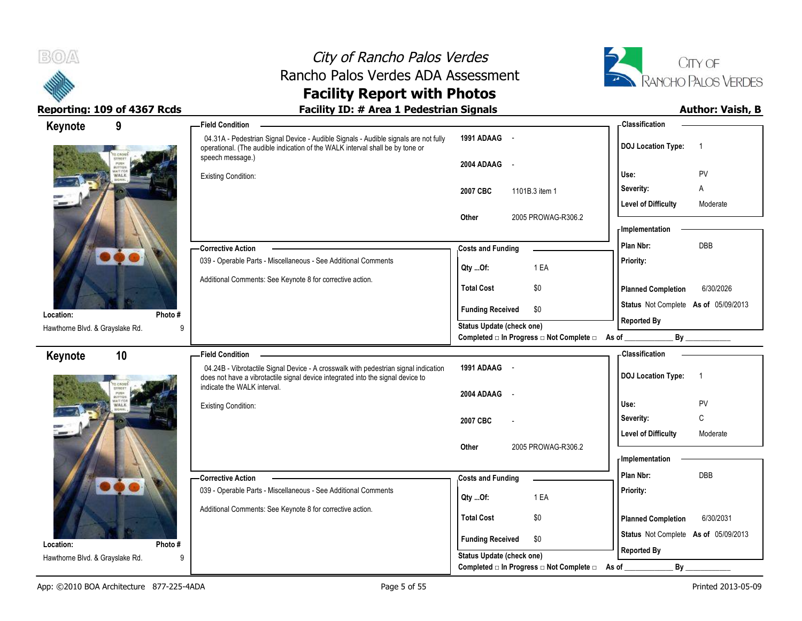



| Reporting: 109 of 4367 Rcds     |         | <b>Facility ID: # Area 1 Pedestrian Signals</b>                                                                                                                                                       |                                                  | <b>Author: Vaish, B</b>                     |
|---------------------------------|---------|-------------------------------------------------------------------------------------------------------------------------------------------------------------------------------------------------------|--------------------------------------------------|---------------------------------------------|
| Keynote                         | 9       | <b>Field Condition</b>                                                                                                                                                                                |                                                  | <b>Classification</b>                       |
|                                 |         | 04.31A - Pedestrian Signal Device - Audible Signals - Audible signals are not fully<br>operational. (The audible indication of the WALK interval shall be by tone or<br>speech message.)              | 1991 ADAAG -<br>2004 ADAAG -                     | <b>DOJ Location Type:</b><br>$\overline{1}$ |
|                                 |         | <b>Existing Condition:</b>                                                                                                                                                                            |                                                  | Use:<br><b>PV</b>                           |
|                                 |         | 2007 CBC<br>1101B.3 item 1                                                                                                                                                                            | Severity:<br>A                                   |                                             |
|                                 |         | 2005 PROWAG-R306.2<br>Other                                                                                                                                                                           | <b>Level of Difficulty</b><br>Moderate           |                                             |
|                                 |         |                                                                                                                                                                                                       |                                                  | - Implementation                            |
|                                 |         | - Corrective Action                                                                                                                                                                                   | <b>Costs and Funding</b>                         | DBB<br>Plan Nbr:                            |
|                                 |         | 039 - Operable Parts - Miscellaneous - See Additional Comments                                                                                                                                        |                                                  | Priority:                                   |
|                                 |         |                                                                                                                                                                                                       | Qty Of:<br>1 EA                                  |                                             |
|                                 |         | Additional Comments: See Keynote 8 for corrective action.                                                                                                                                             | \$0<br><b>Total Cost</b>                         | 6/30/2026<br><b>Planned Completion</b>      |
| Location:                       | Photo # |                                                                                                                                                                                                       | \$0<br><b>Funding Received</b>                   | Status Not Complete As of 05/09/2013        |
| Hawthorne Blvd. & Grayslake Rd. | 9       |                                                                                                                                                                                                       | <b>Status Update (check one)</b>                 | <b>Reported By</b>                          |
|                                 |         |                                                                                                                                                                                                       | Completed □ In Progress □ Not Complete □ As of _ | By                                          |
| Keynote                         | 10      | <b>Field Condition</b>                                                                                                                                                                                |                                                  | <b>Classification</b>                       |
|                                 |         | 04.24B - Vibrotactile Signal Device - A crosswalk with pedestrian signal indication<br>does not have a vibrotactile signal device integrated into the signal device to<br>indicate the WALK interval. | 1991 ADAAG                                       | <b>DOJ Location Type:</b><br>$\overline{1}$ |
|                                 |         |                                                                                                                                                                                                       | 2004 ADAAG                                       |                                             |
|                                 |         | <b>Existing Condition:</b>                                                                                                                                                                            |                                                  | PV<br>Use:                                  |
|                                 |         |                                                                                                                                                                                                       | 2007 CBC                                         | C<br>Severity:                              |
|                                 |         |                                                                                                                                                                                                       |                                                  | <b>Level of Difficulty</b><br>Moderate      |
|                                 |         |                                                                                                                                                                                                       | Other<br>2005 PROWAG-R306.2                      | - Implementation                            |
|                                 |         |                                                                                                                                                                                                       |                                                  | Plan Nbr:<br>DBB                            |
|                                 |         | -Corrective Action<br>039 - Operable Parts - Miscellaneous - See Additional Comments                                                                                                                  | <b>Costs and Funding</b>                         | Priority:                                   |
|                                 |         |                                                                                                                                                                                                       | 1 EA<br>QtyOf:                                   |                                             |
|                                 |         | Additional Comments: See Keynote 8 for corrective action.                                                                                                                                             | \$0<br><b>Total Cost</b>                         | <b>Planned Completion</b><br>6/30/2031      |
|                                 |         |                                                                                                                                                                                                       |                                                  | Status Not Complete As of 05/09/2013        |
| Location:                       | Photo#  |                                                                                                                                                                                                       | <b>Funding Received</b><br>\$0                   | <b>Reported By</b>                          |
| Hawthorne Blvd. & Grayslake Rd. | 9       |                                                                                                                                                                                                       | <b>Status Update (check one)</b>                 |                                             |
|                                 |         |                                                                                                                                                                                                       | Completed □ In Progress □ Not Complete □         | $By_$<br>As of                              |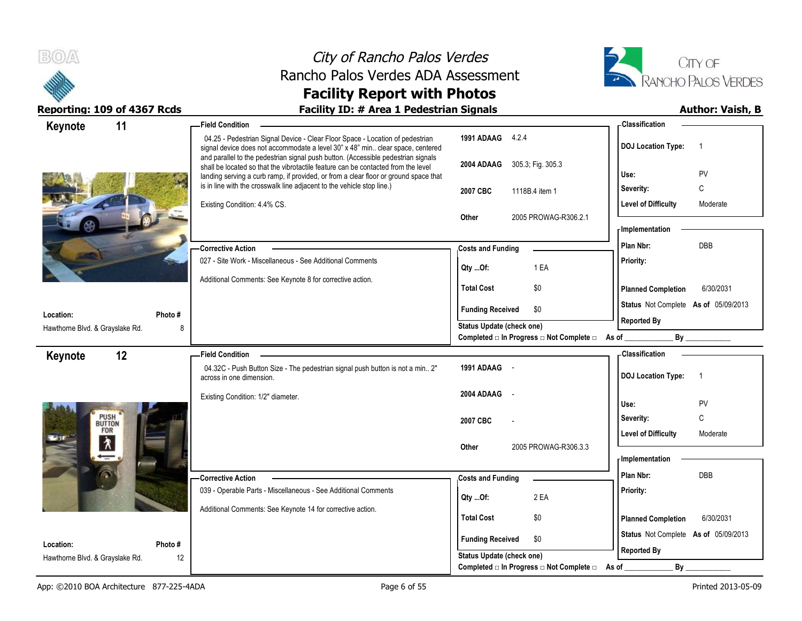



| Keynote<br>11                                                | <b>Field Condition</b>                                                                                                                                                                                                                                         |                                                  | <b>Classification</b>                       |
|--------------------------------------------------------------|----------------------------------------------------------------------------------------------------------------------------------------------------------------------------------------------------------------------------------------------------------------|--------------------------------------------------|---------------------------------------------|
|                                                              | 04.25 - Pedestrian Signal Device - Clear Floor Space - Location of pedestrian<br>signal device does not accommodate a level 30" x 48" min clear space, centered                                                                                                | 1991 ADAAG 4.2.4                                 | <b>DOJ Location Type:</b><br>$\overline{1}$ |
|                                                              | and parallel to the pedestrian signal push button. (Accessible pedestrian signals<br>shall be located so that the vibrotactile feature can be contacted from the level<br>landing serving a curb ramp, if provided, or from a clear floor or ground space that | 2004 ADAAG<br>305.3, Fig. 305.3                  | Use:<br>PV                                  |
|                                                              | is in line with the crosswalk line adjacent to the vehicle stop line.)                                                                                                                                                                                         | 2007 CBC<br>1118B.4 item 1                       | C<br>Severity:                              |
|                                                              | Existing Condition: 4.4% CS.                                                                                                                                                                                                                                   |                                                  | <b>Level of Difficulty</b><br>Moderate      |
|                                                              |                                                                                                                                                                                                                                                                | Other<br>2005 PROWAG-R306.2.1                    |                                             |
|                                                              |                                                                                                                                                                                                                                                                |                                                  | - Implementation                            |
|                                                              | <b>Corrective Action</b>                                                                                                                                                                                                                                       | <b>Costs and Funding</b>                         | DBB<br>Plan Nbr:                            |
|                                                              | 027 - Site Work - Miscellaneous - See Additional Comments                                                                                                                                                                                                      | $Qty$ Of:<br>1 EA                                | Priority:                                   |
|                                                              | Additional Comments: See Keynote 8 for corrective action.                                                                                                                                                                                                      | <b>Total Cost</b><br>\$0                         |                                             |
|                                                              |                                                                                                                                                                                                                                                                |                                                  | <b>Planned Completion</b><br>6/30/2031      |
| Location:<br>Photo#                                          |                                                                                                                                                                                                                                                                | <b>Funding Received</b><br>\$0                   | Status Not Complete As of 05/09/2013        |
| Hawthorne Blvd. & Grayslake Rd.<br>8                         |                                                                                                                                                                                                                                                                | Status Update (check one)                        | <b>Reported By</b>                          |
|                                                              |                                                                                                                                                                                                                                                                | Completed □ In Progress □ Not Complete □ As of _ | By                                          |
|                                                              |                                                                                                                                                                                                                                                                |                                                  |                                             |
| 12<br>Keynote                                                | <b>Field Condition</b>                                                                                                                                                                                                                                         |                                                  | - Classification                            |
|                                                              | 04.32C - Push Button Size - The pedestrian signal push button is not a min 2"<br>across in one dimension.                                                                                                                                                      | 1991 ADAAG -                                     | <b>DOJ</b> Location Type:<br>$\overline{1}$ |
|                                                              | Existing Condition: 1/2" diameter.                                                                                                                                                                                                                             | 2004 ADAAG<br>$\sim$                             |                                             |
|                                                              |                                                                                                                                                                                                                                                                |                                                  | Use:<br>PV                                  |
| PUSH <sup>*</sup>                                            |                                                                                                                                                                                                                                                                | 2007 CBC                                         | C<br>Severity:                              |
| <b>FOR</b>                                                   |                                                                                                                                                                                                                                                                |                                                  | <b>Level of Difficulty</b><br>Moderate      |
| 木                                                            |                                                                                                                                                                                                                                                                | 2005 PROWAG-R306.3.3<br>Other                    | <b>Implementation</b>                       |
|                                                              |                                                                                                                                                                                                                                                                |                                                  | Plan Nbr:<br><b>DBB</b>                     |
|                                                              | -Corrective Action                                                                                                                                                                                                                                             | <b>Costs and Funding</b>                         |                                             |
|                                                              | 039 - Operable Parts - Miscellaneous - See Additional Comments                                                                                                                                                                                                 | 2 EA<br>$Qty$ Of:                                | Priority:                                   |
|                                                              | Additional Comments: See Keynote 14 for corrective action.                                                                                                                                                                                                     | <b>Total Cost</b><br>\$0                         | <b>Planned Completion</b><br>6/30/2031      |
|                                                              |                                                                                                                                                                                                                                                                | <b>Funding Received</b><br>\$0                   | Status Not Complete As of 05/09/2013        |
| Location:<br>Photo#<br>12<br>Hawthorne Blvd. & Grayslake Rd. |                                                                                                                                                                                                                                                                | <b>Status Update (check one)</b>                 | <b>Reported By</b>                          |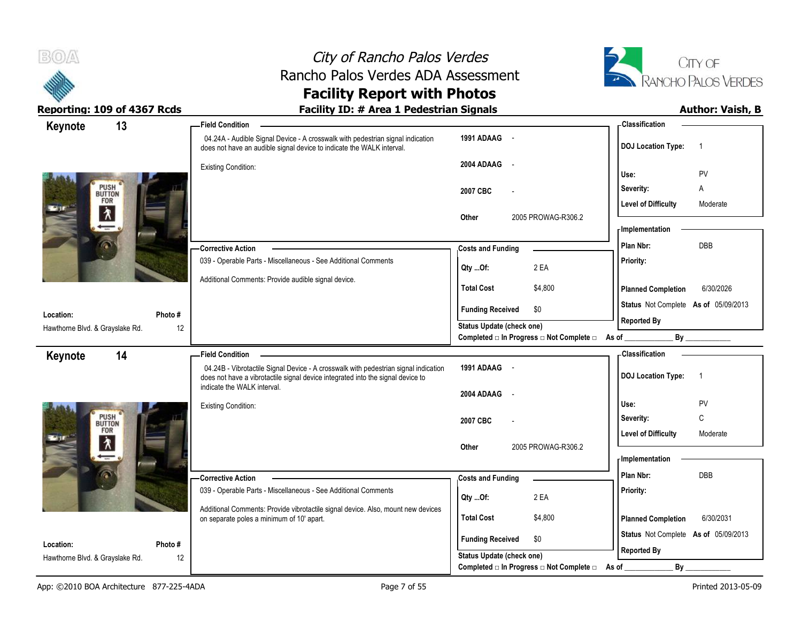



| Keynote                                   | 13     | <b>Field Condition</b>                                                                                                                                                 |                                                                       | <b>Classification</b>                       |
|-------------------------------------------|--------|------------------------------------------------------------------------------------------------------------------------------------------------------------------------|-----------------------------------------------------------------------|---------------------------------------------|
|                                           |        | 04.24A - Audible Signal Device - A crosswalk with pedestrian signal indication<br>does not have an audible signal device to indicate the WALK interval.                | 1991 ADAAG -                                                          | <b>DOJ Location Type:</b><br>$\overline{1}$ |
|                                           |        | <b>Existing Condition:</b>                                                                                                                                             | 2004 ADAAG<br>$\sim$ $\sim$                                           | Use:<br>PV                                  |
| PUSH <sup>®</sup>                         |        |                                                                                                                                                                        |                                                                       | Severity:<br>A                              |
| FOR                                       |        |                                                                                                                                                                        | 2007 CBC                                                              | <b>Level of Difficulty</b><br>Moderate      |
| $\lambda$                                 |        |                                                                                                                                                                        | 2005 PROWAG-R306.2<br>Other                                           | - Implementation                            |
|                                           |        | -Corrective Action                                                                                                                                                     | <b>Costs and Funding</b>                                              | DBB<br>Plan Nbr:                            |
|                                           |        | 039 - Operable Parts - Miscellaneous - See Additional Comments                                                                                                         | 2 EA<br>Qty Of:                                                       | Priority:                                   |
|                                           |        | Additional Comments: Provide audible signal device.                                                                                                                    | <b>Total Cost</b><br>\$4,800                                          | <b>Planned Completion</b><br>6/30/2026      |
| Location:                                 | Photo# |                                                                                                                                                                        | <b>Funding Received</b><br>\$0                                        | Status Not Complete As of 05/09/2013        |
| Hawthorne Blvd. & Grayslake Rd.           | 12     |                                                                                                                                                                        | Status Update (check one)                                             | <b>Reported By</b>                          |
|                                           |        |                                                                                                                                                                        | Completed □ In Progress □ Not Complete □ As of _                      | By                                          |
| Keynote                                   | 14     | <b>Field Condition</b>                                                                                                                                                 |                                                                       | - Classification                            |
|                                           |        | 04.24B - Vibrotactile Signal Device - A crosswalk with pedestrian signal indication<br>does not have a vibrotactile signal device integrated into the signal device to | 1991 ADAAG -                                                          | <b>DOJ</b> Location Type:<br>$\overline{1}$ |
|                                           |        |                                                                                                                                                                        |                                                                       |                                             |
|                                           |        | indicate the WALK interval.                                                                                                                                            | 2004 ADAAG -                                                          |                                             |
|                                           |        | <b>Existing Condition:</b>                                                                                                                                             |                                                                       | PV<br>Use:                                  |
| PUSH <sup>'</sup><br>BUTTON<br><b>FOR</b> |        |                                                                                                                                                                        | 2007 CBC                                                              | C<br>Severity:                              |
|                                           |        |                                                                                                                                                                        |                                                                       | <b>Level of Difficulty</b><br>Moderate      |
| $\frac{1}{\sqrt{2}}$                      |        |                                                                                                                                                                        | 2005 PROWAG-R306.2<br>Other                                           | - Implementation                            |
|                                           |        | -Corrective Action                                                                                                                                                     |                                                                       | DBB<br>Plan Nbr:                            |
|                                           |        | 039 - Operable Parts - Miscellaneous - See Additional Comments                                                                                                         | <b>Costs and Funding</b>                                              | Priority:                                   |
|                                           |        | Additional Comments: Provide vibrotactile signal device. Also, mount new devices                                                                                       | 2 EA<br>Qty Of:                                                       |                                             |
|                                           |        | on separate poles a minimum of 10' apart.                                                                                                                              | <b>Total Cost</b><br>\$4,800                                          | <b>Planned Completion</b><br>6/30/2031      |
| Location:                                 | Photo# |                                                                                                                                                                        | <b>Funding Received</b><br>\$0                                        | Status Not Complete As of 05/09/2013        |
| Hawthorne Blvd. & Grayslake Rd.           | 12     |                                                                                                                                                                        | Status Update (check one)<br>Completed □ In Progress □ Not Complete □ | <b>Reported By</b><br>$By_$<br>As of        |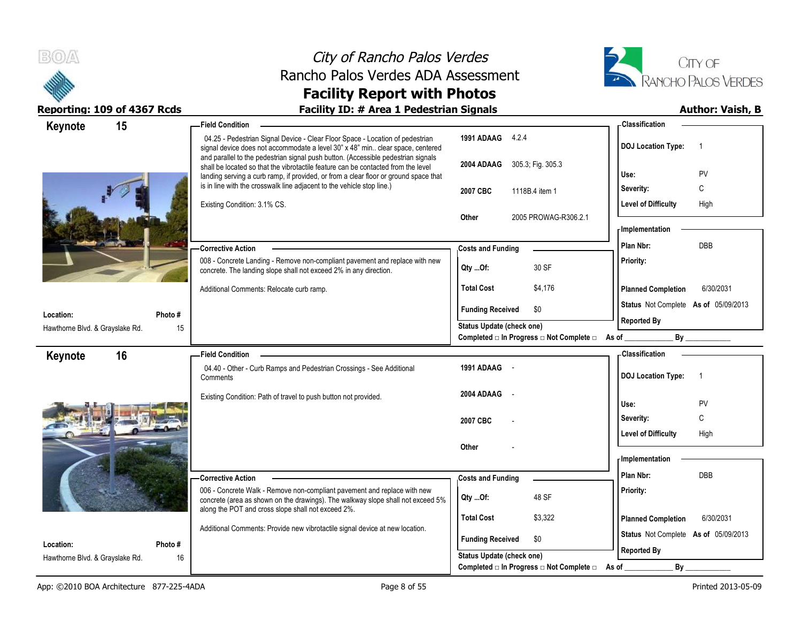



| 15<br>Keynote                                |                                                                        | <b>Field Condition</b>                                                                                                                                                                                                                                         |                                                                    | - Classification                                                                                                                                                                                                                           |
|----------------------------------------------|------------------------------------------------------------------------|----------------------------------------------------------------------------------------------------------------------------------------------------------------------------------------------------------------------------------------------------------------|--------------------------------------------------------------------|--------------------------------------------------------------------------------------------------------------------------------------------------------------------------------------------------------------------------------------------|
|                                              |                                                                        | 04.25 - Pedestrian Signal Device - Clear Floor Space - Location of pedestrian<br>signal device does not accommodate a level 30" x 48" min clear space, centered                                                                                                | 1991 ADAAG 4.2.4                                                   | <b>DOJ Location Type:</b><br>- 1                                                                                                                                                                                                           |
|                                              |                                                                        | and parallel to the pedestrian signal push button. (Accessible pedestrian signals<br>shall be located so that the vibrotactile feature can be contacted from the level<br>landing serving a curb ramp, if provided, or from a clear floor or ground space that | 305.3; Fig. 305.3<br>2004 ADAAG                                    | PV<br>Use:                                                                                                                                                                                                                                 |
|                                              | is in line with the crosswalk line adjacent to the vehicle stop line.) | 2007 CBC<br>1118B.4 item 1                                                                                                                                                                                                                                     | C<br>Severity:                                                     |                                                                                                                                                                                                                                            |
|                                              |                                                                        | Existing Condition: 3.1% CS.                                                                                                                                                                                                                                   |                                                                    | <b>Level of Difficulty</b><br>High                                                                                                                                                                                                         |
|                                              |                                                                        |                                                                                                                                                                                                                                                                | Other<br>2005 PROWAG-R306.2.1                                      |                                                                                                                                                                                                                                            |
|                                              |                                                                        |                                                                                                                                                                                                                                                                |                                                                    | - Implementation                                                                                                                                                                                                                           |
|                                              |                                                                        | <b>Corrective Action</b>                                                                                                                                                                                                                                       | <b>Costs and Funding</b>                                           | <b>DBB</b><br>Plan Nbr:                                                                                                                                                                                                                    |
|                                              |                                                                        | 008 - Concrete Landing - Remove non-compliant pavement and replace with new<br>concrete. The landing slope shall not exceed 2% in any direction.                                                                                                               | 30 SF<br>Qty Of:                                                   | Priority:                                                                                                                                                                                                                                  |
|                                              |                                                                        | Additional Comments: Relocate curb ramp.                                                                                                                                                                                                                       | <b>Total Cost</b><br>\$4,176                                       | <b>Planned Completion</b><br>6/30/2031                                                                                                                                                                                                     |
|                                              |                                                                        |                                                                                                                                                                                                                                                                | <b>Funding Received</b><br>\$0                                     | Status Not Complete As of 05/09/2013                                                                                                                                                                                                       |
| Location:<br>Hawthorne Blvd. & Grayslake Rd. | Photo#<br>15                                                           |                                                                                                                                                                                                                                                                | <b>Status Update (check one)</b>                                   | <b>Reported By</b>                                                                                                                                                                                                                         |
|                                              |                                                                        |                                                                                                                                                                                                                                                                | Completed □ In Progress □ Not Complete □                           | By the contract of the contract of the contract of the contract of the contract of the contract of the contract of the contract of the contract of the contract of the contract of the contract of the contract of the contrac<br>As of __ |
| 16<br>Keynote                                |                                                                        | <b>Field Condition</b>                                                                                                                                                                                                                                         |                                                                    | - Classification                                                                                                                                                                                                                           |
|                                              |                                                                        | 04.40 - Other - Curb Ramps and Pedestrian Crossings - See Additional<br>Comments                                                                                                                                                                               | 1991 ADAAG -                                                       | <b>DOJ Location Type:</b><br>$\overline{1}$                                                                                                                                                                                                |
|                                              |                                                                        | Existing Condition: Path of travel to push button not provided.                                                                                                                                                                                                | 2004 ADAAG                                                         |                                                                                                                                                                                                                                            |
|                                              |                                                                        |                                                                                                                                                                                                                                                                |                                                                    | Use:<br>PV<br>C                                                                                                                                                                                                                            |
|                                              |                                                                        |                                                                                                                                                                                                                                                                | 2007 CBC                                                           | Severity:                                                                                                                                                                                                                                  |
|                                              |                                                                        |                                                                                                                                                                                                                                                                | Other                                                              | <b>Level of Difficulty</b><br>High                                                                                                                                                                                                         |
|                                              |                                                                        |                                                                                                                                                                                                                                                                |                                                                    | <b>Implementation</b>                                                                                                                                                                                                                      |
|                                              |                                                                        | <b>Corrective Action</b>                                                                                                                                                                                                                                       | <b>Costs and Funding</b>                                           | Plan Nbr:<br><b>DBB</b>                                                                                                                                                                                                                    |
|                                              |                                                                        | 006 - Concrete Walk - Remove non-compliant pavement and replace with new<br>concrete (area as shown on the drawings). The walkway slope shall not exceed 5%                                                                                                    | 48 SF<br>QtyOf:                                                    | Priority:                                                                                                                                                                                                                                  |
|                                              |                                                                        |                                                                                                                                                                                                                                                                |                                                                    |                                                                                                                                                                                                                                            |
|                                              |                                                                        | along the POT and cross slope shall not exceed 2%.                                                                                                                                                                                                             | <b>Total Cost</b><br>\$3,322                                       | <b>Planned Completion</b><br>6/30/2031                                                                                                                                                                                                     |
|                                              |                                                                        | Additional Comments: Provide new vibrotactile signal device at new location.                                                                                                                                                                                   |                                                                    | Status Not Complete As of 05/09/2013                                                                                                                                                                                                       |
| Location:<br>Hawthorne Blvd. & Grayslake Rd. | Photo#<br>16                                                           |                                                                                                                                                                                                                                                                | <b>Funding Received</b><br>\$0<br><b>Status Update (check one)</b> | <b>Reported By</b>                                                                                                                                                                                                                         |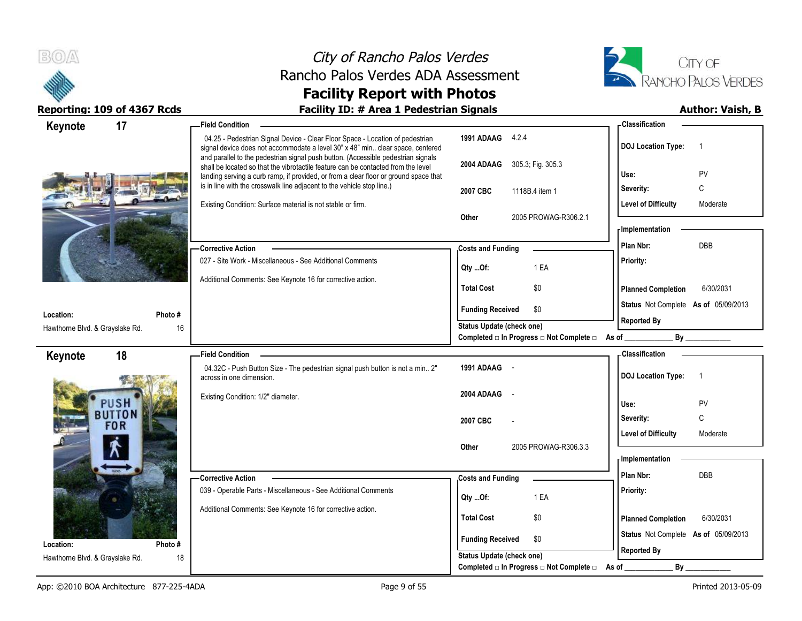



| Keynote                         | 17         | <b>Field Condition</b>                                                                                                                                                                                                                                         |                                                                       | - Classification                            |
|---------------------------------|------------|----------------------------------------------------------------------------------------------------------------------------------------------------------------------------------------------------------------------------------------------------------------|-----------------------------------------------------------------------|---------------------------------------------|
|                                 |            | 04.25 - Pedestrian Signal Device - Clear Floor Space - Location of pedestrian<br>signal device does not accommodate a level 30" x 48" min clear space, centered                                                                                                | 1991 ADAAG 4.2.4                                                      | <b>DOJ Location Type:</b><br>$\overline{1}$ |
|                                 |            | and parallel to the pedestrian signal push button. (Accessible pedestrian signals<br>shall be located so that the vibrotactile feature can be contacted from the level<br>landing serving a curb ramp, if provided, or from a clear floor or ground space that | 2004 ADAAG 305.3, Fig. 305.3                                          | PV<br>Use:                                  |
|                                 |            | is in line with the crosswalk line adjacent to the vehicle stop line.)                                                                                                                                                                                         | 2007 CBC<br>1118B.4 item 1                                            | C<br>Severity:                              |
|                                 |            | Existing Condition: Surface material is not stable or firm.                                                                                                                                                                                                    |                                                                       | <b>Level of Difficulty</b><br>Moderate      |
|                                 |            |                                                                                                                                                                                                                                                                | 2005 PROWAG-R306.2.1<br>Other                                         |                                             |
|                                 |            |                                                                                                                                                                                                                                                                |                                                                       | - Implementation                            |
|                                 |            | <b>Corrective Action</b>                                                                                                                                                                                                                                       | <b>Costs and Funding</b>                                              | <b>DBB</b><br>Plan Nbr:                     |
|                                 |            | 027 - Site Work - Miscellaneous - See Additional Comments                                                                                                                                                                                                      | 1 EA                                                                  | Priority:                                   |
|                                 |            | Additional Comments: See Keynote 16 for corrective action.                                                                                                                                                                                                     | Qty Of:                                                               |                                             |
|                                 |            |                                                                                                                                                                                                                                                                | <b>Total Cost</b><br>\$0                                              | <b>Planned Completion</b><br>6/30/2031      |
| Location:                       | Photo #    |                                                                                                                                                                                                                                                                | <b>Funding Received</b><br>\$0                                        | Status Not Complete As of 05/09/2013        |
| Hawthorne Blvd. & Grayslake Rd. | 16         |                                                                                                                                                                                                                                                                | Status Update (check one)                                             | <b>Reported By</b>                          |
|                                 |            |                                                                                                                                                                                                                                                                | Completed □ In Progress □ Not Complete □ As of _                      | By                                          |
| Keynote                         | 18         | <b>Field Condition</b>                                                                                                                                                                                                                                         |                                                                       | - Classification                            |
|                                 |            | 04.32C - Push Button Size - The pedestrian signal push button is not a min 2"<br>across in one dimension.                                                                                                                                                      | 1991 ADAAG -                                                          | <b>DOJ Location Type:</b><br>$\overline{1}$ |
|                                 |            |                                                                                                                                                                                                                                                                |                                                                       |                                             |
|                                 |            |                                                                                                                                                                                                                                                                |                                                                       |                                             |
|                                 | PUSH       | Existing Condition: 1/2" diameter.                                                                                                                                                                                                                             | 2004 ADAAG                                                            | Use:<br>PV                                  |
|                                 | BUTTON     |                                                                                                                                                                                                                                                                | 2007 CBC                                                              | C<br>Severity:                              |
|                                 | <b>FOR</b> |                                                                                                                                                                                                                                                                |                                                                       | <b>Level of Difficulty</b><br>Moderate      |
|                                 |            |                                                                                                                                                                                                                                                                | 2005 PROWAG-R306.3.3<br>Other                                         |                                             |
|                                 |            |                                                                                                                                                                                                                                                                |                                                                       | - Implementation                            |
|                                 |            | <b>Corrective Action</b>                                                                                                                                                                                                                                       | <b>Costs and Funding</b>                                              | Plan Nbr:<br>DBB                            |
|                                 |            | 039 - Operable Parts - Miscellaneous - See Additional Comments                                                                                                                                                                                                 | 1 EA<br>Qty Of:                                                       | Priority:                                   |
|                                 |            | Additional Comments: See Keynote 16 for corrective action.                                                                                                                                                                                                     |                                                                       |                                             |
|                                 |            |                                                                                                                                                                                                                                                                | <b>Total Cost</b><br>\$0                                              | <b>Planned Completion</b><br>6/30/2031      |
| Location:                       | Photo#     |                                                                                                                                                                                                                                                                | <b>Funding Received</b><br>\$0                                        | Status Not Complete As of 05/09/2013        |
| Hawthorne Blvd. & Grayslake Rd. | 18         |                                                                                                                                                                                                                                                                | Status Update (check one)<br>Completed □ In Progress □ Not Complete □ | <b>Reported By</b><br>By<br>As of           |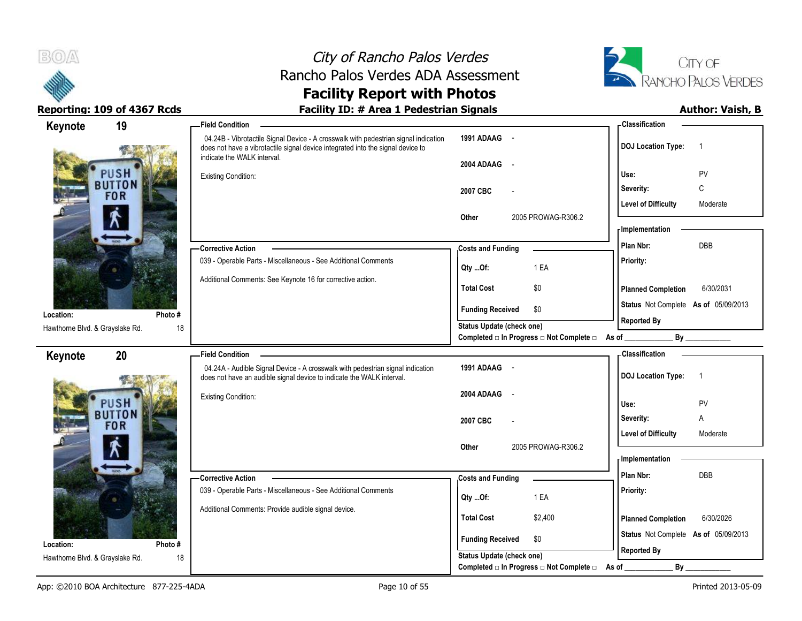



| Keynote                                      | 19                    | -Field Condition                                                                                                                                                                                      |                                                                                      | - Classification                                           |
|----------------------------------------------|-----------------------|-------------------------------------------------------------------------------------------------------------------------------------------------------------------------------------------------------|--------------------------------------------------------------------------------------|------------------------------------------------------------|
|                                              |                       | 04.24B - Vibrotactile Signal Device - A crosswalk with pedestrian signal indication<br>does not have a vibrotactile signal device integrated into the signal device to<br>indicate the WALK interval. | 1991 ADAAG -<br>2004 ADAAG<br>$\sim$                                                 | <b>DOJ Location Type:</b><br>$\overline{1}$                |
|                                              | PUSH<br><b>BUTTON</b> | <b>Existing Condition:</b>                                                                                                                                                                            |                                                                                      | PV<br>Use:                                                 |
|                                              | <b>FOR</b>            |                                                                                                                                                                                                       | 2007 CBC                                                                             | C<br>Severity:                                             |
|                                              |                       |                                                                                                                                                                                                       | 2005 PROWAG-R306.2<br>Other                                                          | <b>Level of Difficulty</b><br>Moderate<br>- Implementation |
|                                              |                       |                                                                                                                                                                                                       |                                                                                      |                                                            |
|                                              |                       | <b>Corrective Action</b>                                                                                                                                                                              | <b>Costs and Funding</b>                                                             | <b>DBB</b><br>Plan Nbr:                                    |
|                                              |                       | 039 - Operable Parts - Miscellaneous - See Additional Comments<br>Additional Comments: See Keynote 16 for corrective action.                                                                          | 1 EA<br>Qty Of:                                                                      | Priority:                                                  |
|                                              |                       |                                                                                                                                                                                                       | <b>Total Cost</b><br>\$0                                                             | <b>Planned Completion</b><br>6/30/2031                     |
| Location:                                    | Photo#                |                                                                                                                                                                                                       | <b>Funding Received</b><br>\$0                                                       | Status Not Complete As of 05/09/2013                       |
| Hawthorne Blvd. & Grayslake Rd.              | 18                    |                                                                                                                                                                                                       | <b>Status Update (check one)</b><br>Completed □ In Progress □ Not Complete □ As of _ | <b>Reported By</b><br>By                                   |
| Keynote                                      | 20                    | <b>Field Condition</b>                                                                                                                                                                                |                                                                                      | - Classification                                           |
|                                              |                       |                                                                                                                                                                                                       |                                                                                      |                                                            |
|                                              |                       | 04.24A - Audible Signal Device - A crosswalk with pedestrian signal indication<br>does not have an audible signal device to indicate the WALK interval.                                               | 1991 ADAAG -                                                                         | <b>DOJ Location Type:</b><br>$\overline{1}$                |
|                                              | PUSH                  | <b>Existing Condition:</b>                                                                                                                                                                            | 2004 ADAAG                                                                           | Use:<br>PV                                                 |
|                                              | <b>BUTTON</b>         |                                                                                                                                                                                                       | 2007 CBC                                                                             | Α<br>Severity:                                             |
|                                              | <b>FOR</b>            |                                                                                                                                                                                                       |                                                                                      | <b>Level of Difficulty</b><br>Moderate                     |
|                                              |                       |                                                                                                                                                                                                       | 2005 PROWAG-R306.2<br>Other                                                          |                                                            |
|                                              |                       |                                                                                                                                                                                                       |                                                                                      | - Implementation                                           |
|                                              |                       | <b>Corrective Action</b>                                                                                                                                                                              | <b>Costs and Funding</b>                                                             | Plan Nbr:<br>DBB                                           |
|                                              |                       | 039 - Operable Parts - Miscellaneous - See Additional Comments                                                                                                                                        | 1 EA<br>Qty Of:                                                                      | Priority:                                                  |
|                                              |                       | Additional Comments: Provide audible signal device.                                                                                                                                                   | <b>Total Cost</b><br>\$2,400                                                         | <b>Planned Completion</b><br>6/30/2026                     |
|                                              |                       |                                                                                                                                                                                                       | <b>Funding Received</b><br>\$0                                                       | Status Not Complete As of 05/09/2013                       |
| Location:<br>Hawthorne Blvd. & Grayslake Rd. | Photo#<br>18          |                                                                                                                                                                                                       | Status Update (check one)                                                            | <b>Reported By</b>                                         |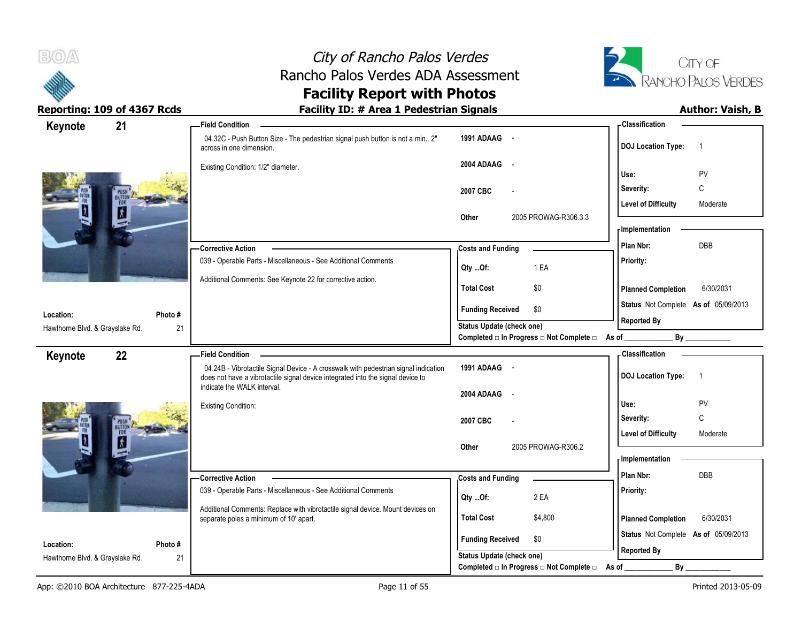



| Keynote                         | 21      | <b>Field Condition</b>                                                                                                                                                 |                                                                             | - Classification                            |
|---------------------------------|---------|------------------------------------------------------------------------------------------------------------------------------------------------------------------------|-----------------------------------------------------------------------------|---------------------------------------------|
|                                 |         | 04.32C - Push Button Size - The pedestrian signal push button is not a min 2"<br>across in one dimension.                                                              | 1991 ADAAG -                                                                | <b>DOJ Location Type:</b><br>$\overline{1}$ |
|                                 |         | Existing Condition: 1/2" diameter.                                                                                                                                     | 2004 ADAAG<br>$\sim$                                                        | PV<br>Use:                                  |
|                                 |         |                                                                                                                                                                        | 2007 CBC                                                                    | С<br>Severity:                              |
|                                 |         |                                                                                                                                                                        |                                                                             | <b>Level of Difficulty</b><br>Moderate      |
|                                 |         |                                                                                                                                                                        | Other<br>2005 PROWAG-R306.3.3                                               | - Implementation                            |
|                                 |         | Corrective Action                                                                                                                                                      | <b>Costs and Funding</b>                                                    | DBB<br>Plan Nbr:                            |
|                                 |         | 039 - Operable Parts - Miscellaneous - See Additional Comments                                                                                                         | 1 EA<br>Qty Of:                                                             | Priority:                                   |
|                                 |         | Additional Comments: See Keynote 22 for corrective action.                                                                                                             | <b>Total Cost</b><br>\$0                                                    | <b>Planned Completion</b><br>6/30/2031      |
| Location:                       | Photo#  |                                                                                                                                                                        | \$0<br><b>Funding Received</b>                                              | Status Not Complete As of 05/09/2013        |
| Hawthorne Blvd. & Grayslake Rd. | 21      |                                                                                                                                                                        | Status Update (check one)<br>Completed □ In Progress □ Not Complete □ As of | <b>Reported By</b><br>By                    |
| Keynote                         | 22      | <b>Field Condition</b>                                                                                                                                                 |                                                                             | <b>Classification</b>                       |
|                                 |         | 04.24B - Vibrotactile Signal Device - A crosswalk with pedestrian signal indication<br>does not have a vibrotactile signal device integrated into the signal device to | 1991 ADAAG -                                                                | <b>DOJ Location Type:</b><br>$\overline{1}$ |
|                                 |         | indicate the WALK interval.                                                                                                                                            | 2004 ADAAG<br>$\sim$ $-$                                                    |                                             |
|                                 |         | <b>Existing Condition:</b>                                                                                                                                             |                                                                             | PV<br>Use:<br>$\mathsf C$<br>Severity:      |
|                                 |         |                                                                                                                                                                        | 2007 CBC                                                                    | <b>Level of Difficulty</b><br>Moderate      |
|                                 |         |                                                                                                                                                                        |                                                                             |                                             |
|                                 |         |                                                                                                                                                                        | 2005 PROWAG-R306.2<br>Other                                                 |                                             |
|                                 |         |                                                                                                                                                                        |                                                                             | <b>Implementation</b>                       |
|                                 |         | - Corrective Action                                                                                                                                                    | <b>Costs and Funding</b>                                                    | Plan Nbr:<br>DBB                            |
|                                 |         | 039 - Operable Parts - Miscellaneous - See Additional Comments                                                                                                         | 2 EA<br>Qty Of:                                                             | Priority:                                   |
|                                 |         | Additional Comments: Replace with vibrotactile signal device. Mount devices on<br>separate poles a minimum of 10' apart.                                               | <b>Total Cost</b><br>\$4,800                                                | <b>Planned Completion</b><br>6/30/2031      |
| Location:                       | Photo # |                                                                                                                                                                        | <b>Funding Received</b><br>\$0                                              | Status Not Complete As of 05/09/2013        |
| Hawthorne Blvd. & Grayslake Rd. | 21      |                                                                                                                                                                        | Status Update (check one)<br>Completed □ In Progress □ Not Complete □       | <b>Reported By</b><br>By<br>As of           |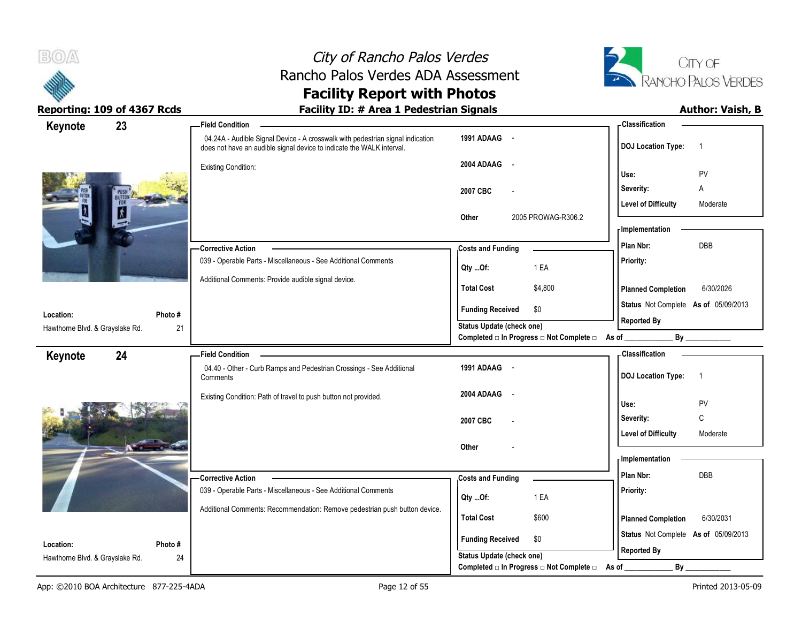



| Keynote                         | 23     | <b>Field Condition</b>                                                                                                                                  |                                                | - Classification                            |
|---------------------------------|--------|---------------------------------------------------------------------------------------------------------------------------------------------------------|------------------------------------------------|---------------------------------------------|
|                                 |        | 04.24A - Audible Signal Device - A crosswalk with pedestrian signal indication<br>does not have an audible signal device to indicate the WALK interval. | 1991 ADAAG -                                   | <b>DOJ</b> Location Type:<br>$\overline{1}$ |
|                                 |        | <b>Existing Condition:</b>                                                                                                                              | 2004 ADAAG<br>$\sim$                           |                                             |
|                                 |        |                                                                                                                                                         | PV<br>Use:                                     |                                             |
|                                 |        | 2007 CBC                                                                                                                                                | Severity:<br>Α                                 |                                             |
|                                 |        |                                                                                                                                                         |                                                | <b>Level of Difficulty</b><br>Moderate      |
|                                 |        |                                                                                                                                                         | 2005 PROWAG-R306.2<br>Other                    | <b>Implementation</b>                       |
|                                 |        |                                                                                                                                                         | DBB<br>Plan Nbr:                               |                                             |
|                                 |        | -Corrective Action                                                                                                                                      | <b>Costs and Funding</b>                       |                                             |
|                                 |        | 039 - Operable Parts - Miscellaneous - See Additional Comments                                                                                          | 1 EA<br>Qty Of:                                | Priority:                                   |
|                                 |        | Additional Comments: Provide audible signal device.                                                                                                     | <b>Total Cost</b><br>\$4,800                   | <b>Planned Completion</b><br>6/30/2026      |
|                                 |        |                                                                                                                                                         | <b>Funding Received</b><br>\$0                 | Status Not Complete As of 05/09/2013        |
| Location:                       | Photo# |                                                                                                                                                         | Status Update (check one)                      | <b>Reported By</b>                          |
| Hawthorne Blvd. & Grayslake Rd. | 21     |                                                                                                                                                         | Completed □ In Progress □ Not Complete □ As of | By                                          |
| Keynote                         | 24     | <b>Field Condition</b>                                                                                                                                  |                                                | - Classification                            |
|                                 |        | 04.40 - Other - Curb Ramps and Pedestrian Crossings - See Additional<br>Comments                                                                        | 1991 ADAAG -                                   | <b>DOJ Location Type:</b><br>$\overline{1}$ |
|                                 |        | Existing Condition: Path of travel to push button not provided.                                                                                         | 2004 ADAAG<br>$\overline{\phantom{a}}$         |                                             |
|                                 |        |                                                                                                                                                         |                                                | Use:<br>PV                                  |
|                                 |        |                                                                                                                                                         | 2007 CBC                                       | $\mathsf{C}$<br>Severity:                   |
|                                 |        |                                                                                                                                                         |                                                | <b>Level of Difficulty</b><br>Moderate      |
|                                 |        |                                                                                                                                                         | Other                                          | - Implementation                            |
|                                 |        |                                                                                                                                                         |                                                |                                             |
|                                 |        | - Corrective Action                                                                                                                                     | <b>Costs and Funding</b>                       | DBB<br>Plan Nbr:                            |
|                                 |        | 039 - Operable Parts - Miscellaneous - See Additional Comments                                                                                          | Qty Of:<br>1 EA                                | Priority:                                   |
|                                 |        | Additional Comments: Recommendation: Remove pedestrian push button device.                                                                              | <b>Total Cost</b><br>\$600                     | 6/30/2031<br><b>Planned Completion</b>      |
|                                 |        |                                                                                                                                                         |                                                |                                             |
| Location:                       | Photo# |                                                                                                                                                         | <b>Funding Received</b><br>\$0                 | Status Not Complete As of 05/09/2013        |
| Hawthorne Blvd. & Grayslake Rd. | 24     |                                                                                                                                                         | <b>Status Update (check one)</b>               | <b>Reported By</b>                          |
|                                 |        |                                                                                                                                                         | Completed □ In Progress □ Not Complete □       | $By_$<br>As of                              |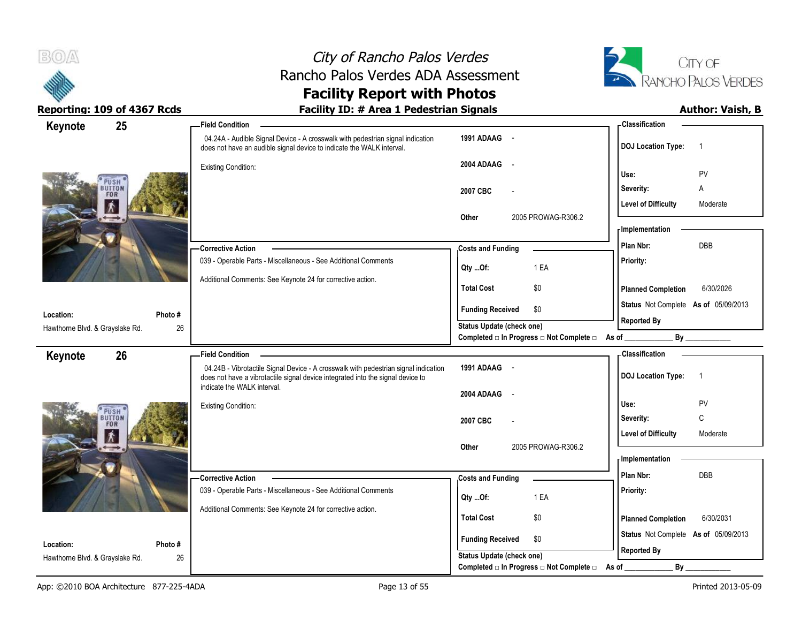



| Keynote                                      | 25            | - Field Condition                                                                                                                                                      |                                                                               | - Classification                            |
|----------------------------------------------|---------------|------------------------------------------------------------------------------------------------------------------------------------------------------------------------|-------------------------------------------------------------------------------|---------------------------------------------|
|                                              |               | 04.24A - Audible Signal Device - A crosswalk with pedestrian signal indication<br>does not have an audible signal device to indicate the WALK interval.                | 1991 ADAAG -                                                                  | <b>DOJ Location Type:</b><br>$\overline{1}$ |
|                                              |               | <b>Existing Condition:</b>                                                                                                                                             | 2004 ADAAG<br>$\sim$                                                          | PV<br>Use:                                  |
| PUSH                                         | UTTON         |                                                                                                                                                                        | 2007 CBC                                                                      | Severity:<br>Α                              |
| <b>FOR</b>                                   |               |                                                                                                                                                                        |                                                                               | <b>Level of Difficulty</b><br>Moderate      |
|                                              |               |                                                                                                                                                                        | 2005 PROWAG-R306.2<br>Other                                                   | <b>Implementation</b>                       |
|                                              |               | -Corrective Action                                                                                                                                                     | <b>Costs and Funding</b>                                                      | Plan Nbr:<br>DBB                            |
|                                              |               | 039 - Operable Parts - Miscellaneous - See Additional Comments                                                                                                         | 1 EA<br>Qty Of:                                                               | Priority:                                   |
|                                              |               | Additional Comments: See Keynote 24 for corrective action.                                                                                                             | <b>Total Cost</b><br>\$0                                                      | 6/30/2026<br><b>Planned Completion</b>      |
| Location:                                    | Photo#        |                                                                                                                                                                        | <b>Funding Received</b><br>\$0                                                | Status Not Complete As of 05/09/2013        |
| Hawthorne Blvd. & Grayslake Rd.              | 26            |                                                                                                                                                                        | Status Update (check one)<br>Completed □ In Progress □ Not Complete □ As of _ | <b>Reported By</b>                          |
| Keynote                                      | 26            | <b>Field Condition</b>                                                                                                                                                 |                                                                               | <b>Classification</b>                       |
|                                              |               |                                                                                                                                                                        |                                                                               |                                             |
|                                              |               | 04.24B - Vibrotactile Signal Device - A crosswalk with pedestrian signal indication<br>does not have a vibrotactile signal device integrated into the signal device to | 1991 ADAAG -                                                                  | <b>DOJ Location Type:</b><br>$\overline{1}$ |
|                                              |               | indicate the WALK interval.                                                                                                                                            | 2004 ADAAG<br>$\sim$ $\sim$                                                   |                                             |
| PUSH                                         |               | <b>Existing Condition:</b>                                                                                                                                             |                                                                               | PV<br>Use:                                  |
| <b>UTTON</b><br><b>FOR</b>                   |               |                                                                                                                                                                        | 2007 CBC                                                                      | $\mathsf{C}$<br>Severity:                   |
|                                              |               |                                                                                                                                                                        | 2005 PROWAG-R306.2<br>Other                                                   | <b>Level of Difficulty</b><br>Moderate      |
|                                              |               |                                                                                                                                                                        |                                                                               | <b>Implementation</b>                       |
|                                              |               | -Corrective Action                                                                                                                                                     | <b>Costs and Funding</b>                                                      | Plan Nbr:<br>DBB                            |
|                                              |               | 039 - Operable Parts - Miscellaneous - See Additional Comments                                                                                                         | 1 EA<br>Qty Of:                                                               | Priority:                                   |
|                                              |               | Additional Comments: See Keynote 24 for corrective action.                                                                                                             | <b>Total Cost</b><br>\$0                                                      | <b>Planned Completion</b><br>6/30/2031      |
|                                              |               |                                                                                                                                                                        | <b>Funding Received</b><br>\$0                                                | Status Not Complete As of 05/09/2013        |
| Location:<br>Hawthorne Blvd. & Grayslake Rd. | Photo #<br>26 |                                                                                                                                                                        | <b>Status Update (check one)</b>                                              | <b>Reported By</b><br>By                    |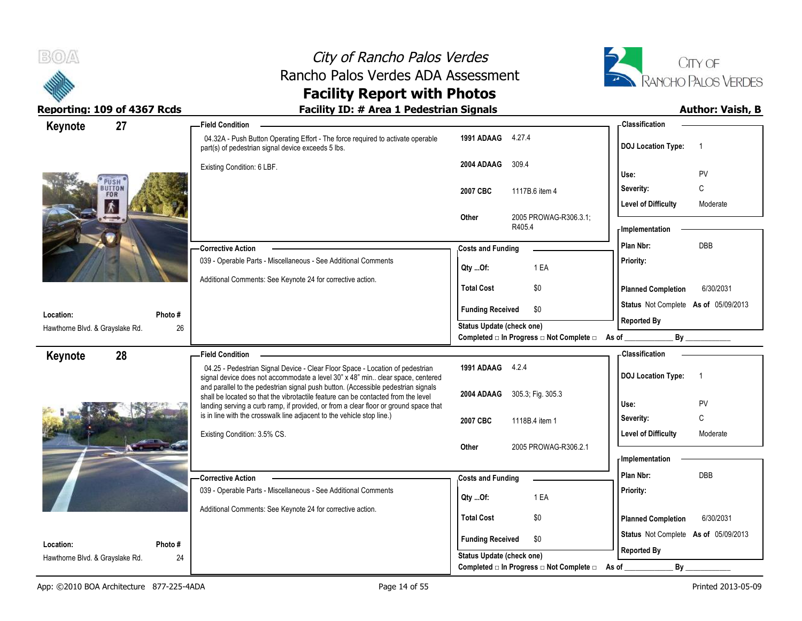



## **Facility Report with Photos**

| 27<br>Keynote                   | -Field Condition                                                                                                                                                       |                                                                       | - Classification                            |
|---------------------------------|------------------------------------------------------------------------------------------------------------------------------------------------------------------------|-----------------------------------------------------------------------|---------------------------------------------|
|                                 | 04.32A - Push Button Operating Effort - The force required to activate operable<br>part(s) of pedestrian signal device exceeds 5 lbs.                                  | 1991 ADAAG 4.27.4                                                     | <b>DOJ Location Type:</b><br>$\overline{1}$ |
|                                 | Existing Condition: 6 LBF.                                                                                                                                             | 2004 ADAAG<br>309.4                                                   | PV<br>Use:                                  |
| PUS⊩<br>UTTON<br><b>FOR</b>     |                                                                                                                                                                        | 2007 CBC<br>1117B.6 item 4                                            | С<br>Severity:                              |
|                                 |                                                                                                                                                                        |                                                                       | <b>Level of Difficulty</b><br>Moderate      |
|                                 |                                                                                                                                                                        | Other<br>2005 PROWAG-R306.3.1<br>R405.4                               | - Implementation                            |
|                                 | -Corrective Action                                                                                                                                                     | <b>Costs and Funding</b>                                              | <b>DBB</b><br>Plan Nbr:                     |
|                                 | 039 - Operable Parts - Miscellaneous - See Additional Comments                                                                                                         | 1 EA<br>Qty Of:                                                       | Priority:                                   |
|                                 | Additional Comments: See Keynote 24 for corrective action.                                                                                                             | <b>Total Cost</b><br>\$0                                              | <b>Planned Completion</b><br>6/30/2031      |
| Location:<br>Photo #            |                                                                                                                                                                        | <b>Funding Received</b><br>\$0                                        | Status Not Complete As of 05/09/2013        |
| Hawthorne Blvd. & Grayslake Rd. | 26                                                                                                                                                                     | <b>Status Update (check one)</b>                                      | <b>Reported By</b>                          |
|                                 |                                                                                                                                                                        | Completed $\Box$ In Progress $\Box$ Not Complete $\Box$ As of _       | By                                          |
| 28<br>Keynote                   | <b>Field Condition</b>                                                                                                                                                 |                                                                       | <b>Classification</b>                       |
|                                 | 04.25 - Pedestrian Signal Device - Clear Floor Space - Location of pedestrian<br>signal device does not accommodate a level 30" x 48" min clear space, centered        | 1991 ADAAG 4.2.4                                                      | <b>DOJ Location Type:</b><br>$\overline{1}$ |
|                                 | and parallel to the pedestrian signal push button. (Accessible pedestrian signals<br>shall be located so that the vibrotactile feature can be contacted from the level | 2004 ADAAG<br>305.3, Fig. 305.3                                       |                                             |
|                                 | landing serving a curb ramp, if provided, or from a clear floor or ground space that<br>is in line with the crosswalk line adjacent to the vehicle stop line.)         |                                                                       | Use:<br>PV                                  |
|                                 |                                                                                                                                                                        |                                                                       |                                             |
|                                 |                                                                                                                                                                        | 2007 CBC<br>1118B.4 item 1                                            | C<br>Severity:                              |
|                                 | Existing Condition: 3.5% CS.                                                                                                                                           |                                                                       | <b>Level of Difficulty</b><br>Moderate      |
|                                 |                                                                                                                                                                        | 2005 PROWAG-R306.2.1<br>Other                                         | - Implementation                            |
|                                 | <b>Corrective Action</b>                                                                                                                                               |                                                                       | Plan Nbr:<br>DBB                            |
|                                 | 039 - Operable Parts - Miscellaneous - See Additional Comments                                                                                                         | <b>Costs and Funding</b>                                              | Priority:                                   |
|                                 | Additional Comments: See Keynote 24 for corrective action.                                                                                                             | 1 EA<br>Qty Of:                                                       |                                             |
|                                 |                                                                                                                                                                        | <b>Total Cost</b><br>\$0                                              | 6/30/2031<br><b>Planned Completion</b>      |
| Location:<br>Photo#             |                                                                                                                                                                        | <b>Funding Received</b><br>\$0                                        | Status Not Complete As of 05/09/2013        |
| Hawthorne Blvd. & Grayslake Rd. | 24                                                                                                                                                                     | Status Update (check one)<br>Completed □ In Progress □ Not Complete □ | <b>Reported By</b><br>$By_$<br>As of        |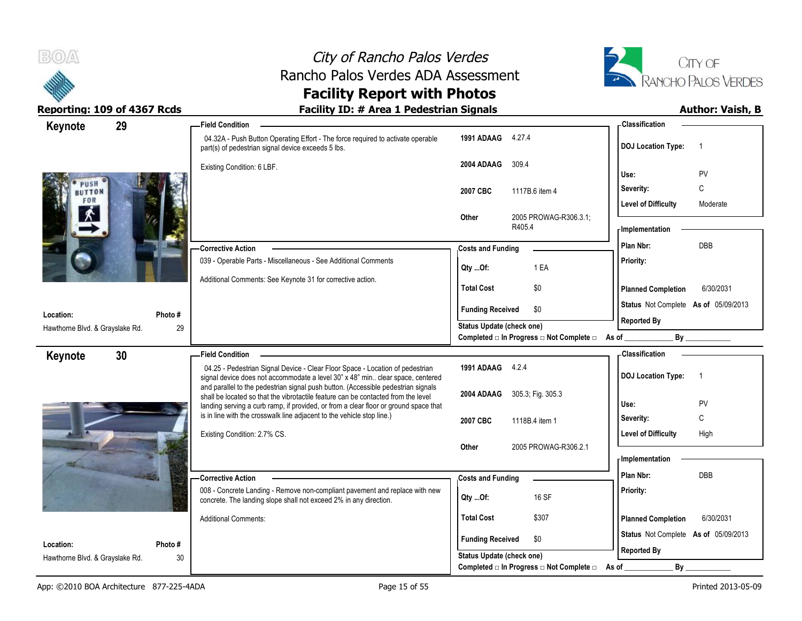



| Keynote                                      | 29            | -Field Condition                                                                                                                                                          |                                                  | - Classification                            |
|----------------------------------------------|---------------|---------------------------------------------------------------------------------------------------------------------------------------------------------------------------|--------------------------------------------------|---------------------------------------------|
|                                              |               | 04.32A - Push Button Operating Effort - The force required to activate operable<br>part(s) of pedestrian signal device exceeds 5 lbs.                                     | 1991 ADAAG 4.27.4                                | <b>DOJ Location Type:</b><br>$\overline{1}$ |
|                                              |               | Existing Condition: 6 LBF.                                                                                                                                                | 2004 ADAAG<br>309.4                              | PV<br>Use:                                  |
| PUSH<br><b>BUTTON</b>                        |               |                                                                                                                                                                           | 2007 CBC<br>1117B.6 item 4                       | C<br>Severity:                              |
| FOR                                          |               |                                                                                                                                                                           |                                                  | <b>Level of Difficulty</b><br>Moderate      |
|                                              |               |                                                                                                                                                                           | 2005 PROWAG-R306.3.1;<br>Other<br>R405.4         | - Implementation                            |
|                                              |               | <b>Corrective Action</b>                                                                                                                                                  | <b>Costs and Funding</b>                         | <b>DBB</b><br>Plan Nbr:                     |
|                                              |               | 039 - Operable Parts - Miscellaneous - See Additional Comments                                                                                                            | 1 EA<br>Qty Of:                                  | Priority:                                   |
|                                              |               | Additional Comments: See Keynote 31 for corrective action.                                                                                                                | <b>Total Cost</b><br>\$0                         | 6/30/2031<br><b>Planned Completion</b>      |
|                                              |               |                                                                                                                                                                           | <b>Funding Received</b><br>\$0                   | Status Not Complete As of 05/09/2013        |
| Location:<br>Hawthorne Blvd. & Grayslake Rd. | Photo #<br>29 |                                                                                                                                                                           | Status Update (check one)                        | <b>Reported By</b>                          |
|                                              |               |                                                                                                                                                                           | Completed □ In Progress □ Not Complete □ As of _ | By                                          |
| Keynote                                      | 30            | <b>Field Condition</b>                                                                                                                                                    |                                                  | - Classification                            |
|                                              |               | 04.25 - Pedestrian Signal Device - Clear Floor Space - Location of pedestrian<br>signal device does not accommodate a level 30" x 48" min clear space, centered           | 1991 ADAAG 4.2.4                                 | <b>DOJ Location Type:</b><br>$\overline{1}$ |
|                                              |               | and parallel to the pedestrian signal push button. (Accessible pedestrian signals                                                                                         | 2004 ADAAG<br>305.3; Fig. 305.3                  |                                             |
|                                              |               | shall be located so that the vibrotactile feature can be contacted from the level<br>landing serving a curb ramp, if provided, or from a clear floor or ground space that |                                                  | Use:<br>PV                                  |
|                                              |               | is in line with the crosswalk line adjacent to the vehicle stop line.)                                                                                                    | 2007 CBC<br>1118B.4 item 1                       | C<br>Severity:                              |
|                                              |               |                                                                                                                                                                           |                                                  |                                             |
|                                              |               | Existing Condition: 2.7% CS.                                                                                                                                              |                                                  | <b>Level of Difficulty</b><br>High          |
|                                              |               |                                                                                                                                                                           | 2005 PROWAG-R306.2.1<br>Other                    |                                             |
|                                              |               |                                                                                                                                                                           |                                                  | - Implementation                            |
|                                              |               | - Corrective Action<br>008 - Concrete Landing - Remove non-compliant pavement and replace with new                                                                        | <b>Costs and Funding</b>                         | Plan Nbr:<br>DBB<br>Priority:               |
|                                              |               | concrete. The landing slope shall not exceed 2% in any direction.                                                                                                         | 16 SF<br>Qty Of:                                 |                                             |
|                                              |               | <b>Additional Comments:</b>                                                                                                                                               | <b>Total Cost</b><br>\$307                       | <b>Planned Completion</b><br>6/30/2031      |
| Location:                                    | Photo #       |                                                                                                                                                                           | <b>Funding Received</b><br>\$0                   | Status Not Complete As of 05/09/2013        |
| Hawthorne Blvd. & Grayslake Rd.              | 30            |                                                                                                                                                                           | Status Update (check one)                        | <b>Reported By</b>                          |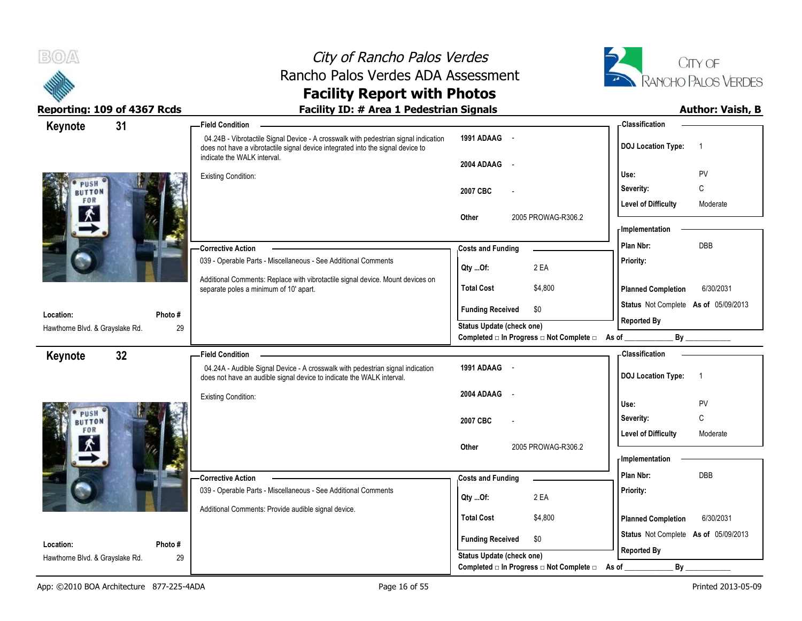



| Keynote                         | 31      | - Field Condition                                                                                                                                                                                     |                                                               | - Classification                            |
|---------------------------------|---------|-------------------------------------------------------------------------------------------------------------------------------------------------------------------------------------------------------|---------------------------------------------------------------|---------------------------------------------|
|                                 |         | 04.24B - Vibrotactile Signal Device - A crosswalk with pedestrian signal indication<br>does not have a vibrotactile signal device integrated into the signal device to<br>indicate the WALK interval. | 1991 ADAAG -                                                  | <b>DOJ Location Type:</b><br>$\overline{1}$ |
|                                 |         |                                                                                                                                                                                                       | 2004 ADAAG -                                                  |                                             |
| PUSH                            |         | <b>Existing Condition:</b>                                                                                                                                                                            |                                                               | PV<br>Use:                                  |
| <b>BUTTON</b>                   |         |                                                                                                                                                                                                       | 2007 CBC                                                      | C<br>Severity:                              |
| FOR                             |         |                                                                                                                                                                                                       |                                                               | <b>Level of Difficulty</b><br>Moderate      |
|                                 |         |                                                                                                                                                                                                       | 2005 PROWAG-R306.2<br>Other                                   | <b>Implementation</b>                       |
|                                 |         |                                                                                                                                                                                                       |                                                               |                                             |
|                                 |         | - Corrective Action                                                                                                                                                                                   | <b>Costs and Funding</b>                                      | DBB<br>Plan Nbr:                            |
|                                 |         | 039 - Operable Parts - Miscellaneous - See Additional Comments                                                                                                                                        | Qty Of:<br>2 EA                                               | Priority:                                   |
|                                 |         | Additional Comments: Replace with vibrotactile signal device. Mount devices on<br>separate poles a minimum of 10' apart.                                                                              | <b>Total Cost</b><br>\$4,800                                  | <b>Planned Completion</b><br>6/30/2031      |
|                                 |         |                                                                                                                                                                                                       |                                                               | Status Not Complete As of 05/09/2013        |
| Location:                       | Photo # |                                                                                                                                                                                                       | \$0<br><b>Funding Received</b>                                | <b>Reported By</b>                          |
| Hawthorne Blvd. & Grayslake Rd. | 29      |                                                                                                                                                                                                       | Status Update (check one)                                     |                                             |
|                                 |         |                                                                                                                                                                                                       | Completed a In Progress and Complete and As of $\blacksquare$ | By                                          |
| Keynote                         | 32      | -Field Condition                                                                                                                                                                                      |                                                               | - Classification                            |
|                                 |         | 04.24A - Audible Signal Device - A crosswalk with pedestrian signal indication<br>does not have an audible signal device to indicate the WALK interval.                                               | 1991 ADAAG -                                                  | <b>DOJ Location Type:</b><br>$\overline{1}$ |
|                                 |         | <b>Existing Condition:</b>                                                                                                                                                                            | 2004 ADAAG<br>$\sim$                                          |                                             |
| PUSH                            |         |                                                                                                                                                                                                       |                                                               | PV<br>Use:                                  |
| <b>BUTTON</b>                   |         |                                                                                                                                                                                                       | 2007 CBC                                                      | $\mathsf{C}$<br>Severity:                   |
| FOR                             |         |                                                                                                                                                                                                       |                                                               | <b>Level of Difficulty</b><br>Moderate      |
|                                 |         |                                                                                                                                                                                                       | 2005 PROWAG-R306.2<br>Other                                   | - Implementation                            |
|                                 |         |                                                                                                                                                                                                       |                                                               |                                             |
|                                 |         | - Corrective Action                                                                                                                                                                                   | <b>Costs and Funding</b>                                      | DBB<br>Plan Nbr:                            |
|                                 |         | 039 - Operable Parts - Miscellaneous - See Additional Comments                                                                                                                                        | 2 EA<br>Qty Of:                                               | Priority:                                   |
|                                 |         | Additional Comments: Provide audible signal device.                                                                                                                                                   | <b>Total Cost</b><br>\$4,800                                  |                                             |
|                                 |         |                                                                                                                                                                                                       |                                                               | <b>Planned Completion</b><br>6/30/2031      |
| Location:                       | Photo#  |                                                                                                                                                                                                       | <b>Funding Received</b><br>\$0                                | Status Not Complete As of 05/09/2013        |
| Hawthorne Blvd. & Grayslake Rd. | 29      |                                                                                                                                                                                                       | Status Update (check one)                                     | <b>Reported By</b>                          |
|                                 |         |                                                                                                                                                                                                       | Completed □ In Progress □ Not Complete □                      | By<br>As of                                 |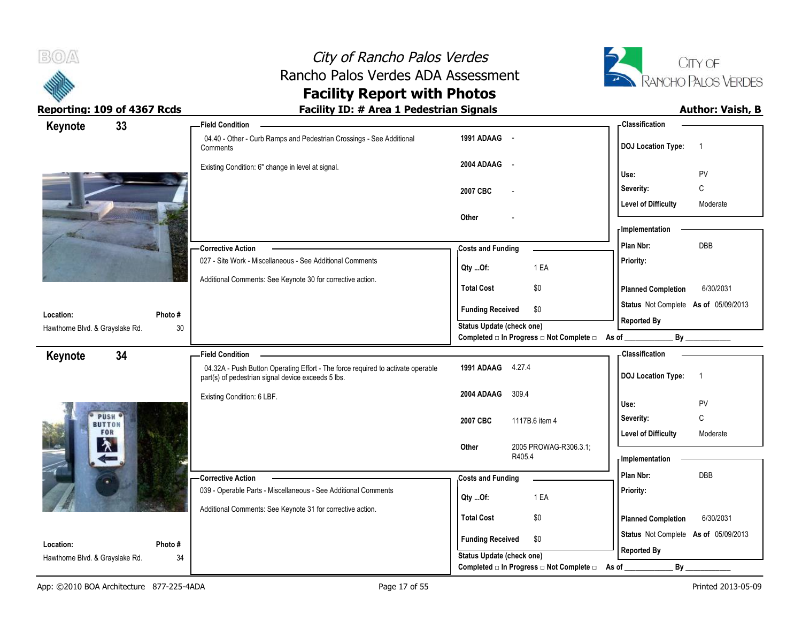



| Keynote                                      | 33           | <b>Field Condition</b>                                                                                                                |                                                                       | - Classification                                           |
|----------------------------------------------|--------------|---------------------------------------------------------------------------------------------------------------------------------------|-----------------------------------------------------------------------|------------------------------------------------------------|
|                                              |              | 04.40 - Other - Curb Ramps and Pedestrian Crossings - See Additional<br>Comments                                                      | 1991 ADAAG -                                                          | <b>DOJ Location Type:</b><br>$\overline{1}$                |
|                                              |              | Existing Condition: 6" change in level at signal.                                                                                     | 2004 ADAAG<br>$\sim$                                                  | PV<br>Use:                                                 |
|                                              |              |                                                                                                                                       | 2007 CBC                                                              | $\mathsf C$<br>Severity:                                   |
|                                              |              |                                                                                                                                       |                                                                       | <b>Level of Difficulty</b><br>Moderate                     |
|                                              |              |                                                                                                                                       | Other                                                                 |                                                            |
|                                              |              |                                                                                                                                       |                                                                       | - Implementation                                           |
|                                              |              | -Corrective Action                                                                                                                    | <b>Costs and Funding</b>                                              | Plan Nbr:<br><b>DBB</b>                                    |
|                                              |              | 027 - Site Work - Miscellaneous - See Additional Comments                                                                             | 1 EA<br>Qty Of:                                                       | Priority:                                                  |
|                                              |              | Additional Comments: See Keynote 30 for corrective action.                                                                            | <b>Total Cost</b><br>\$0                                              | <b>Planned Completion</b><br>6/30/2031                     |
|                                              |              |                                                                                                                                       | \$0<br><b>Funding Received</b>                                        | Status Not Complete As of 05/09/2013                       |
| Location:<br>Hawthorne Blvd. & Grayslake Rd. | Photo#<br>30 |                                                                                                                                       | <b>Status Update (check one)</b>                                      | <b>Reported By</b>                                         |
|                                              |              |                                                                                                                                       | Completed □ In Progress □ Not Complete □ As of _                      |                                                            |
| Keynote                                      | 34           | <b>Field Condition</b>                                                                                                                |                                                                       | <b>Classification</b>                                      |
|                                              |              | 04.32A - Push Button Operating Effort - The force required to activate operable<br>part(s) of pedestrian signal device exceeds 5 lbs. | 1991 ADAAG 4.27.4                                                     | <b>DOJ Location Type:</b><br>$\overline{1}$                |
|                                              |              | Existing Condition: 6 LBF.                                                                                                            | 309.4<br>2004 ADAAG                                                   | Use:<br>PV                                                 |
| PUSH <sup>6</sup>                            |              |                                                                                                                                       |                                                                       | $\mathsf C$<br>Severity:                                   |
| <b>BUTTON</b><br>FOR                         |              |                                                                                                                                       | 2007 CBC<br>1117B.6 item 4                                            | <b>Level of Difficulty</b><br>Moderate                     |
| $\lambda$                                    |              |                                                                                                                                       | 2005 PROWAG-R306.3.1;<br>Other                                        |                                                            |
|                                              |              |                                                                                                                                       | R405.4                                                                | - Implementation                                           |
|                                              |              | -Corrective Action                                                                                                                    | <b>Costs and Funding</b>                                              | Plan Nbr:<br><b>DBB</b>                                    |
|                                              |              | 039 - Operable Parts - Miscellaneous - See Additional Comments                                                                        | 1 EA<br>Qty Of:                                                       | Priority:                                                  |
|                                              |              | Additional Comments: See Keynote 31 for corrective action.                                                                            |                                                                       |                                                            |
|                                              |              |                                                                                                                                       | <b>Total Cost</b><br>\$0                                              | <b>Planned Completion</b><br>6/30/2031                     |
| Location:                                    | Photo#       |                                                                                                                                       | <b>Funding Received</b><br>\$0                                        | Status Not Complete As of 05/09/2013<br><b>Reported By</b> |
|                                              |              |                                                                                                                                       |                                                                       |                                                            |
| Hawthorne Blvd. & Grayslake Rd.              | 34           |                                                                                                                                       | Status Update (check one)<br>Completed □ In Progress □ Not Complete □ | By<br>As of                                                |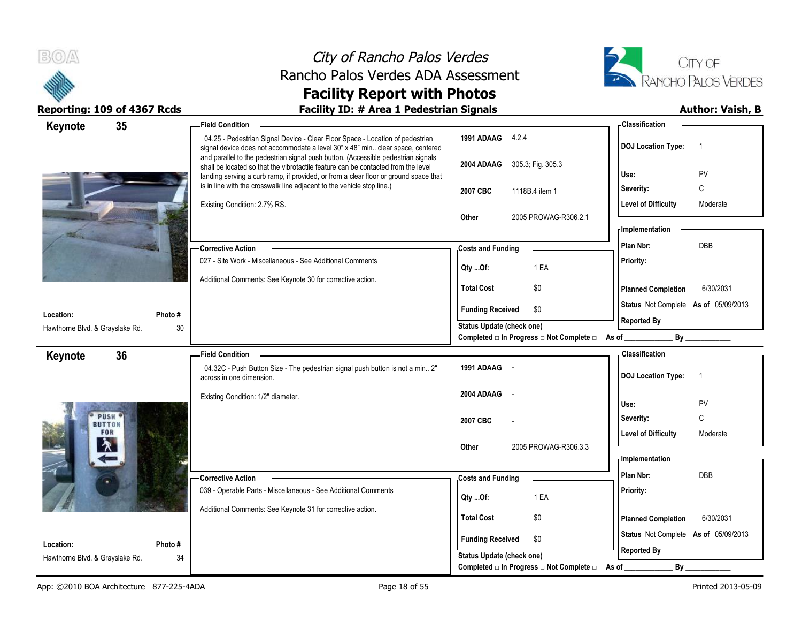



| 35<br>Keynote                   | <b>Field Condition</b>                                                                                                                                                                                                                                         |                                                        | - Classification                                                                                                                                                                                                               |
|---------------------------------|----------------------------------------------------------------------------------------------------------------------------------------------------------------------------------------------------------------------------------------------------------------|--------------------------------------------------------|--------------------------------------------------------------------------------------------------------------------------------------------------------------------------------------------------------------------------------|
|                                 | 04.25 - Pedestrian Signal Device - Clear Floor Space - Location of pedestrian<br>signal device does not accommodate a level 30" x 48" min clear space, centered                                                                                                | 1991 ADAAG 4.2.4                                       | <b>DOJ Location Type:</b><br>$\overline{1}$                                                                                                                                                                                    |
|                                 | and parallel to the pedestrian signal push button. (Accessible pedestrian signals<br>shall be located so that the vibrotactile feature can be contacted from the level<br>landing serving a curb ramp, if provided, or from a clear floor or ground space that | 305.3; Fig. 305.3<br>2004 ADAAG                        | PV<br>Use:                                                                                                                                                                                                                     |
|                                 | is in line with the crosswalk line adjacent to the vehicle stop line.)                                                                                                                                                                                         | 2007 CBC<br>1118B.4 item 1                             | C<br>Severity:                                                                                                                                                                                                                 |
|                                 | Existing Condition: 2.7% RS.                                                                                                                                                                                                                                   |                                                        | <b>Level of Difficulty</b><br>Moderate                                                                                                                                                                                         |
|                                 |                                                                                                                                                                                                                                                                | 2005 PROWAG-R306.2.1<br><b>Other</b>                   |                                                                                                                                                                                                                                |
|                                 |                                                                                                                                                                                                                                                                |                                                        | <b>Implementation</b>                                                                                                                                                                                                          |
|                                 | -Corrective Action                                                                                                                                                                                                                                             | <b>Costs and Funding</b>                               | <b>DBB</b><br>Plan Nbr:                                                                                                                                                                                                        |
|                                 | 027 - Site Work - Miscellaneous - See Additional Comments                                                                                                                                                                                                      | 1 EA<br>Qty Of:                                        | Priority:                                                                                                                                                                                                                      |
|                                 | Additional Comments: See Keynote 30 for corrective action.                                                                                                                                                                                                     |                                                        |                                                                                                                                                                                                                                |
|                                 |                                                                                                                                                                                                                                                                | <b>Total Cost</b><br>\$0                               | <b>Planned Completion</b><br>6/30/2031                                                                                                                                                                                         |
| Location:<br>Photo#             |                                                                                                                                                                                                                                                                | <b>Funding Received</b><br>\$0                         | Status Not Complete As of 05/09/2013                                                                                                                                                                                           |
| Hawthorne Blvd. & Grayslake Rd. | 30                                                                                                                                                                                                                                                             | <b>Status Update (check one)</b>                       | <b>Reported By</b>                                                                                                                                                                                                             |
|                                 |                                                                                                                                                                                                                                                                | Completed □ In Progress □ Not Complete □ As of _______ | By the contract of the contract of the contract of the contract of the contract of the contract of the contract of the contract of the contract of the contract of the contract of the contract of the contract of the contrac |
| 36<br>Keynote                   | <b>Field Condition</b>                                                                                                                                                                                                                                         |                                                        | - Classification                                                                                                                                                                                                               |
|                                 | 04.32C - Push Button Size - The pedestrian signal push button is not a min 2"<br>across in one dimension.                                                                                                                                                      | 1991 ADAAG -                                           | <b>DOJ Location Type:</b><br>$\overline{1}$                                                                                                                                                                                    |
|                                 | Existing Condition: 1/2" diameter.                                                                                                                                                                                                                             | 2004 ADAAG<br>$\sim$                                   |                                                                                                                                                                                                                                |
| PUSH <sup>Q</sup>               |                                                                                                                                                                                                                                                                |                                                        | PV<br>Use:                                                                                                                                                                                                                     |
| <b>BUTTON</b><br>FOR            |                                                                                                                                                                                                                                                                | 2007 CBC                                               | C<br>Severity:                                                                                                                                                                                                                 |
| 々                               |                                                                                                                                                                                                                                                                | 2005 PROWAG-R306.3.3<br><b>Other</b>                   | <b>Level of Difficulty</b><br>Moderate                                                                                                                                                                                         |
|                                 |                                                                                                                                                                                                                                                                |                                                        | - Implementation                                                                                                                                                                                                               |
|                                 | -Corrective Action                                                                                                                                                                                                                                             | <b>Costs and Funding</b>                               | Plan Nbr:<br><b>DBB</b>                                                                                                                                                                                                        |
|                                 | 039 - Operable Parts - Miscellaneous - See Additional Comments                                                                                                                                                                                                 |                                                        | Priority:                                                                                                                                                                                                                      |
|                                 | Additional Comments: See Keynote 31 for corrective action.                                                                                                                                                                                                     | 1 EA<br>Qty Of:                                        |                                                                                                                                                                                                                                |
|                                 |                                                                                                                                                                                                                                                                | <b>Total Cost</b><br>\$0                               | 6/30/2031<br><b>Planned Completion</b>                                                                                                                                                                                         |
|                                 |                                                                                                                                                                                                                                                                | <b>Funding Received</b><br>\$0                         | Status Not Complete As of 05/09/2013                                                                                                                                                                                           |
| Location:<br>Photo#             |                                                                                                                                                                                                                                                                | Status Update (check one)                              | <b>Reported By</b>                                                                                                                                                                                                             |
| Hawthorne Blvd. & Grayslake Rd. | 34                                                                                                                                                                                                                                                             | Completed □ In Progress □ Not Complete □               | By<br>As of                                                                                                                                                                                                                    |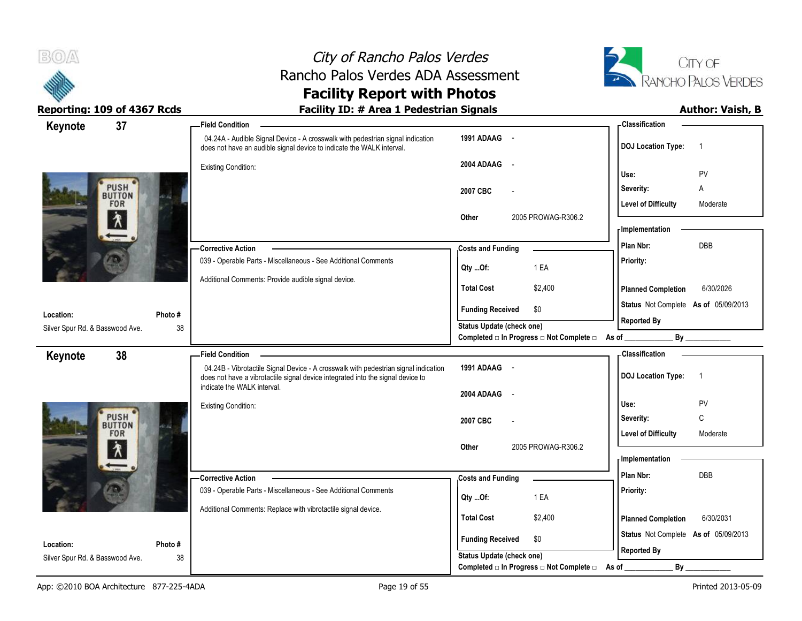



| 37<br>Keynote                   |         | <b>Field Condition</b>                                                                                                                                                 |                                                |       | <b>Classification</b>                |                |
|---------------------------------|---------|------------------------------------------------------------------------------------------------------------------------------------------------------------------------|------------------------------------------------|-------|--------------------------------------|----------------|
|                                 |         | 04.24A - Audible Signal Device - A crosswalk with pedestrian signal indication<br>does not have an audible signal device to indicate the WALK interval.                | 1991 ADAAG -                                   |       | <b>DOJ Location Type:</b>            | $\overline{1}$ |
|                                 |         | <b>Existing Condition:</b>                                                                                                                                             | 2004 ADAAG -                                   |       |                                      |                |
| <b>PUSH</b>                     |         |                                                                                                                                                                        |                                                | Use:  |                                      | PV             |
| <b>BUTTON</b>                   |         |                                                                                                                                                                        | 2007 CBC                                       |       | Severity:                            | Α              |
| <b>FOR</b>                      |         |                                                                                                                                                                        |                                                |       | <b>Level of Difficulty</b>           | Moderate       |
| 介                               |         |                                                                                                                                                                        | Other<br>2005 PROWAG-R306.2                    |       | - Implementation                     |                |
|                                 |         | -Corrective Action                                                                                                                                                     |                                                |       | Plan Nbr:                            | <b>DBB</b>     |
|                                 |         | 039 - Operable Parts - Miscellaneous - See Additional Comments                                                                                                         | <b>Costs and Funding</b>                       |       | Priority:                            |                |
|                                 |         |                                                                                                                                                                        | 1 EA<br>Qty Of:                                |       |                                      |                |
|                                 |         | Additional Comments: Provide audible signal device.                                                                                                                    | <b>Total Cost</b><br>\$2,400                   |       | <b>Planned Completion</b>            | 6/30/2026      |
| Location:                       | Photo # |                                                                                                                                                                        | <b>Funding Received</b><br>\$0                 |       | Status Not Complete As of 05/09/2013 |                |
| Silver Spur Rd. & Basswood Ave. | 38      |                                                                                                                                                                        | <b>Status Update (check one)</b>               |       | <b>Reported By</b>                   |                |
|                                 |         |                                                                                                                                                                        | Completed □ In Progress □ Not Complete □ As of |       |                                      | By             |
| 38<br>Keynote                   |         | <b>Field Condition</b>                                                                                                                                                 |                                                |       | <b>Classification</b>                |                |
|                                 |         | 04.24B - Vibrotactile Signal Device - A crosswalk with pedestrian signal indication<br>does not have a vibrotactile signal device integrated into the signal device to | 1991 ADAAG -                                   |       | <b>DOJ Location Type:</b>            | $\overline{1}$ |
|                                 |         | indicate the WALK interval.                                                                                                                                            | 2004 ADAAG -                                   |       |                                      |                |
|                                 |         | <b>Existing Condition:</b>                                                                                                                                             |                                                | Use:  |                                      | PV             |
| <b>PUSH</b><br><b>BUTTON</b>    |         |                                                                                                                                                                        | 2007 CBC                                       |       | Severity:                            | $\mathsf{C}$   |
| <b>FOR</b>                      |         |                                                                                                                                                                        |                                                |       | <b>Level of Difficulty</b>           | Moderate       |
| እ                               |         |                                                                                                                                                                        | 2005 PROWAG-R306.2<br>Other                    |       | - Implementation                     |                |
|                                 |         |                                                                                                                                                                        |                                                |       |                                      |                |
|                                 |         | -Corrective Action                                                                                                                                                     | <b>Costs and Funding</b>                       |       | Plan Nbr:                            | DBB            |
|                                 |         | 039 - Operable Parts - Miscellaneous - See Additional Comments                                                                                                         | 1 EA<br>Qty Of:                                |       | Priority:                            |                |
|                                 |         | Additional Comments: Replace with vibrotactile signal device.                                                                                                          | <b>Total Cost</b><br>\$2,400                   |       | <b>Planned Completion</b>            | 6/30/2031      |
|                                 |         |                                                                                                                                                                        |                                                |       |                                      |                |
| Location:                       | Photo#  |                                                                                                                                                                        | \$0<br><b>Funding Received</b>                 |       | Status Not Complete As of 05/09/2013 |                |
| Silver Spur Rd. & Basswood Ave. | 38      |                                                                                                                                                                        | Status Update (check one)                      |       | <b>Reported By</b>                   |                |
|                                 |         |                                                                                                                                                                        | Completed □ In Progress □ Not Complete □       | As of | $By_$                                |                |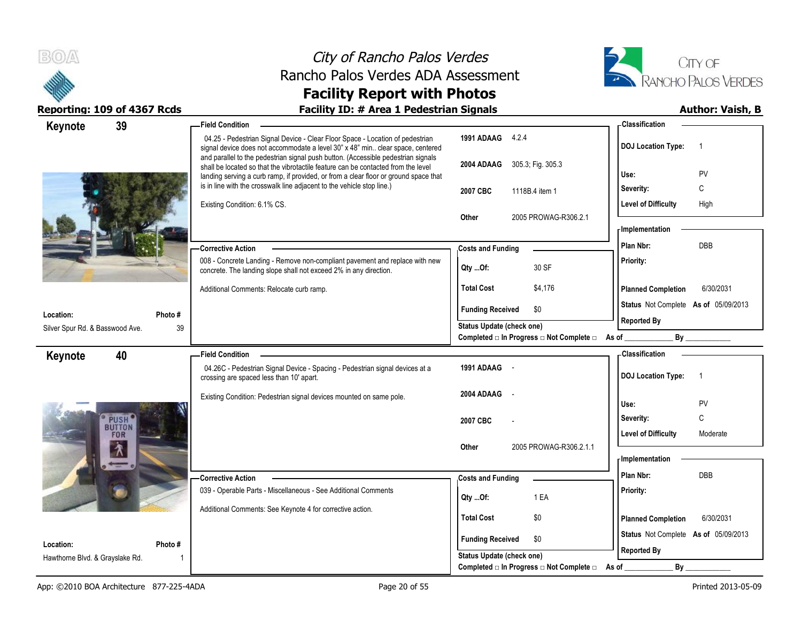



| Keynote                         | 39                          | <b>Field Condition</b>                                                                                                                                                                                                                                         |                                                                              |                                                         | - Classification                     |                |
|---------------------------------|-----------------------------|----------------------------------------------------------------------------------------------------------------------------------------------------------------------------------------------------------------------------------------------------------------|------------------------------------------------------------------------------|---------------------------------------------------------|--------------------------------------|----------------|
|                                 |                             | 04.25 - Pedestrian Signal Device - Clear Floor Space - Location of pedestrian<br>signal device does not accommodate a level 30" x 48" min clear space, centered                                                                                                | 1991 ADAAG 4.2.4                                                             |                                                         | <b>DOJ Location Type:</b>            | $\overline{1}$ |
|                                 |                             | and parallel to the pedestrian signal push button. (Accessible pedestrian signals<br>shall be located so that the vibrotactile feature can be contacted from the level<br>landing serving a curb ramp, if provided, or from a clear floor or ground space that | 2004 ADAAG                                                                   | 305.3; Fig. 305.3                                       | Use:                                 | PV             |
|                                 |                             | is in line with the crosswalk line adjacent to the vehicle stop line.)                                                                                                                                                                                         | 2007 CBC                                                                     | 1118B.4 item 1                                          | Severity:                            | C              |
|                                 |                             | Existing Condition: 6.1% CS.                                                                                                                                                                                                                                   |                                                                              |                                                         | <b>Level of Difficulty</b>           | High           |
|                                 |                             | Other                                                                                                                                                                                                                                                          | 2005 PROWAG-R306.2.1                                                         | - Implementation                                        |                                      |                |
|                                 |                             |                                                                                                                                                                                                                                                                |                                                                              | Plan Nbr:                                               | DBB                                  |                |
|                                 |                             | <b>Corrective Action</b>                                                                                                                                                                                                                                       | <b>Costs and Funding</b>                                                     |                                                         |                                      |                |
|                                 |                             | 008 - Concrete Landing - Remove non-compliant pavement and replace with new<br>concrete. The landing slope shall not exceed 2% in any direction.                                                                                                               | Qty Of:                                                                      | 30 SF                                                   | Priority:                            |                |
|                                 |                             | Additional Comments: Relocate curb ramp.                                                                                                                                                                                                                       | <b>Total Cost</b>                                                            | \$4,176                                                 | <b>Planned Completion</b>            | 6/30/2031      |
| Location:                       | Photo #                     |                                                                                                                                                                                                                                                                | <b>Funding Received</b>                                                      | \$0                                                     | Status Not Complete As of 05/09/2013 |                |
| Silver Spur Rd. & Basswood Ave. | 39                          |                                                                                                                                                                                                                                                                | <b>Status Update (check one)</b>                                             |                                                         | <b>Reported By</b>                   |                |
|                                 |                             |                                                                                                                                                                                                                                                                |                                                                              | Completed □ In Progress □ Not Complete □ As of ________ |                                      | By             |
| Keynote                         | 40                          | - Field Condition                                                                                                                                                                                                                                              |                                                                              |                                                         | Classification                       |                |
|                                 |                             | 04.26C - Pedestrian Signal Device - Spacing - Pedestrian signal devices at a<br>crossing are spaced less than 10' apart.                                                                                                                                       | 1991 ADAAG -                                                                 |                                                         | <b>DOJ Location Type:</b>            | $\overline{1}$ |
|                                 |                             | Existing Condition: Pedestrian signal devices mounted on same pole.                                                                                                                                                                                            | 2004 ADAAG                                                                   |                                                         | Use:                                 | PV             |
|                                 | <b>PUSH</b>                 |                                                                                                                                                                                                                                                                | 2007 CBC                                                                     |                                                         | Severity:                            | C              |
|                                 | <b>BUTTON</b><br><b>FOR</b> |                                                                                                                                                                                                                                                                |                                                                              |                                                         | <b>Level of Difficulty</b>           | Moderate       |
|                                 | 介                           |                                                                                                                                                                                                                                                                | Other                                                                        | 2005 PROWAG-R306.2.1.1                                  |                                      |                |
|                                 |                             |                                                                                                                                                                                                                                                                |                                                                              |                                                         | - Implementation                     |                |
|                                 |                             | <b>Corrective Action</b>                                                                                                                                                                                                                                       | <b>Costs and Funding</b>                                                     |                                                         | Plan Nbr:                            | DBB            |
|                                 |                             | 039 - Operable Parts - Miscellaneous - See Additional Comments                                                                                                                                                                                                 | Qty Of:                                                                      | 1 EA                                                    | Priority:                            |                |
|                                 |                             | Additional Comments: See Keynote 4 for corrective action.                                                                                                                                                                                                      |                                                                              |                                                         |                                      |                |
|                                 |                             |                                                                                                                                                                                                                                                                | <b>Total Cost</b>                                                            | \$0                                                     | <b>Planned Completion</b>            | 6/30/2031      |
|                                 |                             |                                                                                                                                                                                                                                                                | <b>Funding Received</b>                                                      | \$0                                                     | Status Not Complete As of 05/09/2013 |                |
| Location:                       | Photo #                     |                                                                                                                                                                                                                                                                |                                                                              |                                                         |                                      |                |
| Hawthorne Blvd. & Grayslake Rd. |                             |                                                                                                                                                                                                                                                                | <b>Status Update (check one)</b><br>Completed □ In Progress □ Not Complete □ |                                                         | <b>Reported By</b><br>By<br>As of    |                |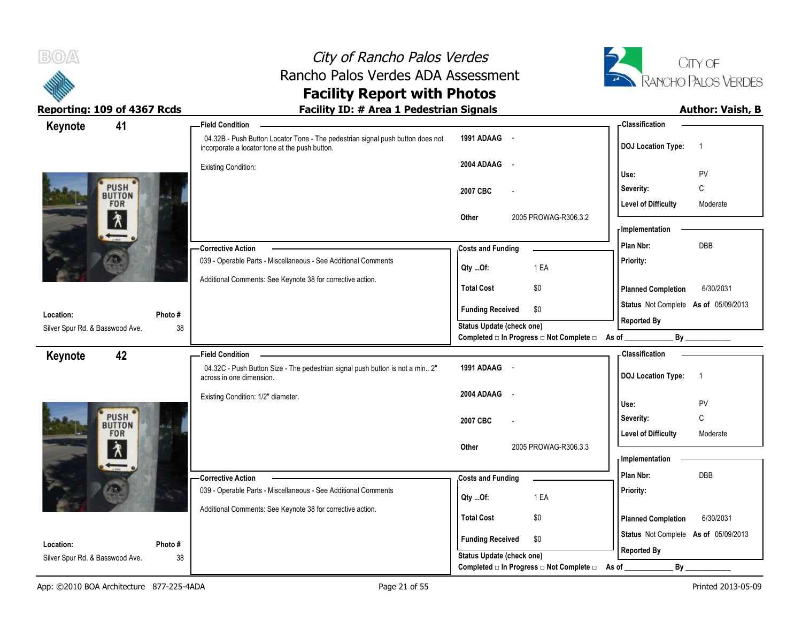



### **Facility Report with Photos** Reporting: 109 of 4367 Rcds **Facility ID: # Area 1 Pedestrian Signals Facility ID: # Area 1 Pedestrian Signals**

| 41<br>Keynote                   |         | <b>Field Condition</b>                                                                                                           |                                                                       | <b>Classification</b>                       |
|---------------------------------|---------|----------------------------------------------------------------------------------------------------------------------------------|-----------------------------------------------------------------------|---------------------------------------------|
|                                 |         | 04.32B - Push Button Locator Tone - The pedestrian signal push button does not<br>incorporate a locator tone at the push button. | 1991 ADAAG -                                                          | <b>DOJ</b> Location Type:<br>$\overline{1}$ |
|                                 |         | <b>Existing Condition:</b>                                                                                                       | 2004 ADAAG -                                                          | Use:<br>PV                                  |
| <b>PUSH</b>                     |         |                                                                                                                                  |                                                                       | $\mathsf{C}$                                |
| <b>BUTTON</b>                   |         |                                                                                                                                  | 2007 CBC                                                              | Severity:                                   |
| <b>FOR</b>                      |         |                                                                                                                                  | 2005 PROWAG-R306.3.2<br>Other                                         | <b>Level of Difficulty</b><br>Moderate      |
| ∕₹                              |         |                                                                                                                                  |                                                                       | - Implementation                            |
|                                 |         | -Corrective Action                                                                                                               | <b>Costs and Funding</b>                                              | Plan Nbr:<br>DBB                            |
|                                 |         | 039 - Operable Parts - Miscellaneous - See Additional Comments                                                                   |                                                                       | Priority:                                   |
|                                 |         |                                                                                                                                  | 1 EA<br>Qty Of:                                                       |                                             |
|                                 |         | Additional Comments: See Keynote 38 for corrective action.                                                                       | <b>Total Cost</b><br>\$0                                              | 6/30/2031<br><b>Planned Completion</b>      |
|                                 |         |                                                                                                                                  | <b>Funding Received</b><br>\$0                                        | Status Not Complete As of 05/09/2013        |
| Location:                       | Photo # |                                                                                                                                  | Status Update (check one)                                             | <b>Reported By</b>                          |
| Silver Spur Rd. & Basswood Ave. | 38      |                                                                                                                                  | Completed □ In Progress □ Not Complete □ As of _                      | By                                          |
| 42<br>Keynote                   |         | - Field Condition                                                                                                                |                                                                       | - Classification                            |
|                                 |         | 04.32C - Push Button Size - The pedestrian signal push button is not a min 2"<br>across in one dimension.                        | 1991 ADAAG -                                                          | <b>DOJ</b> Location Type:<br>$\overline{1}$ |
|                                 |         | Existing Condition: 1/2" diameter.                                                                                               | 2004 ADAAG<br>$\sim$                                                  |                                             |
|                                 |         |                                                                                                                                  |                                                                       | Use:<br>PV                                  |
| <b>PUSH</b><br><b>BUTTON</b>    |         |                                                                                                                                  | 2007 CBC                                                              | Severity:<br>C                              |
| <b>FOR</b>                      |         |                                                                                                                                  |                                                                       | <b>Level of Difficulty</b><br>Moderate      |
| Ϋ                               |         |                                                                                                                                  | 2005 PROWAG-R306.3.3<br>Other                                         | - Implementation                            |
|                                 |         |                                                                                                                                  |                                                                       |                                             |
|                                 |         | -Corrective Action                                                                                                               | <b>Costs and Funding</b>                                              | DBB<br>Plan Nbr:                            |
|                                 |         | 039 - Operable Parts - Miscellaneous - See Additional Comments                                                                   | 1 EA<br>Qty Of:                                                       | Priority:                                   |
|                                 |         | Additional Comments: See Keynote 38 for corrective action.                                                                       | \$0<br><b>Total Cost</b>                                              | <b>Planned Completion</b><br>6/30/2031      |
|                                 |         |                                                                                                                                  |                                                                       |                                             |
| Location:                       | Photo#  |                                                                                                                                  | <b>Funding Received</b><br>\$0                                        | Status Not Complete As of 05/09/2013        |
| Silver Spur Rd. & Basswood Ave. |         |                                                                                                                                  |                                                                       | <b>Reported By</b>                          |
|                                 | 38      |                                                                                                                                  | Status Update (check one)<br>Completed □ In Progress □ Not Complete □ | $By_$                                       |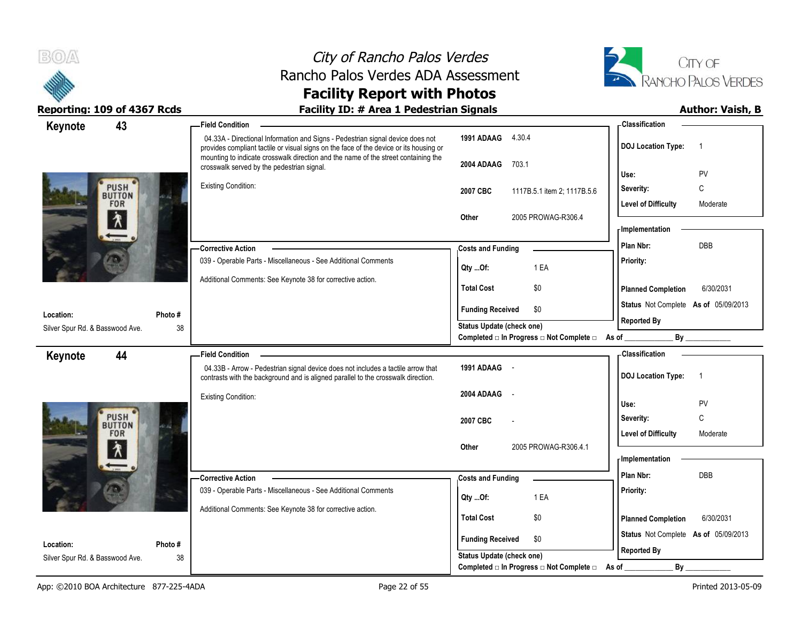



**Reporting: 109 of 4367 Rcds Facility ID: # Area 1 Pedestrian Signals Author: Vaish, B Classification Keynote 43 Field Condition 1991 ADAAG** 4.30.4 04.33A - Directional Information and Signs - Pedestrian signal device does not **DOJ Location Type:** 1 provides compliant tactile or visual signs on the face of the device or its housing or mounting to indicate crosswalk direction and the name of the street containing the **2004 ADAAG** 703.1 crosswalk served by the pedestrian signal. **Use:** PV **PUSH** Existing Condition: **Severity:** C **2007 CBC** 1117B.5.1 item 2; 1117B.5.6 **BUTTON FOR** Level of Difficulty **Moderate Other** 2005 PROWAG-R306.4 **Implementation Costs and Funding <b>Costs** and Funding **Plan Nbr:** DBB **Corrective Action**  039 - Operable Parts - Miscellaneous - See Additional Comments **Priority: Qty ...Of:** 1 EA Additional Comments: See Keynote 38 for corrective action. **Total Cost** \$0 **Planned Completion** 6/30/2031 **Status** Not Complete **As of** 05/09/2013 **Funding Received \$0 Location: Photo # Reported By Status Update (check one)** Silver Spur Rd. & Basswood Ave. 38 38 Completed □ In Progress □ Not Complete □ As of \_\_\_\_\_\_\_\_\_\_\_\_\_\_\_\_\_\_\_\_\_\_\_\_\_\_\_\_\_\_\_\_\_ **Classification Keynote 44 Field Condition 1991 ADAAG** - 04.33B - Arrow - Pedestrian signal device does not includes a tactile arrow that **DOJ Location Type:** 1 contrasts with the background and is aligned parallel to the crosswalk direction. **2004 ADAAG** - Existing Condition: **Use:** PV **PUSH Severity:** C **2007 CBC** - **BUTTON FOR** Level of Difficulty Moderate **Other** 2005 PROWAG-R306 4.1 **Implementation Costs and Funding <b>Plan Nbr:** DBB **Corrective Action**  039 - Operable Parts - Miscellaneous - See Additional Comments **Priority: Qty ...Of:** 1 EA Additional Comments: See Keynote 38 for corrective action. **Total Cost** \$0 **Planned Completion** 6/30/2031 **Status** Not Complete **As of** 05/09/2013 **Funding Received \$0 Location: Photo # Reported By Status Update (check one)** Silver Spur Rd. & Basswood Ave. 38 38

Completed □ In Progress □ Not Complete □ As of \_\_\_\_\_\_\_\_\_\_\_\_\_\_\_\_\_\_\_\_\_\_\_\_\_\_\_\_\_\_\_\_\_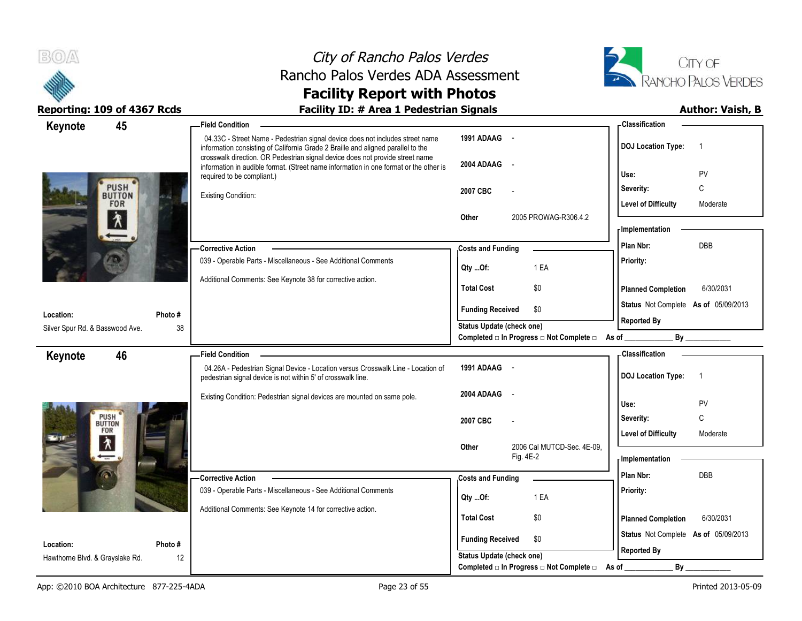



| 45<br>Keynote                                | <b>Field Condition</b>                                                                                                                                                                                                                             |                                                  | - Classification                            |
|----------------------------------------------|----------------------------------------------------------------------------------------------------------------------------------------------------------------------------------------------------------------------------------------------------|--------------------------------------------------|---------------------------------------------|
|                                              | 04.33C - Street Name - Pedestrian signal device does not includes street name<br>information consisting of California Grade 2 Braille and aligned parallel to the<br>crosswalk direction. OR Pedestrian signal device does not provide street name | 1991 ADAAG -                                     | <b>DOJ</b> Location Type:<br>-1             |
|                                              | information in audible format. (Street name information in one format or the other is<br>required to be compliant.)                                                                                                                                | 2004 ADAAG<br>$\sim$                             | PV<br>Use:                                  |
| <b>PUSH</b>                                  |                                                                                                                                                                                                                                                    | 2007 CBC                                         | $\mathsf{C}$<br>Severity:                   |
| <b>BUTTON</b><br><b>FOR</b>                  | <b>Existing Condition:</b>                                                                                                                                                                                                                         |                                                  | <b>Level of Difficulty</b><br>Moderate      |
| $\lambda$                                    |                                                                                                                                                                                                                                                    | 2005 PROWAG-R306.4.2<br>Other                    | <b>Implementation</b>                       |
|                                              |                                                                                                                                                                                                                                                    |                                                  |                                             |
|                                              | -Corrective Action                                                                                                                                                                                                                                 | <b>Costs and Funding</b>                         | DBB<br>Plan Nbr:                            |
|                                              | 039 - Operable Parts - Miscellaneous - See Additional Comments                                                                                                                                                                                     | Qty Of:<br>1 EA                                  | Priority:                                   |
|                                              | Additional Comments: See Keynote 38 for corrective action.                                                                                                                                                                                         | <b>Total Cost</b><br>\$0                         | <b>Planned Completion</b><br>6/30/2031      |
|                                              |                                                                                                                                                                                                                                                    | <b>Funding Received</b><br>\$0                   | Status Not Complete As of 05/09/2013        |
| Location:<br>Silver Spur Rd. & Basswood Ave. | Photo#<br>38                                                                                                                                                                                                                                       | <b>Status Update (check one)</b>                 | <b>Reported By</b>                          |
|                                              |                                                                                                                                                                                                                                                    | Completed □ In Progress □ Not Complete □ As of _ | By                                          |
| 46<br>Keynote                                | <b>Field Condition</b>                                                                                                                                                                                                                             |                                                  | - Classification                            |
|                                              | 04.26A - Pedestrian Signal Device - Location versus Crosswalk Line - Location of<br>pedestrian signal device is not within 5' of crosswalk line.                                                                                                   | 1991 ADAAG -                                     | <b>DOJ Location Type:</b><br>$\overline{1}$ |
|                                              | Existing Condition: Pedestrian signal devices are mounted on same pole.                                                                                                                                                                            | 2004 ADAAG<br>$\sim$                             | ${\sf PV}$<br>Use:                          |
| PUSH                                         |                                                                                                                                                                                                                                                    | 2007 CBC                                         | C<br>Severity:                              |
| <b>BUTTON</b><br>FOR                         |                                                                                                                                                                                                                                                    |                                                  | <b>Level of Difficulty</b><br>Moderate      |
| $\frac{1}{\sqrt{2}}$                         |                                                                                                                                                                                                                                                    | Other<br>2006 Cal MUTCD-Sec. 4E-09.<br>Fig. 4E-2 | <b>Implementation</b>                       |
|                                              | -Corrective Action                                                                                                                                                                                                                                 | <b>Costs and Funding</b>                         | DBB<br>Plan Nbr:                            |
|                                              | 039 - Operable Parts - Miscellaneous - See Additional Comments                                                                                                                                                                                     |                                                  | Priority:                                   |
|                                              | Additional Comments: See Keynote 14 for corrective action.                                                                                                                                                                                         | 1 EA<br>Qty Of:                                  |                                             |
|                                              |                                                                                                                                                                                                                                                    | <b>Total Cost</b><br>\$0                         | <b>Planned Completion</b><br>6/30/2031      |
| Location:                                    | Photo#                                                                                                                                                                                                                                             | <b>Funding Received</b><br>\$0                   | Status Not Complete As of 05/09/2013        |
| Hawthorne Blvd. & Grayslake Rd.              | 12                                                                                                                                                                                                                                                 | Status Update (check one)                        | <b>Reported By</b>                          |
|                                              |                                                                                                                                                                                                                                                    | Completed □ In Progress □ Not Complete □         | By<br>As of                                 |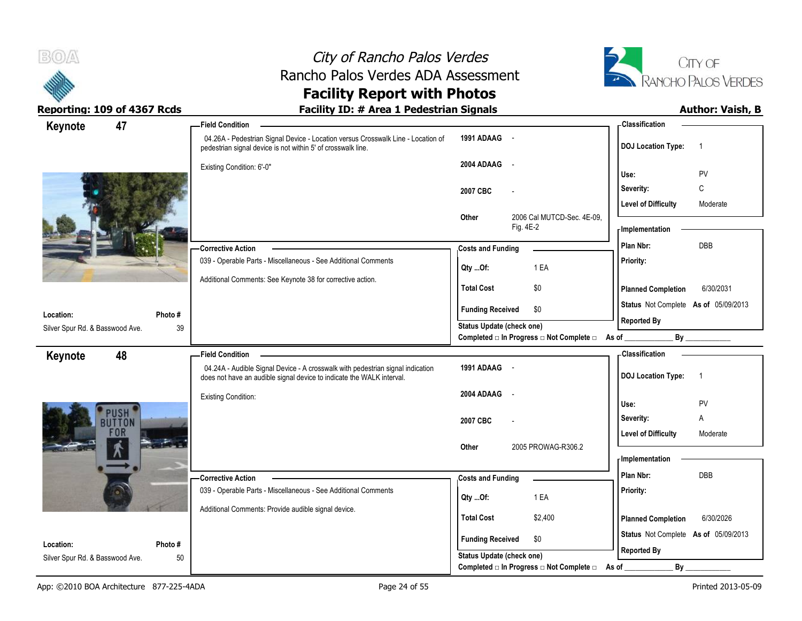



| Keynote                                      | 47                          | <b>Field Condition</b>                                                                                                                                  |                                                  | <b>Classification</b>                       |
|----------------------------------------------|-----------------------------|---------------------------------------------------------------------------------------------------------------------------------------------------------|--------------------------------------------------|---------------------------------------------|
|                                              |                             | 04.26A - Pedestrian Signal Device - Location versus Crosswalk Line - Location of<br>pedestrian signal device is not within 5' of crosswalk line.        | 1991 ADAAG -                                     | <b>DOJ Location Type:</b><br>$\overline{1}$ |
|                                              |                             | Existing Condition: 6'-0"                                                                                                                               | 2004 ADAAG -                                     | PV<br>Use:                                  |
|                                              |                             |                                                                                                                                                         |                                                  | C<br>Severity:                              |
|                                              |                             |                                                                                                                                                         | 2007 CBC                                         | <b>Level of Difficulty</b><br>Moderate      |
|                                              |                             |                                                                                                                                                         | 2006 Cal MUTCD-Sec. 4E-09,<br>Other<br>Fig. 4E-2 | <b>Implementation</b>                       |
|                                              |                             | <b>Corrective Action</b>                                                                                                                                | <b>Costs and Funding</b>                         | DBB<br>Plan Nbr:                            |
|                                              |                             | 039 - Operable Parts - Miscellaneous - See Additional Comments                                                                                          | 1 EA<br>Qty Of:                                  | Priority:                                   |
|                                              |                             | Additional Comments: See Keynote 38 for corrective action.                                                                                              | <b>Total Cost</b><br>\$0                         | 6/30/2031<br><b>Planned Completion</b>      |
|                                              |                             |                                                                                                                                                         | <b>Funding Received</b><br>\$0                   | Status Not Complete As of 05/09/2013        |
| Location:<br>Silver Spur Rd. & Basswood Ave. | Photo#<br>39                |                                                                                                                                                         | Status Update (check one)                        | <b>Reported By</b>                          |
|                                              |                             |                                                                                                                                                         | Completed □ In Progress □ Not Complete □ As of   | By                                          |
| Keynote                                      | 48                          | <b>Field Condition</b>                                                                                                                                  |                                                  | - Classification                            |
|                                              |                             | 04.24A - Audible Signal Device - A crosswalk with pedestrian signal indication<br>does not have an audible signal device to indicate the WALK interval. | 1991 ADAAG -                                     | <b>DOJ Location Type:</b><br>$\overline{1}$ |
|                                              |                             | <b>Existing Condition:</b>                                                                                                                              | 2004 ADAAG<br>$\sim$ $-$                         | PV<br>Use:                                  |
|                                              | <b>USH</b><br><b>BUTTON</b> |                                                                                                                                                         | 2007 CBC                                         | Severity:<br>Α                              |
|                                              | <b>FOR</b>                  |                                                                                                                                                         |                                                  | <b>Level of Difficulty</b><br>Moderate      |
|                                              |                             |                                                                                                                                                         | 2005 PROWAG-R306.2<br>Other                      | - Implementation                            |
|                                              |                             |                                                                                                                                                         |                                                  | Plan Nbr:<br><b>DBB</b>                     |
|                                              |                             | - Corrective Action<br>039 - Operable Parts - Miscellaneous - See Additional Comments                                                                   | <b>Costs and Funding</b>                         | Priority:                                   |
|                                              |                             |                                                                                                                                                         | 1 EA<br>Qty Of:                                  |                                             |
|                                              |                             | Additional Comments: Provide audible signal device.                                                                                                     | <b>Total Cost</b><br>\$2,400                     | <b>Planned Completion</b><br>6/30/2026      |
| Location:                                    | Photo #                     |                                                                                                                                                         | <b>Funding Received</b><br>\$0                   | Status Not Complete As of 05/09/2013        |
| Silver Spur Rd. & Basswood Ave.              | 50                          |                                                                                                                                                         | Status Update (check one)                        | <b>Reported By</b>                          |
|                                              |                             |                                                                                                                                                         | Completed □ In Progress □ Not Complete □ As of _ | By                                          |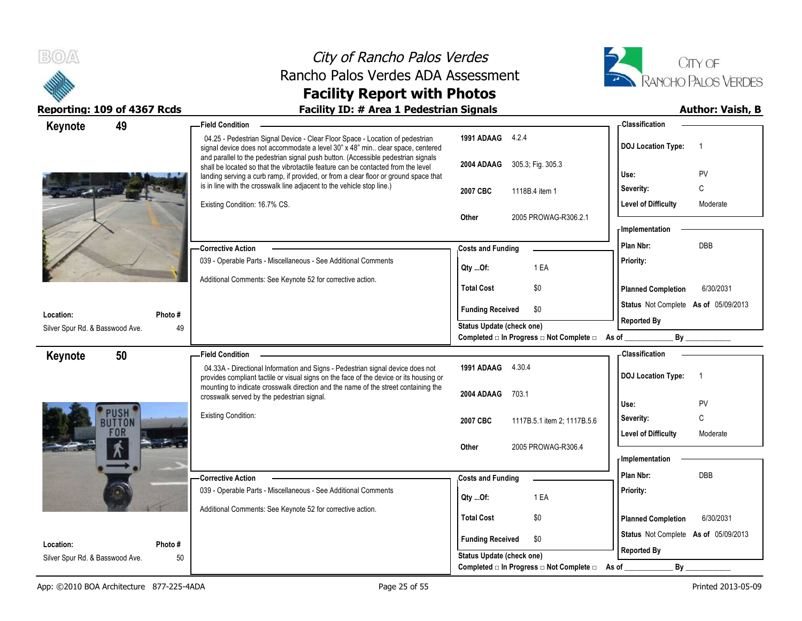



|                                 | Reporting: 109 of 4367 Rcds | <b>Facility ID: # Area 1 Pedestrian Signals</b>                                                                                                                                                                                                                |                                                  | <b>Author: Vaish, B</b>                     |
|---------------------------------|-----------------------------|----------------------------------------------------------------------------------------------------------------------------------------------------------------------------------------------------------------------------------------------------------------|--------------------------------------------------|---------------------------------------------|
| Keynote                         | 49                          | <b>Field Condition</b>                                                                                                                                                                                                                                         |                                                  | <b>Classification</b>                       |
|                                 |                             | 04.25 - Pedestrian Signal Device - Clear Floor Space - Location of pedestrian<br>signal device does not accommodate a level 30" x 48" min clear space, centered<br>and parallel to the pedestrian signal push button. (Accessible pedestrian signals           | 1991 ADAAG 4.2.4                                 | <b>DOJ Location Type:</b><br>$\overline{1}$ |
|                                 |                             | shall be located so that the vibrotactile feature can be contacted from the level<br>landing serving a curb ramp, if provided, or from a clear floor or ground space that                                                                                      | 2004 ADAAG 305.3; Fig. 305.3                     | PV<br>Use:                                  |
|                                 |                             | is in line with the crosswalk line adjacent to the vehicle stop line.)                                                                                                                                                                                         | 2007 CBC<br>1118B.4 item 1                       | C<br>Severity:                              |
|                                 |                             | Existing Condition: 16.7% CS.                                                                                                                                                                                                                                  | Other<br>2005 PROWAG-R306.2.1                    | <b>Level of Difficulty</b><br>Moderate      |
|                                 |                             |                                                                                                                                                                                                                                                                |                                                  | <b>Implementation</b>                       |
|                                 |                             | <b>Corrective Action</b>                                                                                                                                                                                                                                       | <b>Costs and Funding</b>                         | Plan Nbr:<br><b>DBB</b>                     |
|                                 |                             | 039 - Operable Parts - Miscellaneous - See Additional Comments                                                                                                                                                                                                 | Qty Of:<br>1 EA                                  | Priority:                                   |
|                                 |                             | Additional Comments: See Keynote 52 for corrective action.                                                                                                                                                                                                     | <b>Total Cost</b><br>\$0                         | 6/30/2031<br><b>Planned Completion</b>      |
| Location:                       | Photo #                     |                                                                                                                                                                                                                                                                | \$0<br><b>Funding Received</b>                   | Status Not Complete As of 05/09/2013        |
| Silver Spur Rd. & Basswood Ave. | 49                          |                                                                                                                                                                                                                                                                | <b>Status Update (check one)</b>                 | <b>Reported By</b>                          |
|                                 |                             |                                                                                                                                                                                                                                                                | Completed □ In Progress □ Not Complete □ As of _ |                                             |
| Keynote                         | 50                          | <b>Field Condition</b>                                                                                                                                                                                                                                         |                                                  | Classification                              |
|                                 |                             | 04.33A - Directional Information and Signs - Pedestrian signal device does not<br>provides compliant tactile or visual signs on the face of the device or its housing or<br>mounting to indicate crosswalk direction and the name of the street containing the | 1991 ADAAG<br>4.30.4                             | <b>DOJ Location Type:</b><br>$\overline{1}$ |
|                                 |                             | crosswalk served by the pedestrian signal.                                                                                                                                                                                                                     | 2004 ADAAG<br>703.1                              | Use:<br><b>PV</b>                           |
|                                 | <b>USH</b>                  | <b>Existing Condition:</b>                                                                                                                                                                                                                                     | 2007 CBC<br>1117B.5.1 item 2; 1117B.5.6          | $\mathsf{C}$<br>Severity:                   |
|                                 | <b>BUTTON</b><br>FUR        |                                                                                                                                                                                                                                                                |                                                  | <b>Level of Difficulty</b><br>Moderate      |
|                                 |                             |                                                                                                                                                                                                                                                                | Other<br>2005 PROWAG-R306.4                      |                                             |
|                                 |                             |                                                                                                                                                                                                                                                                |                                                  | - Implementation                            |
|                                 |                             | - Corrective Action                                                                                                                                                                                                                                            | <b>Costs and Funding</b>                         | Plan Nbr:<br><b>DBB</b>                     |
|                                 |                             | 039 - Operable Parts - Miscellaneous - See Additional Comments                                                                                                                                                                                                 | Qty Of:<br>1 EA                                  | Priority:                                   |
|                                 |                             | Additional Comments: See Keynote 52 for corrective action.                                                                                                                                                                                                     | <b>Total Cost</b><br>\$0                         | <b>Planned Completion</b><br>6/30/2031      |
|                                 |                             |                                                                                                                                                                                                                                                                |                                                  | Status Not Complete As of 05/09/2013        |
| Location:                       | Photo#                      |                                                                                                                                                                                                                                                                | <b>Funding Received</b><br>\$0                   | <b>Reported By</b>                          |
| Silver Spur Rd. & Basswood Ave. | 50                          |                                                                                                                                                                                                                                                                | <b>Status Update (check one)</b>                 |                                             |
|                                 |                             |                                                                                                                                                                                                                                                                | Completed □ In Progress □ Not Complete □         | By<br>As of                                 |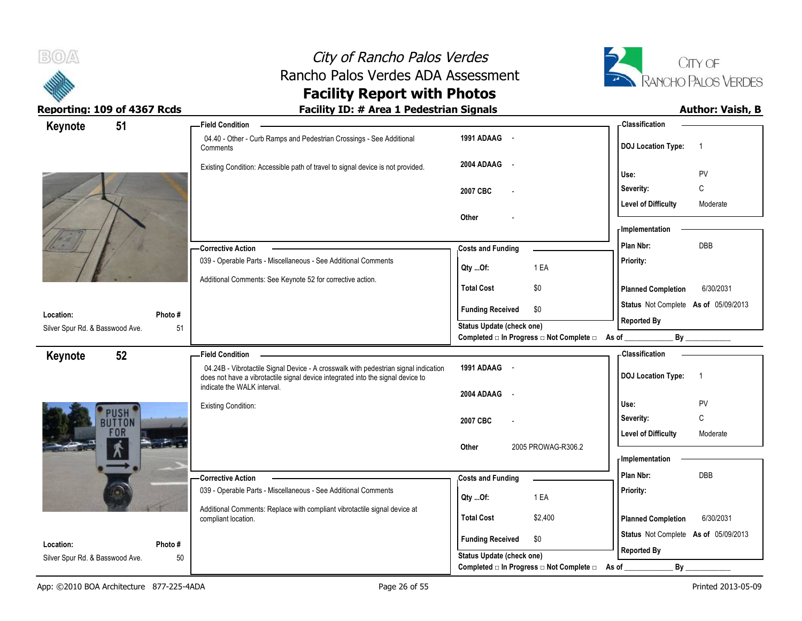



Reporting: 109 of 4367 Rcds **Facility ID: # Area 1 Pedestrian Signals Facility ID: # Area 1 Pedestrian Signals** 

# **Facility Report with Photos**

| 51<br>Keynote                         | <b>Field Condition</b>                                                                                         |                                                | <b>Classification</b>                                      |
|---------------------------------------|----------------------------------------------------------------------------------------------------------------|------------------------------------------------|------------------------------------------------------------|
|                                       | 04.40 - Other - Curb Ramps and Pedestrian Crossings - See Additional<br>Comments                               | 1991 ADAAG -                                   | <b>DOJ Location Type:</b><br>$\overline{1}$                |
|                                       | Existing Condition: Accessible path of travel to signal device is not provided.                                | 2004 ADAAG -                                   | Use:<br>PV                                                 |
|                                       |                                                                                                                | 2007 CBC                                       | $\mathsf C$<br>Severity:                                   |
|                                       |                                                                                                                |                                                | <b>Level of Difficulty</b><br>Moderate                     |
|                                       |                                                                                                                | Other                                          | - Implementation                                           |
|                                       | <b>Corrective Action</b>                                                                                       | <b>Costs and Funding</b>                       | Plan Nbr:<br>DBB                                           |
|                                       | 039 - Operable Parts - Miscellaneous - See Additional Comments                                                 | 1 EA<br>Qty Of:                                | Priority:                                                  |
|                                       | Additional Comments: See Keynote 52 for corrective action.                                                     | <b>Total Cost</b><br>\$0                       | <b>Planned Completion</b><br>6/30/2031                     |
| Location:<br>Photo #                  |                                                                                                                | <b>Funding Received</b><br>\$0                 | Status Not Complete As of 05/09/2013                       |
| Silver Spur Rd. & Basswood Ave.<br>51 |                                                                                                                | Status Update (check one)                      | <b>Reported By</b>                                         |
|                                       |                                                                                                                | Completed □ In Progress □ Not Complete □ As of | By                                                         |
| 52<br>Keynote                         | <b>Field Condition</b><br>04.24B - Vibrotactile Signal Device - A crosswalk with pedestrian signal indication  | 1991 ADAAG -                                   | <b>Classification</b>                                      |
|                                       | does not have a vibrotactile signal device integrated into the signal device to<br>indicate the WALK interval. |                                                | <b>DOJ Location Type:</b><br>$\overline{1}$                |
|                                       |                                                                                                                | 2004 ADAAG -                                   |                                                            |
| <b>USH</b>                            | <b>Existing Condition:</b>                                                                                     |                                                | Use:<br><b>PV</b><br>C                                     |
| <b>BUTTON</b><br><b>FOR</b>           |                                                                                                                | 2007 CBC                                       | Severity:                                                  |
|                                       |                                                                                                                |                                                |                                                            |
|                                       |                                                                                                                | Other                                          | <b>Level of Difficulty</b><br>Moderate                     |
|                                       |                                                                                                                | 2005 PROWAG-R306.2                             | - Implementation                                           |
|                                       | -Corrective Action                                                                                             | <b>Costs and Funding</b>                       | Plan Nbr:<br><b>DBB</b>                                    |
|                                       | 039 - Operable Parts - Miscellaneous - See Additional Comments                                                 | 1 EA<br>Qty Of:                                | Priority:                                                  |
|                                       | Additional Comments: Replace with compliant vibrotactile signal device at<br>compliant location.               | <b>Total Cost</b><br>\$2,400                   | 6/30/2031<br><b>Planned Completion</b>                     |
| Location:<br>Photo #                  |                                                                                                                | \$0<br><b>Funding Received</b>                 | Status Not Complete As of 05/09/2013<br><b>Reported By</b> |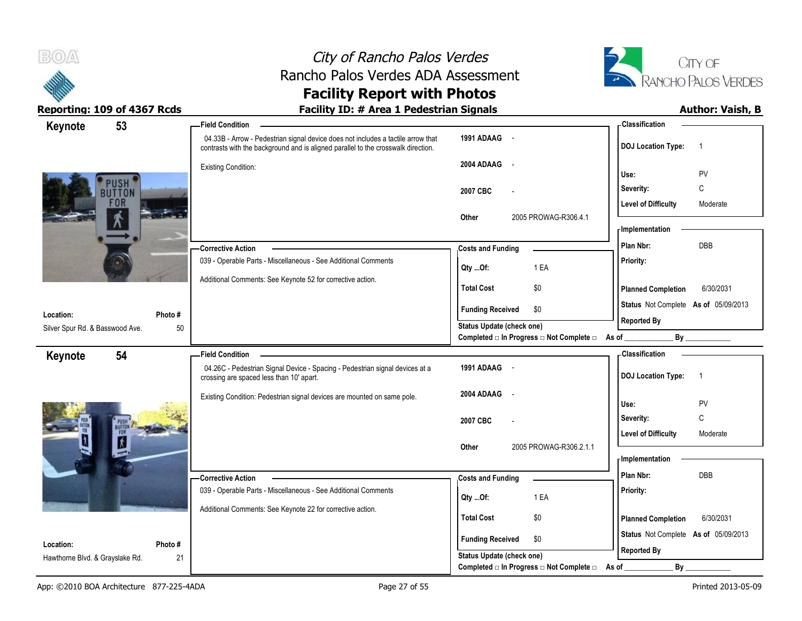



| 53<br>Keynote                   |         | <b>Field Condition</b>                                                                                                                                                |                                                                             | - Classification                            |
|---------------------------------|---------|-----------------------------------------------------------------------------------------------------------------------------------------------------------------------|-----------------------------------------------------------------------------|---------------------------------------------|
|                                 |         | 04.33B - Arrow - Pedestrian signal device does not includes a tactile arrow that<br>contrasts with the background and is aligned parallel to the crosswalk direction. | 1991 ADAAG -                                                                | <b>DOJ Location Type:</b><br>$\overline{1}$ |
|                                 |         | Existing Condition:                                                                                                                                                   | 2004 ADAAG -                                                                |                                             |
| <b>USH</b>                      |         |                                                                                                                                                                       |                                                                             | PV<br>Use:                                  |
| <b>BUTTON</b>                   |         |                                                                                                                                                                       | 2007 CBC                                                                    | C<br>Severity:                              |
| <b>FOR</b>                      |         |                                                                                                                                                                       |                                                                             | <b>Level of Difficulty</b><br>Moderate      |
|                                 |         |                                                                                                                                                                       | 2005 PROWAG-R306.4.1<br>Other                                               | <b>Implementation</b>                       |
|                                 |         |                                                                                                                                                                       |                                                                             | <b>DBB</b><br>Plan Nbr:                     |
|                                 |         | -Corrective Action                                                                                                                                                    | <b>Costs and Funding</b>                                                    |                                             |
|                                 |         | 039 - Operable Parts - Miscellaneous - See Additional Comments                                                                                                        | 1 EA<br>Qty Of:                                                             | Priority:                                   |
|                                 |         | Additional Comments: See Keynote 52 for corrective action.                                                                                                            | <b>Total Cost</b><br>\$0                                                    | 6/30/2031<br><b>Planned Completion</b>      |
|                                 |         |                                                                                                                                                                       | <b>Funding Received</b><br>\$0                                              | Status Not Complete As of 05/09/2013        |
| Location:                       | Photo # |                                                                                                                                                                       |                                                                             | <b>Reported By</b>                          |
| Silver Spur Rd. & Basswood Ave. | 50      |                                                                                                                                                                       | Status Update (check one)<br>Completed □ In Progress □ Not Complete □ As of | By                                          |
| 54<br>Keynote                   |         | <b>Field Condition</b>                                                                                                                                                |                                                                             | - Classification                            |
|                                 |         | 04.26C - Pedestrian Signal Device - Spacing - Pedestrian signal devices at a<br>crossing are spaced less than 10' apart.                                              | 1991 ADAAG -                                                                | <b>DOJ Location Type:</b><br>$\overline{1}$ |
|                                 |         | Existing Condition: Pedestrian signal devices are mounted on same pole.                                                                                               | 2004 ADAAG<br>$\sim$                                                        |                                             |
|                                 |         |                                                                                                                                                                       |                                                                             | PV<br>Use:                                  |
|                                 |         |                                                                                                                                                                       | 2007 CBC                                                                    | C<br>Severity:                              |
| BUTTON<br>FOR                   |         |                                                                                                                                                                       |                                                                             | <b>Level of Difficulty</b><br>Moderate      |
|                                 |         |                                                                                                                                                                       | 2005 PROWAG-R306.2.1.1<br>Other                                             |                                             |
|                                 |         |                                                                                                                                                                       |                                                                             | - Implementation                            |
|                                 |         | -Corrective Action                                                                                                                                                    | <b>Costs and Funding</b>                                                    | Plan Nbr:<br><b>DBB</b>                     |
|                                 |         | 039 - Operable Parts - Miscellaneous - See Additional Comments                                                                                                        | 1 EA<br>Qty Of:                                                             | Priority:                                   |
|                                 |         | Additional Comments: See Keynote 22 for corrective action.                                                                                                            |                                                                             |                                             |
|                                 |         |                                                                                                                                                                       | \$0<br><b>Total Cost</b>                                                    | 6/30/2031<br><b>Planned Completion</b>      |
| Location:                       | Photo#  |                                                                                                                                                                       | <b>Funding Received</b><br>\$0                                              | Status Not Complete As of 05/09/2013        |
| Hawthorne Blvd. & Grayslake Rd. | 21      |                                                                                                                                                                       | Status Update (check one)                                                   | <b>Reported By</b>                          |
|                                 |         |                                                                                                                                                                       | Completed □ In Progress □ Not Complete □                                    | By<br>As of                                 |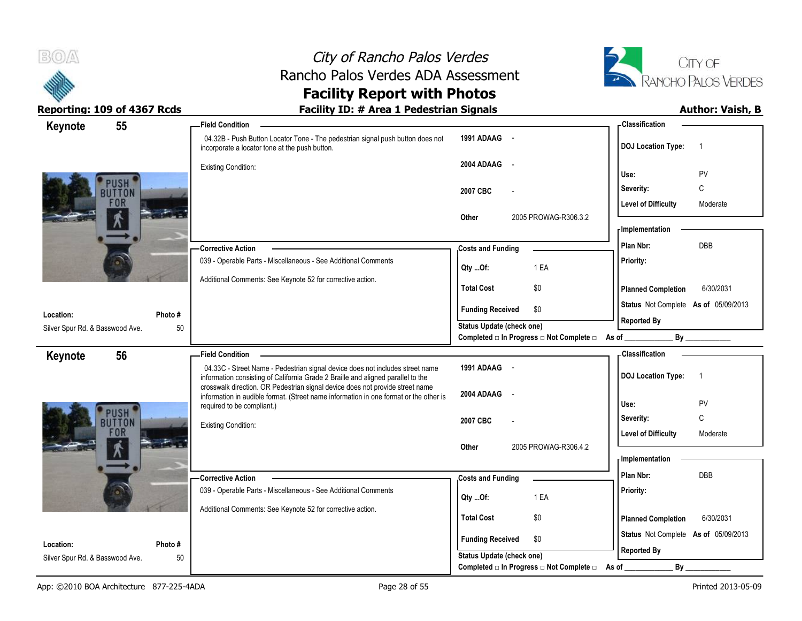



| 55<br>Keynote                   | <b>Field Condition</b>                                                                                                                                                 |                                                                          | - Classification                            |
|---------------------------------|------------------------------------------------------------------------------------------------------------------------------------------------------------------------|--------------------------------------------------------------------------|---------------------------------------------|
|                                 | 04.32B - Push Button Locator Tone - The pedestrian signal push button does not<br>incorporate a locator tone at the push button.                                       | 1991 ADAAG -                                                             | <b>DOJ</b> Location Type:<br>-1             |
|                                 | <b>Existing Condition:</b>                                                                                                                                             | 2004 ADAAG -                                                             |                                             |
| USH                             |                                                                                                                                                                        |                                                                          | PV<br>Use:                                  |
| <b>BUTTON</b>                   |                                                                                                                                                                        | 2007 CBC                                                                 | C<br>Severity:                              |
| <b>FOR</b>                      |                                                                                                                                                                        |                                                                          | <b>Level of Difficulty</b><br>Moderate      |
|                                 |                                                                                                                                                                        | 2005 PROWAG-R306.3.2<br>Other                                            |                                             |
|                                 |                                                                                                                                                                        |                                                                          | - Implementation                            |
|                                 | <b>Corrective Action</b>                                                                                                                                               | <b>Costs and Funding</b>                                                 | DBB<br>Plan Nbr:                            |
|                                 | 039 - Operable Parts - Miscellaneous - See Additional Comments                                                                                                         | 1 EA<br>$Qty$ Of:                                                        | Priority:                                   |
|                                 | Additional Comments: See Keynote 52 for corrective action.                                                                                                             |                                                                          |                                             |
|                                 |                                                                                                                                                                        | <b>Total Cost</b><br>\$0                                                 | <b>Planned Completion</b><br>6/30/2031      |
| Photo#<br>Location:             |                                                                                                                                                                        | \$0<br><b>Funding Received</b>                                           | Status Not Complete As of 05/09/2013        |
| Silver Spur Rd. & Basswood Ave. | 50                                                                                                                                                                     | Status Update (check one)                                                | <b>Reported By</b>                          |
|                                 |                                                                                                                                                                        | Completed $\square$ In Progress $\square$ Not Complete $\square$ As of _ | By                                          |
| 56<br>Keynote                   | <b>Field Condition</b>                                                                                                                                                 |                                                                          | - Classification                            |
|                                 | 04.33C - Street Name - Pedestrian signal device does not includes street name<br>information consisting of California Grade 2 Braille and aligned parallel to the      | 1991 ADAAG -                                                             | <b>DOJ</b> Location Type:<br>$\overline{1}$ |
|                                 | crosswalk direction. OR Pedestrian signal device does not provide street name<br>information in audible format. (Street name information in one format or the other is | 2004 ADAAG -                                                             |                                             |
|                                 | required to be compliant.)                                                                                                                                             |                                                                          | PV<br>Use:                                  |
| <b>PUSH</b><br>BUTTON           | Existing Condition:                                                                                                                                                    | 2007 CBC                                                                 | C<br>Severity:                              |
| <b>FOR</b>                      |                                                                                                                                                                        |                                                                          | <b>Level of Difficulty</b><br>Moderate      |
|                                 |                                                                                                                                                                        | 2005 PROWAG-R306.4.2<br>Other                                            |                                             |
|                                 |                                                                                                                                                                        |                                                                          | - Implementation                            |
|                                 | - Corrective Action                                                                                                                                                    | <b>Costs and Funding</b>                                                 | DBB<br>Plan Nbr:                            |
|                                 | 039 - Operable Parts - Miscellaneous - See Additional Comments                                                                                                         | 1 EA<br>Qty Of:                                                          | Priority:                                   |
|                                 | Additional Comments: See Keynote 52 for corrective action.                                                                                                             |                                                                          |                                             |
|                                 |                                                                                                                                                                        | <b>Total Cost</b><br>\$0                                                 | <b>Planned Completion</b><br>6/30/2031      |
| Location:<br>Photo#             |                                                                                                                                                                        | <b>Funding Received</b><br>\$0                                           | Status Not Complete As of 05/09/2013        |
| Silver Spur Rd. & Basswood Ave. | 50                                                                                                                                                                     | <b>Status Update (check one)</b>                                         | <b>Reported By</b>                          |
|                                 |                                                                                                                                                                        | Completed □ In Progress □ Not Complete □                                 | $By_$<br>As of                              |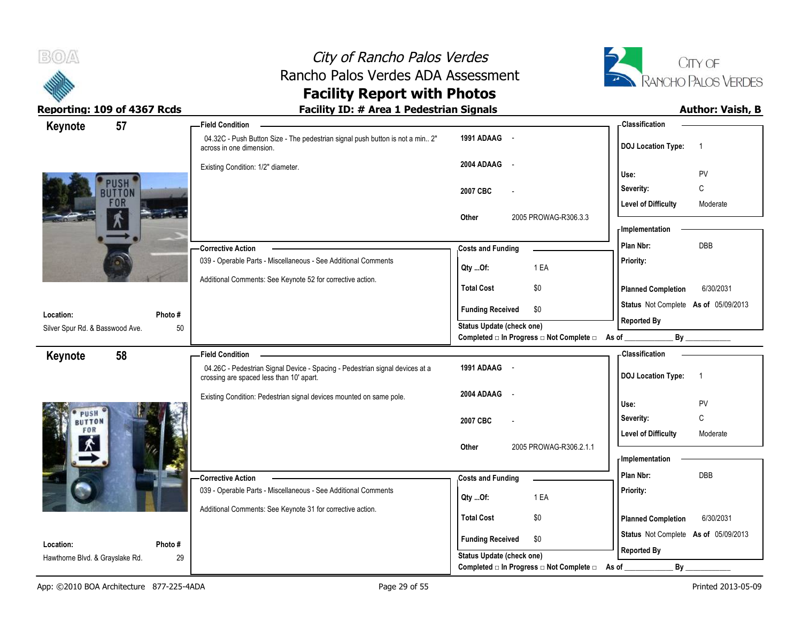



| 57<br>Keynote                   | <b>Field Condition</b>                                                                                                   |                                                  | - Classification                            |
|---------------------------------|--------------------------------------------------------------------------------------------------------------------------|--------------------------------------------------|---------------------------------------------|
|                                 | 04.32C - Push Button Size - The pedestrian signal push button is not a min 2"<br>across in one dimension.                | 1991 ADAAG -                                     | <b>DOJ</b> Location Type:<br>$\overline{1}$ |
|                                 | Existing Condition: 1/2" diameter.                                                                                       | 2004 ADAAG<br>$\sim$                             | PV                                          |
| <b>USH</b>                      |                                                                                                                          |                                                  | Use:                                        |
| <b>UTTON</b>                    |                                                                                                                          | 2007 CBC                                         | C<br>Severity:                              |
| <b>FOR</b>                      |                                                                                                                          |                                                  | <b>Level of Difficulty</b><br>Moderate      |
|                                 |                                                                                                                          | 2005 PROWAG-R306.3.3<br>Other                    | <b>Implementation</b>                       |
|                                 |                                                                                                                          |                                                  | <b>DBB</b><br>Plan Nbr:                     |
|                                 | <b>Corrective Action</b><br>039 - Operable Parts - Miscellaneous - See Additional Comments                               | <b>Costs and Funding</b>                         |                                             |
|                                 |                                                                                                                          | 1 EA<br>Qty Of:                                  | Priority:                                   |
|                                 | Additional Comments: See Keynote 52 for corrective action.                                                               | <b>Total Cost</b><br>\$0                         | 6/30/2031<br><b>Planned Completion</b>      |
|                                 |                                                                                                                          | <b>Funding Received</b><br>\$0                   | Status Not Complete As of 05/09/2013        |
| Location:                       | Photo#                                                                                                                   | Status Update (check one)                        | <b>Reported By</b>                          |
| Silver Spur Rd. & Basswood Ave. | 50                                                                                                                       | Completed □ In Progress □ Not Complete □ As of _ |                                             |
| 58<br>Keynote                   | <b>Field Condition</b>                                                                                                   |                                                  | - Classification                            |
|                                 | 04.26C - Pedestrian Signal Device - Spacing - Pedestrian signal devices at a<br>crossing are spaced less than 10' apart. | 1991 ADAAG -                                     | <b>DOJ</b> Location Type:<br>$\overline{1}$ |
|                                 | Existing Condition: Pedestrian signal devices mounted on same pole.                                                      | 2004 ADAAG<br>$\sim$                             |                                             |
| PUSH                            |                                                                                                                          |                                                  | Use:<br>PV                                  |
| <b>BUTTON</b>                   |                                                                                                                          | 2007 CBC                                         | Severity:<br>C                              |
| FOR                             |                                                                                                                          |                                                  | <b>Level of Difficulty</b><br>Moderate      |
|                                 |                                                                                                                          | 2005 PROWAG-R306.2.1.1<br>Other                  | - Implementation                            |
|                                 |                                                                                                                          |                                                  |                                             |
|                                 | -Corrective Action                                                                                                       | <b>Costs and Funding</b>                         | Plan Nbr:<br>DBB                            |
|                                 | 039 - Operable Parts - Miscellaneous - See Additional Comments                                                           | 1 EA<br>$Qty$ Of:                                | Priority:                                   |
|                                 | Additional Comments: See Keynote 31 for corrective action.                                                               | \$0<br><b>Total Cost</b>                         | 6/30/2031                                   |
|                                 |                                                                                                                          |                                                  | <b>Planned Completion</b>                   |
| Location:<br>Photo#             |                                                                                                                          | <b>Funding Received</b><br>\$0                   | Status Not Complete As of 05/09/2013        |
|                                 |                                                                                                                          |                                                  |                                             |
| Hawthorne Blvd. & Grayslake Rd. | 29                                                                                                                       | Status Update (check one)                        | <b>Reported By</b>                          |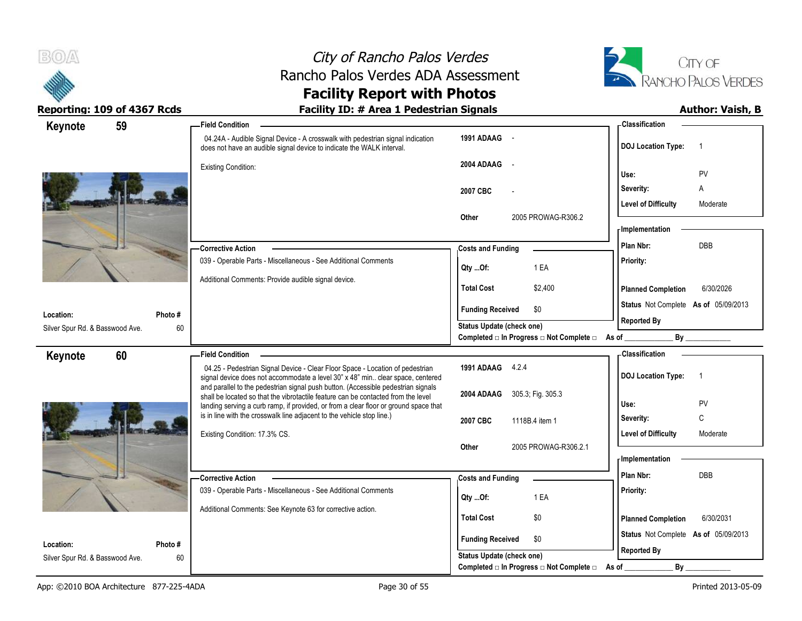



| Keynote                         | 59      | <b>Field Condition</b>                                                                                                                                              |                                                      | - Classification                            |
|---------------------------------|---------|---------------------------------------------------------------------------------------------------------------------------------------------------------------------|------------------------------------------------------|---------------------------------------------|
|                                 |         | 04.24A - Audible Signal Device - A crosswalk with pedestrian signal indication<br>does not have an audible signal device to indicate the WALK interval.             | 1991 ADAAG -                                         | <b>DOJ</b> Location Type:<br>$\overline{1}$ |
|                                 |         | <b>Existing Condition:</b>                                                                                                                                          | 2004 ADAAG<br>$\sim$                                 |                                             |
|                                 |         |                                                                                                                                                                     |                                                      | PV<br>Use:                                  |
|                                 |         |                                                                                                                                                                     | 2007 CBC                                             | Severity:<br>A                              |
|                                 |         |                                                                                                                                                                     |                                                      | <b>Level of Difficulty</b><br>Moderate      |
|                                 |         |                                                                                                                                                                     | 2005 PROWAG-R306.2<br>Other                          | - Implementation                            |
|                                 |         |                                                                                                                                                                     |                                                      | <b>DBB</b>                                  |
|                                 |         | <b>Corrective Action</b>                                                                                                                                            | <b>Costs and Funding</b>                             | Plan Nbr:                                   |
|                                 |         | 039 - Operable Parts - Miscellaneous - See Additional Comments                                                                                                      | 1 EA<br>Qty Of:                                      | Priority:                                   |
|                                 |         | Additional Comments: Provide audible signal device.                                                                                                                 | <b>Total Cost</b><br>\$2,400                         | <b>Planned Completion</b><br>6/30/2026      |
|                                 |         |                                                                                                                                                                     | <b>Funding Received</b><br>\$0                       | Status Not Complete As of 05/09/2013        |
| Location:                       | Photo # |                                                                                                                                                                     | <b>Status Update (check one)</b>                     | <b>Reported By</b>                          |
| Silver Spur Rd. & Basswood Ave. | 60      |                                                                                                                                                                     | Completed $□$ In Progress $□$ Not Complete $□$ As of | By                                          |
| Keynote                         | 60      | <b>Field Condition</b>                                                                                                                                              |                                                      | - Classification                            |
|                                 |         | 04.25 - Pedestrian Signal Device - Clear Floor Space - Location of pedestrian                                                                                       | 1991 ADAAG 4.2.4                                     |                                             |
|                                 |         | signal device does not accommodate a level 30" x 48" min clear space, centered<br>and parallel to the pedestrian signal push button. (Accessible pedestrian signals |                                                      | <b>DOJ Location Type:</b><br>$\overline{1}$ |
|                                 |         | shall be located so that the vibrotactile feature can be contacted from the level                                                                                   | 2004 ADAAG<br>305.3; Fig. 305.3                      | PV<br>Use:                                  |
|                                 |         | landing serving a curb ramp, if provided, or from a clear floor or ground space that<br>is in line with the crosswalk line adjacent to the vehicle stop line.)      |                                                      | C                                           |
|                                 |         |                                                                                                                                                                     | 2007 CBC<br>1118B.4 item 1                           | Severity:                                   |
|                                 |         | Existing Condition: 17.3% CS.                                                                                                                                       | 2005 PROWAG-R306.2.1<br>Other                        | <b>Level of Difficulty</b><br>Moderate      |
|                                 |         |                                                                                                                                                                     |                                                      | <b>Implementation</b>                       |
|                                 |         |                                                                                                                                                                     |                                                      | <b>DBB</b><br>Plan Nbr:                     |
|                                 |         | -Corrective Action<br>039 - Operable Parts - Miscellaneous - See Additional Comments                                                                                | <b>Costs and Funding</b>                             | Priority:                                   |
|                                 |         |                                                                                                                                                                     | 1 EA<br>Qty Of:                                      |                                             |
|                                 |         | Additional Comments: See Keynote 63 for corrective action.                                                                                                          | <b>Total Cost</b><br>\$0                             | 6/30/2031<br><b>Planned Completion</b>      |
|                                 |         |                                                                                                                                                                     |                                                      | Status Not Complete As of 05/09/2013        |
| Location:                       | Photo # |                                                                                                                                                                     | <b>Funding Received</b><br>\$0                       |                                             |
| Silver Spur Rd. & Basswood Ave. | 60      |                                                                                                                                                                     | <b>Status Update (check one)</b>                     | <b>Reported By</b>                          |
|                                 |         |                                                                                                                                                                     | Completed □ In Progress □ Not Complete □             | By<br>As of                                 |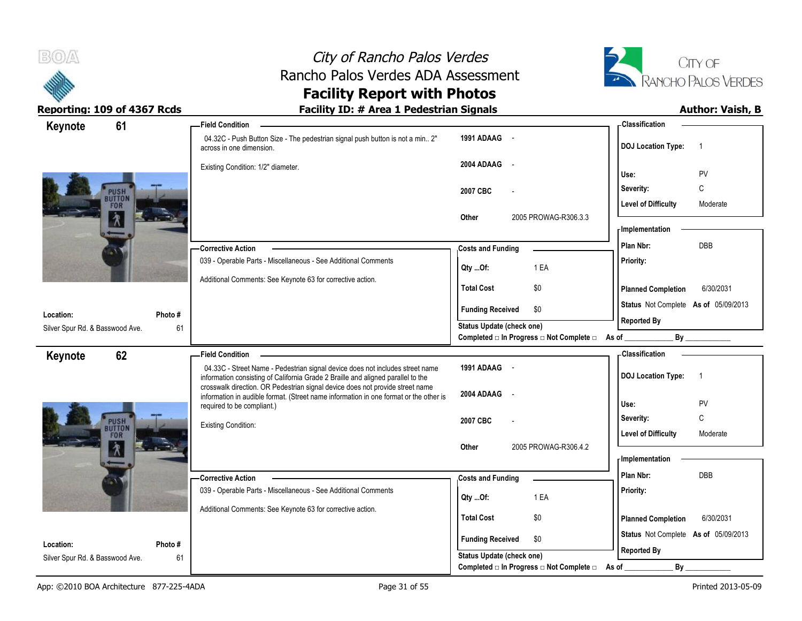



| 61<br>Keynote                         | <b>Field Condition</b>                                                                                                                                                 |                                                                              | - Classification                                                    |
|---------------------------------------|------------------------------------------------------------------------------------------------------------------------------------------------------------------------|------------------------------------------------------------------------------|---------------------------------------------------------------------|
|                                       | 04.32C - Push Button Size - The pedestrian signal push button is not a min 2"<br>across in one dimension.                                                              | 1991 ADAAG -                                                                 | <b>DOJ Location Type:</b><br>-1                                     |
|                                       | Existing Condition: 1/2" diameter.                                                                                                                                     | 2004 ADAAG<br>$\sim$                                                         | PV<br>Use:                                                          |
|                                       |                                                                                                                                                                        | 2007 CBC                                                                     | C<br>Severity:                                                      |
| <b>BUTTOI</b><br><b>FOR</b>           |                                                                                                                                                                        | 2005 PROWAG-R306.3.3<br>Other                                                | <b>Level of Difficulty</b><br>Moderate                              |
| W                                     |                                                                                                                                                                        |                                                                              | - Implementation                                                    |
|                                       | - Corrective Action                                                                                                                                                    | <b>Costs and Funding</b>                                                     | Plan Nbr:<br>DBB                                                    |
|                                       | 039 - Operable Parts - Miscellaneous - See Additional Comments                                                                                                         | 1 EA<br>Qty Of:                                                              | Priority:                                                           |
|                                       | Additional Comments: See Keynote 63 for corrective action.                                                                                                             | <b>Total Cost</b><br>\$0                                                     | <b>Planned Completion</b><br>6/30/2031                              |
| Location:<br>Photo#                   |                                                                                                                                                                        | <b>Funding Received</b><br>\$0                                               | Status Not Complete As of 05/09/2013                                |
| Silver Spur Rd. & Basswood Ave.<br>61 |                                                                                                                                                                        | <b>Status Update (check one)</b>                                             | <b>Reported By</b>                                                  |
|                                       |                                                                                                                                                                        | Completed □ In Progress □ Not Complete □ As of _                             |                                                                     |
| 62<br>Keynote                         | <b>Field Condition</b>                                                                                                                                                 |                                                                              | <b>Classification</b>                                               |
|                                       | 04.33C - Street Name - Pedestrian signal device does not includes street name                                                                                          | 1991 ADAAG -                                                                 | <b>DOJ</b> Location Type:<br>$\overline{1}$                         |
|                                       | information consisting of California Grade 2 Braille and aligned parallel to the                                                                                       |                                                                              |                                                                     |
|                                       | crosswalk direction. OR Pedestrian signal device does not provide street name<br>information in audible format. (Street name information in one format or the other is | 2004 ADAAG<br>$\sim$                                                         |                                                                     |
|                                       | required to be compliant.)                                                                                                                                             |                                                                              | Use:<br>PV                                                          |
| PUSH<br><b>BUTTON</b><br><b>FOR</b>   | <b>Existing Condition:</b>                                                                                                                                             | 2007 CBC                                                                     | $\mathsf{C}$<br>Severity:<br><b>Level of Difficulty</b><br>Moderate |
| 角                                     |                                                                                                                                                                        | 2005 PROWAG-R306.4.2<br>Other                                                |                                                                     |
|                                       |                                                                                                                                                                        |                                                                              | <b>Implementation</b>                                               |
|                                       | - Corrective Action                                                                                                                                                    | <b>Costs and Funding</b>                                                     | Plan Nbr:<br><b>DBB</b>                                             |
|                                       | 039 - Operable Parts - Miscellaneous - See Additional Comments                                                                                                         | 1 EA<br>Qty Of:                                                              | Priority:                                                           |
|                                       | Additional Comments: See Keynote 63 for corrective action.                                                                                                             | <b>Total Cost</b><br>\$0                                                     | <b>Planned Completion</b><br>6/30/2031                              |
| Location:<br>Photo#                   |                                                                                                                                                                        | <b>Funding Received</b><br>\$0                                               | Status Not Complete As of 05/09/2013                                |
| 61<br>Silver Spur Rd. & Basswood Ave. |                                                                                                                                                                        | <b>Status Update (check one)</b><br>Completed □ In Progress □ Not Complete □ | <b>Reported By</b><br>By                                            |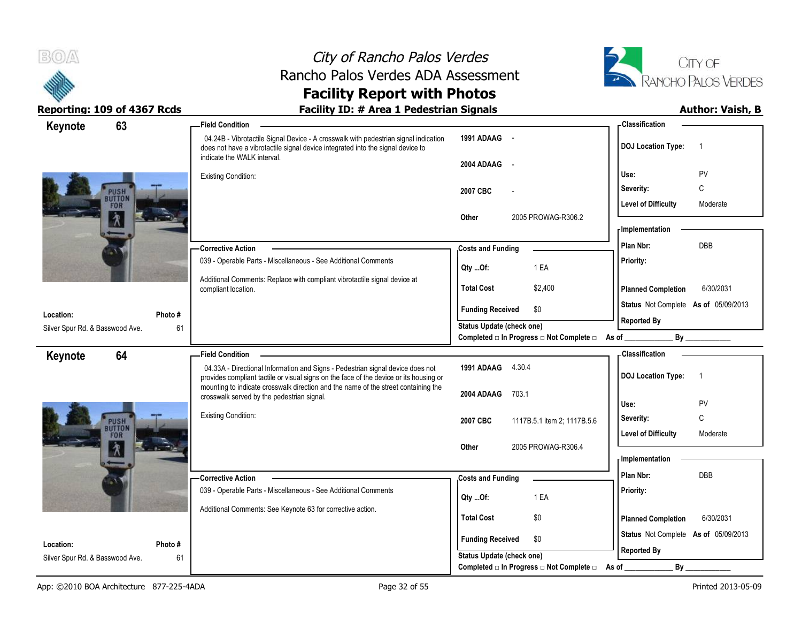



| 63<br>Keynote                         | <b>Field Condition</b>                                                                                                                                                                                |                                                             | - Classification                                           |
|---------------------------------------|-------------------------------------------------------------------------------------------------------------------------------------------------------------------------------------------------------|-------------------------------------------------------------|------------------------------------------------------------|
|                                       | 04.24B - Vibrotactile Signal Device - A crosswalk with pedestrian signal indication<br>does not have a vibrotactile signal device integrated into the signal device to<br>indicate the WALK interval. | 1991 ADAAG -                                                | <b>DOJ Location Type:</b><br>$\overline{1}$                |
|                                       |                                                                                                                                                                                                       | 2004 ADAAG<br>$\sim$ $-$                                    |                                                            |
|                                       | <b>Existing Condition:</b>                                                                                                                                                                            |                                                             | Use:<br>PV                                                 |
| <b>BUTTON</b>                         |                                                                                                                                                                                                       | 2007 CBC                                                    | С<br>Severity:                                             |
| <b>FOR</b>                            |                                                                                                                                                                                                       |                                                             | <b>Level of Difficulty</b><br>Moderate                     |
| М                                     |                                                                                                                                                                                                       | 2005 PROWAG-R306.2<br>Other                                 | - Implementation                                           |
|                                       |                                                                                                                                                                                                       |                                                             |                                                            |
|                                       | - Corrective Action                                                                                                                                                                                   | <b>Costs and Funding</b>                                    | Plan Nbr:<br>DBB                                           |
|                                       | 039 - Operable Parts - Miscellaneous - See Additional Comments                                                                                                                                        | 1 EA<br>Qty Of:                                             | Priority:                                                  |
|                                       | Additional Comments: Replace with compliant vibrotactile signal device at                                                                                                                             | <b>Total Cost</b><br>\$2,400                                |                                                            |
|                                       | compliant location.                                                                                                                                                                                   |                                                             | 6/30/2031<br><b>Planned Completion</b>                     |
| Location:<br>Photo #                  |                                                                                                                                                                                                       | <b>Funding Received</b><br>\$0                              | Status Not Complete As of 05/09/2013                       |
| 61<br>Silver Spur Rd. & Basswood Ave. |                                                                                                                                                                                                       | <b>Status Update (check one)</b>                            | <b>Reported By</b>                                         |
|                                       |                                                                                                                                                                                                       | Completed □ In Progress □ Not Complete □ As of              | By                                                         |
| 64<br>Keynote                         | <b>Field Condition</b>                                                                                                                                                                                |                                                             | - Classification                                           |
|                                       | 04.33A - Directional Information and Signs - Pedestrian signal device does not<br>provides compliant tactile or visual signs on the face of the device or its housing or                              | 1991 ADAAG 4.30.4                                           | <b>DOJ Location Type:</b><br>$\overline{1}$                |
|                                       | mounting to indicate crosswalk direction and the name of the street containing the                                                                                                                    |                                                             |                                                            |
|                                       | crosswalk served by the pedestrian signal.                                                                                                                                                            | 2004 ADAAG<br>703.1                                         | PV<br>Use:                                                 |
|                                       | <b>Existing Condition:</b>                                                                                                                                                                            | 2007 CBC<br>1117B.5.1 item 2; 1117B.5.6                     | С<br>Severity:                                             |
| PUSH<br><b>BUTTON</b><br>FOR          |                                                                                                                                                                                                       |                                                             | <b>Level of Difficulty</b><br>Moderate                     |
|                                       |                                                                                                                                                                                                       | 2005 PROWAG-R306.4<br>Other                                 |                                                            |
| W.                                    |                                                                                                                                                                                                       |                                                             | - Implementation                                           |
|                                       | - Corrective Action                                                                                                                                                                                   | <b>Costs and Funding</b>                                    | Plan Nbr:<br>DBB                                           |
|                                       | 039 - Operable Parts - Miscellaneous - See Additional Comments                                                                                                                                        |                                                             | Priority:                                                  |
|                                       |                                                                                                                                                                                                       | 1 EA<br>Qty Of:                                             |                                                            |
|                                       | Additional Comments: See Keynote 63 for corrective action.                                                                                                                                            | <b>Total Cost</b><br>\$0                                    | 6/30/2031<br><b>Planned Completion</b>                     |
|                                       |                                                                                                                                                                                                       |                                                             |                                                            |
| Location:<br>Photo#                   |                                                                                                                                                                                                       |                                                             |                                                            |
| Silver Spur Rd. & Basswood Ave.<br>61 |                                                                                                                                                                                                       |                                                             |                                                            |
|                                       |                                                                                                                                                                                                       | <b>Funding Received</b><br>\$0<br>Status Update (check one) | Status Not Complete As of 05/09/2013<br><b>Reported By</b> |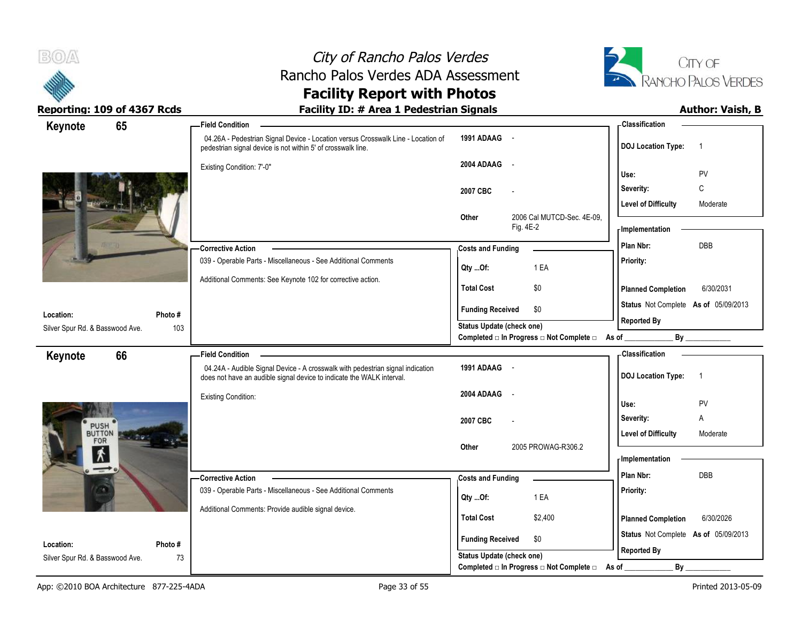



| Keynote                                      | 65             | <b>Field Condition</b>                                                                                                                                  |                                                  | <b>Classification</b>                       |
|----------------------------------------------|----------------|---------------------------------------------------------------------------------------------------------------------------------------------------------|--------------------------------------------------|---------------------------------------------|
|                                              |                | 04.26A - Pedestrian Signal Device - Location versus Crosswalk Line - Location of<br>pedestrian signal device is not within 5' of crosswalk line.        | 1991 ADAAG -                                     | <b>DOJ Location Type:</b><br>$\overline{1}$ |
|                                              |                | Existing Condition: 7'-0"                                                                                                                               | 2004 ADAAG -                                     | PV<br>Use:                                  |
|                                              |                |                                                                                                                                                         |                                                  | $\mathsf C$<br>Severity:                    |
|                                              |                |                                                                                                                                                         | 2007 CBC                                         | <b>Level of Difficulty</b><br>Moderate      |
|                                              |                |                                                                                                                                                         | 2006 Cal MUTCD-Sec. 4E-09,<br>Other<br>Fig. 4E-2 | - Implementation                            |
|                                              |                | <b>Corrective Action</b>                                                                                                                                | <b>Costs and Funding</b>                         | <b>DBB</b><br>Plan Nbr:                     |
|                                              |                | 039 - Operable Parts - Miscellaneous - See Additional Comments                                                                                          | 1 EA<br>Qty Of:                                  | Priority:                                   |
|                                              |                | Additional Comments: See Keynote 102 for corrective action.                                                                                             | <b>Total Cost</b><br>\$0                         | <b>Planned Completion</b><br>6/30/2031      |
|                                              |                |                                                                                                                                                         | \$0<br><b>Funding Received</b>                   | Status Not Complete As of 05/09/2013        |
| Location:<br>Silver Spur Rd. & Basswood Ave. | Photo #<br>103 |                                                                                                                                                         | <b>Status Update (check one)</b>                 | <b>Reported By</b>                          |
|                                              |                |                                                                                                                                                         | Completed □ In Progress □ Not Complete □ As of _ |                                             |
| Keynote                                      | 66             | <b>Field Condition</b>                                                                                                                                  |                                                  | - Classification                            |
|                                              |                | 04.24A - Audible Signal Device - A crosswalk with pedestrian signal indication<br>does not have an audible signal device to indicate the WALK interval. | 1991 ADAAG -                                     | <b>DOJ Location Type:</b><br>$\overline{1}$ |
|                                              |                | <b>Existing Condition:</b>                                                                                                                              | 2004 ADAAG<br>$\sim$ $\sim$                      | PV<br>Use:                                  |
|                                              |                |                                                                                                                                                         | 2007 CBC                                         | Severity:<br>Α                              |
| PUSH <sup>®</sup>                            |                |                                                                                                                                                         |                                                  | <b>Level of Difficulty</b><br>Moderate      |
| BUTTON<br>FOR                                |                |                                                                                                                                                         | 2005 PROWAG-R306.2<br>Other                      |                                             |
| $\vert \mathbf{r} \vert$                     |                |                                                                                                                                                         |                                                  | - Implementation                            |
| $\rightarrow$                                |                | – Corrective Action                                                                                                                                     | <b>Costs and Funding</b>                         | Plan Nbr:<br><b>DBB</b>                     |
|                                              |                | 039 - Operable Parts - Miscellaneous - See Additional Comments                                                                                          |                                                  | Priority:                                   |
|                                              |                | Additional Comments: Provide audible signal device.                                                                                                     | 1 EA<br>Qty Of:                                  |                                             |
|                                              |                |                                                                                                                                                         | <b>Total Cost</b><br>\$2,400                     | <b>Planned Completion</b><br>6/30/2026      |
| Location:                                    | Photo#         |                                                                                                                                                         | \$0<br><b>Funding Received</b>                   | Status Not Complete As of 05/09/2013        |
| Silver Spur Rd. & Basswood Ave.              | 73             |                                                                                                                                                         | <b>Status Update (check one)</b>                 | <b>Reported By</b>                          |
|                                              |                |                                                                                                                                                         | Completed □ In Progress □ Not Complete □         | As of<br>$By$ <sub>--</sub>                 |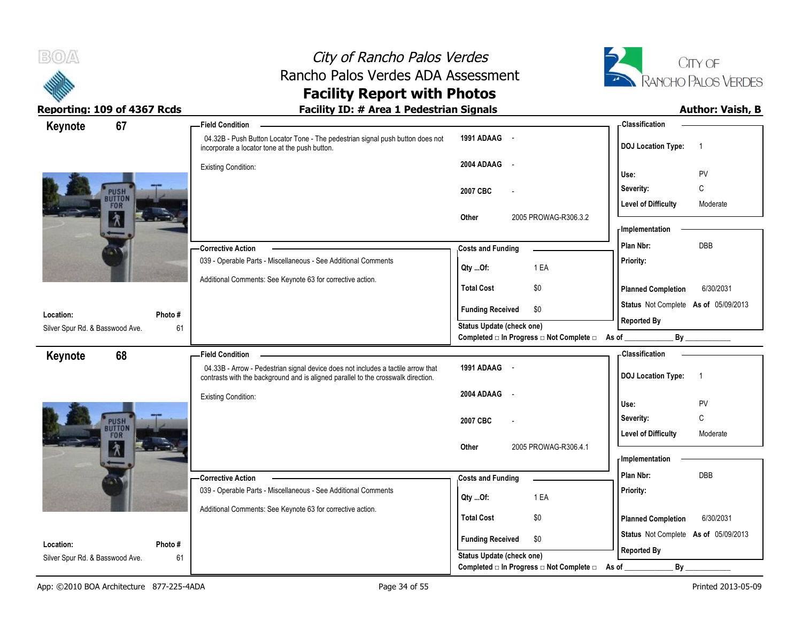



# **Facility Report with Photos**

| 67<br>Keynote                   |         | <b>Field Condition</b>                                                                                                                                                |                                          | -Classification                             |
|---------------------------------|---------|-----------------------------------------------------------------------------------------------------------------------------------------------------------------------|------------------------------------------|---------------------------------------------|
|                                 |         | 04.32B - Push Button Locator Tone - The pedestrian signal push button does not<br>incorporate a locator tone at the push button.                                      | 1991 ADAAG -                             | <b>DOJ Location Type:</b><br>$\overline{1}$ |
|                                 |         | <b>Existing Condition:</b>                                                                                                                                            | 2004 ADAAG -                             |                                             |
|                                 |         |                                                                                                                                                                       |                                          | PV<br>Use:                                  |
| PUSH<br><b>BUTTON</b>           |         |                                                                                                                                                                       | 2007 CBC                                 | Severity:<br>C                              |
| <b>FOR</b>                      |         |                                                                                                                                                                       |                                          | <b>Level of Difficulty</b><br>Moderate      |
| $\lambda$                       |         |                                                                                                                                                                       | 2005 PROWAG-R306.3.2<br>Other            | - Implementation                            |
|                                 |         |                                                                                                                                                                       |                                          | <b>DBB</b><br>Plan Nbr:                     |
|                                 |         | -Corrective Action<br>039 - Operable Parts - Miscellaneous - See Additional Comments                                                                                  | <b>Costs and Funding</b>                 |                                             |
|                                 |         |                                                                                                                                                                       | 1 EA<br>Qty Of:                          | Priority:                                   |
|                                 |         | Additional Comments: See Keynote 63 for corrective action.                                                                                                            | <b>Total Cost</b><br>\$0                 | 6/30/2031<br><b>Planned Completion</b>      |
|                                 |         |                                                                                                                                                                       | <b>Funding Received</b><br>\$0           | Status Not Complete As of 05/09/2013        |
| Location:                       | Photo#  |                                                                                                                                                                       | Status Update (check one)                | <b>Reported By</b>                          |
| Silver Spur Rd. & Basswood Ave. | 61      |                                                                                                                                                                       | Completed □ In Progress □ Not Complete □ | As of                                       |
| 68<br>Keynote                   |         | <b>Field Condition</b>                                                                                                                                                |                                          | - Classification                            |
|                                 |         | 04.33B - Arrow - Pedestrian signal device does not includes a tactile arrow that<br>contrasts with the background and is aligned parallel to the crosswalk direction. | 1991 ADAAG -                             | <b>DOJ Location Type:</b><br>$\overline{1}$ |
|                                 |         | <b>Existing Condition:</b>                                                                                                                                            | 2004 ADAAG<br>$\sim$                     |                                             |
|                                 |         |                                                                                                                                                                       |                                          | Use:<br>PV                                  |
| <b>PUSH</b><br><b>BUTTON</b>    |         |                                                                                                                                                                       | 2007 CBC                                 | $\mathsf C$<br>Severity:                    |
| <b>FOR</b>                      |         |                                                                                                                                                                       |                                          | <b>Level of Difficulty</b><br>Moderate      |
| W.                              |         |                                                                                                                                                                       | Other<br>2005 PROWAG-R306.4.1            | <b>Implementation</b>                       |
|                                 |         |                                                                                                                                                                       |                                          | Plan Nbr:<br><b>DBB</b>                     |
|                                 |         | -Corrective Action<br>039 - Operable Parts - Miscellaneous - See Additional Comments                                                                                  | <b>Costs and Funding</b>                 |                                             |
|                                 |         |                                                                                                                                                                       | 1 EA<br>Qty Of:                          | Priority:                                   |
|                                 |         | Additional Comments: See Keynote 63 for corrective action.                                                                                                            | <b>Total Cost</b><br>\$0                 | 6/30/2031<br><b>Planned Completion</b>      |
|                                 |         |                                                                                                                                                                       |                                          |                                             |
| Location:                       | Photo # |                                                                                                                                                                       | \$0<br><b>Funding Received</b>           | Status Not Complete As of 05/09/2013        |
| Silver Spur Rd. & Basswood Ave. | 61      |                                                                                                                                                                       | <b>Status Update (check one)</b>         | <b>Reported By</b>                          |
|                                 |         |                                                                                                                                                                       | Completed □ In Progress □ Not Complete □ | As of<br>$By_$                              |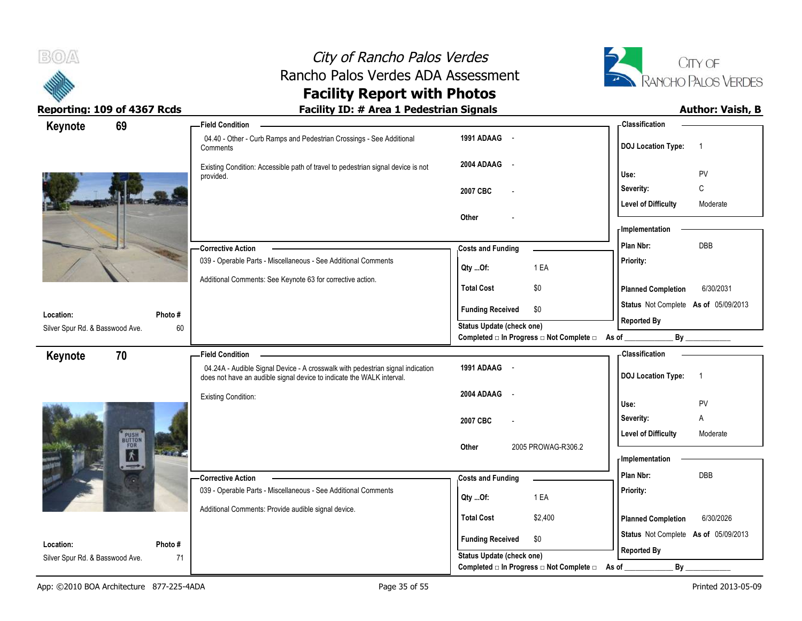



| Keynote<br>69                   |                     | <b>Field Condition</b>                                                                                                                                  |                                                                               | <b>Classification</b>                       |
|---------------------------------|---------------------|---------------------------------------------------------------------------------------------------------------------------------------------------------|-------------------------------------------------------------------------------|---------------------------------------------|
|                                 |                     | 04.40 - Other - Curb Ramps and Pedestrian Crossings - See Additional<br>Comments                                                                        | 1991 ADAAG -                                                                  | <b>DOJ</b> Location Type:<br>$\overline{1}$ |
|                                 |                     | Existing Condition: Accessible path of travel to pedestrian signal device is not<br>provided.                                                           | 2004 ADAAG -                                                                  | PV<br>Use:                                  |
|                                 |                     |                                                                                                                                                         | 2007 CBC                                                                      | Severity:<br>C                              |
|                                 |                     |                                                                                                                                                         | Other                                                                         | <b>Level of Difficulty</b><br>Moderate      |
|                                 |                     |                                                                                                                                                         |                                                                               | - Implementation                            |
|                                 |                     | <b>Corrective Action</b>                                                                                                                                | <b>Costs and Funding</b>                                                      | DBB<br>Plan Nbr:                            |
|                                 |                     | 039 - Operable Parts - Miscellaneous - See Additional Comments                                                                                          | 1 EA<br>Qty Of:                                                               | Priority:                                   |
|                                 |                     | Additional Comments: See Keynote 63 for corrective action.                                                                                              | <b>Total Cost</b><br>\$0                                                      | <b>Planned Completion</b><br>6/30/2031      |
| Location:                       | Photo#              |                                                                                                                                                         | <b>Funding Received</b><br>\$0                                                | Status Not Complete As of 05/09/2013        |
| Silver Spur Rd. & Basswood Ave. | 60                  |                                                                                                                                                         | Status Update (check one)<br>Completed □ In Progress □ Not Complete □ As of _ | <b>Reported By</b><br>By                    |
| 70<br>Keynote                   |                     | <b>Field Condition</b>                                                                                                                                  |                                                                               | - Classification                            |
|                                 |                     | 04.24A - Audible Signal Device - A crosswalk with pedestrian signal indication<br>does not have an audible signal device to indicate the WALK interval. | 1991 ADAAG -                                                                  | <b>DOJ Location Type:</b><br>$\overline{1}$ |
|                                 |                     | <b>Existing Condition:</b>                                                                                                                              | 2004 ADAAG<br>$\sim$                                                          | Use:<br>PV                                  |
|                                 |                     |                                                                                                                                                         | 2007 CBC                                                                      | Severity:<br>Α                              |
| PUSH<br>BUTTON<br>FOR           |                     |                                                                                                                                                         |                                                                               | <b>Level of Difficulty</b><br>Moderate      |
| $\overline{\lambda}$<br>--      | <b>The American</b> |                                                                                                                                                         | 2005 PROWAG-R306.2<br>Other                                                   | <b>Implementation</b>                       |
|                                 |                     | - Corrective Action                                                                                                                                     | <b>Costs and Funding</b>                                                      | Plan Nbr:<br><b>DBB</b>                     |
|                                 |                     | 039 - Operable Parts - Miscellaneous - See Additional Comments                                                                                          | 1 EA<br>Qty Of:                                                               | Priority:                                   |
|                                 |                     | Additional Comments: Provide audible signal device.                                                                                                     | <b>Total Cost</b><br>\$2,400                                                  | 6/30/2026<br><b>Planned Completion</b>      |
| Location:                       | Photo#              |                                                                                                                                                         | <b>Funding Received</b><br>\$0                                                | Status Not Complete As of 05/09/2013        |
| Silver Spur Rd. & Basswood Ave. | 71                  |                                                                                                                                                         | Status Update (check one)                                                     | <b>Reported By</b>                          |
|                                 |                     |                                                                                                                                                         | Completed □ In Progress □ Not Complete □                                      | By<br>As of                                 |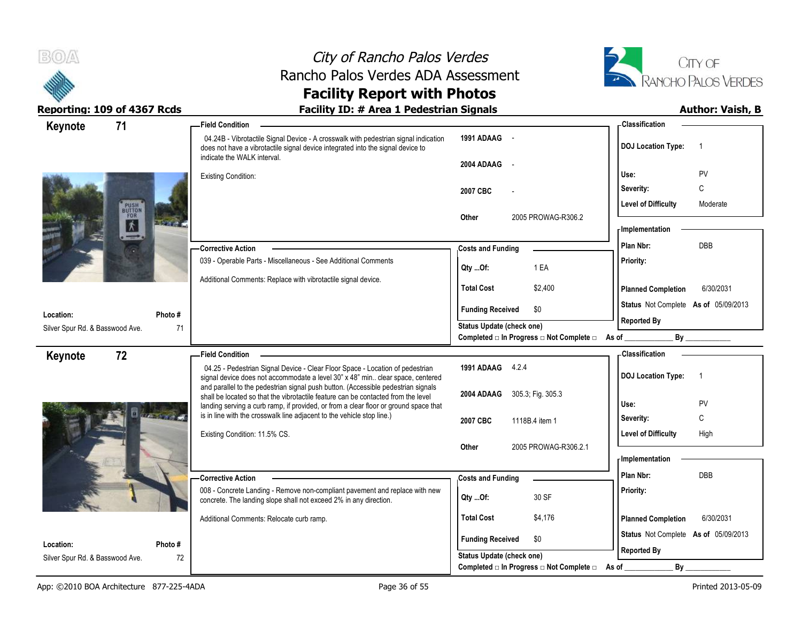



### **Facility Report with Photos** Reporting: 109 of 4367 Rcds **Facility ID: # Area 1 Pedestrian Signals Facility ID: # Area 1 Pedestrian Signals**

| 71<br>Keynote                                |               | - Field Condition                                                                                                                                                                                     |                                                                                            | <b>Classification</b>                       |
|----------------------------------------------|---------------|-------------------------------------------------------------------------------------------------------------------------------------------------------------------------------------------------------|--------------------------------------------------------------------------------------------|---------------------------------------------|
|                                              |               | 04.24B - Vibrotactile Signal Device - A crosswalk with pedestrian signal indication<br>does not have a vibrotactile signal device integrated into the signal device to<br>indicate the WALK interval. | 1991 ADAAG -<br>2004 ADAAG<br>$\sim$                                                       | <b>DOJ Location Type:</b><br>$\overline{1}$ |
|                                              |               | <b>Existing Condition:</b>                                                                                                                                                                            |                                                                                            | Use:<br>PV                                  |
|                                              |               |                                                                                                                                                                                                       | 2007 CBC                                                                                   | Severity:<br>C                              |
| <b>PUSH</b><br>BUTTON<br>FOR                 |               |                                                                                                                                                                                                       | Other<br>2005 PROWAG-R306.2                                                                | <b>Level of Difficulty</b><br>Moderate      |
| $\pmb{\hbar}$                                |               |                                                                                                                                                                                                       |                                                                                            | - Implementation                            |
|                                              |               | <b>Corrective Action</b>                                                                                                                                                                              | <b>Costs and Funding</b>                                                                   | DBB<br>Plan Nbr:                            |
|                                              |               | 039 - Operable Parts - Miscellaneous - See Additional Comments                                                                                                                                        | 1 EA<br>Qty Of:                                                                            | Priority:                                   |
|                                              |               | Additional Comments: Replace with vibrotactile signal device.                                                                                                                                         | <b>Total Cost</b><br>\$2,400                                                               | <b>Planned Completion</b><br>6/30/2031      |
|                                              |               |                                                                                                                                                                                                       | <b>Funding Received</b><br>\$0                                                             | Status Not Complete As of 05/09/2013        |
| Location:<br>Silver Spur Rd. & Basswood Ave. | Photo #<br>71 |                                                                                                                                                                                                       | <b>Status Update (check one)</b>                                                           | <b>Reported By</b>                          |
|                                              |               |                                                                                                                                                                                                       | Completed □ In Progress □ Not Complete □ As of _                                           |                                             |
| 72<br>Keynote                                |               | <b>Field Condition</b>                                                                                                                                                                                |                                                                                            | - Classification                            |
|                                              |               | 04.25 - Pedestrian Signal Device - Clear Floor Space - Location of pedestrian<br>signal device does not accommodate a level 30" x 48" min clear space, centered                                       | 1991 ADAAG 4.2.4                                                                           | <b>DOJ</b> Location Type:<br>$\overline{1}$ |
|                                              |               | and parallel to the pedestrian signal push button. (Accessible pedestrian signals<br>shall be located so that the vibrotactile feature can be contacted from the level                                | 2004 ADAAG<br>305.3; Fig. 305.3                                                            |                                             |
|                                              |               | landing serving a curb ramp, if provided, or from a clear floor or ground space that                                                                                                                  |                                                                                            | PV<br>Use:                                  |
|                                              |               |                                                                                                                                                                                                       |                                                                                            |                                             |
|                                              |               | is in line with the crosswalk line adjacent to the vehicle stop line.)                                                                                                                                | 2007 CBC<br>1118B.4 item 1                                                                 | C<br>Severity:                              |
|                                              |               | Existing Condition: 11.5% CS.                                                                                                                                                                         |                                                                                            | <b>Level of Difficulty</b><br>High          |
|                                              |               |                                                                                                                                                                                                       | 2005 PROWAG-R306.2.1<br>Other                                                              |                                             |
|                                              |               |                                                                                                                                                                                                       |                                                                                            | - Implementation<br>Plan Nbr:<br>DBB        |
|                                              |               | <b>Corrective Action</b>                                                                                                                                                                              | <b>Costs and Funding</b>                                                                   |                                             |
|                                              |               | 008 - Concrete Landing - Remove non-compliant pavement and replace with new<br>concrete. The landing slope shall not exceed 2% in any direction.                                                      | 30 SF<br>Qty Of:                                                                           | Priority:                                   |
|                                              |               | Additional Comments: Relocate curb ramp.                                                                                                                                                              | <b>Total Cost</b><br>\$4,176                                                               | <b>Planned Completion</b><br>6/30/2031      |
| Location:                                    | Photo #       |                                                                                                                                                                                                       | <b>Funding Received</b><br>\$0                                                             | Status Not Complete As of 05/09/2013        |
| Silver Spur Rd. & Basswood Ave.              | 72            |                                                                                                                                                                                                       | Status Update (check one)<br>Completed $\Box$ In Progress $\Box$ Not Complete $\Box$ As of | <b>Reported By</b><br>By                    |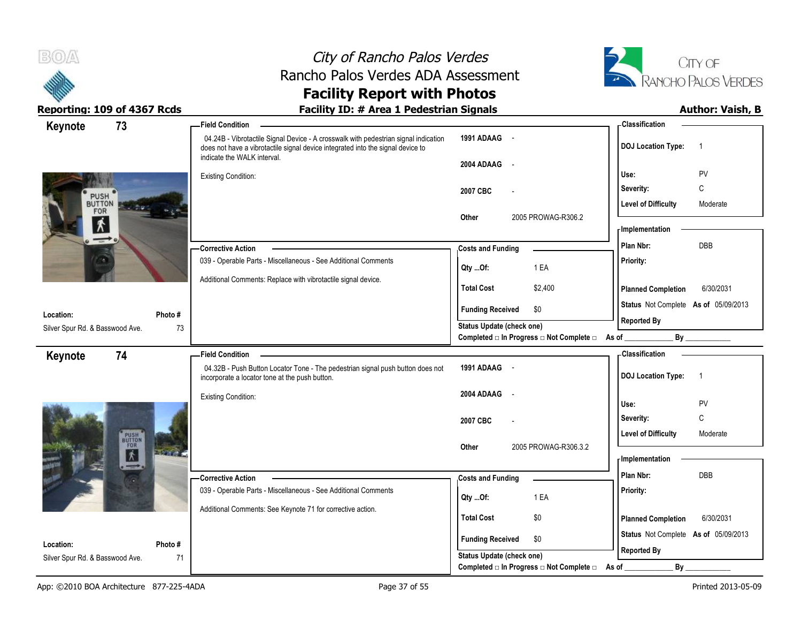



| Keynote                         | 73                    |              | <b>Field Condition</b>                                                                                                                                                                                |                                                | - Classification                            |
|---------------------------------|-----------------------|--------------|-------------------------------------------------------------------------------------------------------------------------------------------------------------------------------------------------------|------------------------------------------------|---------------------------------------------|
|                                 |                       |              | 04.24B - Vibrotactile Signal Device - A crosswalk with pedestrian signal indication<br>does not have a vibrotactile signal device integrated into the signal device to<br>indicate the WALK interval. | 1991 ADAAG -                                   | <b>DOJ</b> Location Type:<br>$\overline{1}$ |
|                                 |                       |              |                                                                                                                                                                                                       | 2004 ADAAG<br>$\sim$                           |                                             |
|                                 |                       |              | <b>Existing Condition:</b>                                                                                                                                                                            |                                                | PV<br>Use:                                  |
| PUSH                            |                       |              |                                                                                                                                                                                                       | 2007 CBC                                       | Severity:<br>C                              |
| BUTTON<br>FOR                   | $-10$                 |              |                                                                                                                                                                                                       |                                                | <b>Level of Difficulty</b><br>Moderate      |
| $\mathbf{r}$                    |                       |              |                                                                                                                                                                                                       | Other<br>2005 PROWAG-R306.2                    | - Implementation                            |
| $\rightarrow$                   |                       |              |                                                                                                                                                                                                       |                                                | <b>DBB</b>                                  |
|                                 |                       |              | - Corrective Action                                                                                                                                                                                   | <b>Costs and Funding</b>                       | Plan Nbr:                                   |
|                                 |                       |              | 039 - Operable Parts - Miscellaneous - See Additional Comments                                                                                                                                        | 1 EA<br>Qty Of:                                | Priority:                                   |
|                                 |                       |              | Additional Comments: Replace with vibrotactile signal device.                                                                                                                                         | <b>Total Cost</b><br>\$2,400                   | 6/30/2031<br><b>Planned Completion</b>      |
|                                 |                       |              |                                                                                                                                                                                                       |                                                | Status Not Complete As of 05/09/2013        |
| Location:                       |                       | Photo #      |                                                                                                                                                                                                       | <b>Funding Received</b><br>\$0                 | <b>Reported By</b>                          |
| Silver Spur Rd. & Basswood Ave. |                       | 73           |                                                                                                                                                                                                       | Status Update (check one)                      |                                             |
|                                 |                       |              |                                                                                                                                                                                                       | Completed □ In Progress □ Not Complete □ As of | By                                          |
| Keynote                         | 74                    |              | <b>Field Condition</b>                                                                                                                                                                                |                                                | - Classification                            |
|                                 |                       |              | 04.32B - Push Button Locator Tone - The pedestrian signal push button does not<br>incorporate a locator tone at the push button.                                                                      | 1991 ADAAG -                                   | <b>DOJ Location Type:</b><br>$\overline{1}$ |
|                                 |                       |              | <b>Existing Condition:</b>                                                                                                                                                                            | 2004 ADAAG<br>$\overline{\phantom{a}}$         |                                             |
|                                 |                       |              |                                                                                                                                                                                                       |                                                | PV<br>Use:                                  |
|                                 |                       |              |                                                                                                                                                                                                       | 2007 CBC                                       | C<br>Severity:                              |
|                                 | PUSH<br>BUTTON<br>FOR |              |                                                                                                                                                                                                       |                                                | <b>Level of Difficulty</b><br>Moderate      |
|                                 | 才                     | <b>Brand</b> |                                                                                                                                                                                                       | 2005 PROWAG-R306.3.2<br>Other                  |                                             |
|                                 |                       |              |                                                                                                                                                                                                       |                                                | - Implementation                            |
|                                 |                       |              | -Corrective Action                                                                                                                                                                                    | <b>Costs and Funding</b>                       | <b>DBB</b><br>Plan Nbr:                     |
|                                 |                       |              | 039 - Operable Parts - Miscellaneous - See Additional Comments                                                                                                                                        | 1 EA<br>Qty Of:                                | Priority:                                   |
|                                 |                       |              | Additional Comments: See Keynote 71 for corrective action.                                                                                                                                            |                                                |                                             |
|                                 |                       |              |                                                                                                                                                                                                       | <b>Total Cost</b><br>\$0                       | <b>Planned Completion</b><br>6/30/2031      |
| Location:                       |                       | Photo#       |                                                                                                                                                                                                       | <b>Funding Received</b><br>\$0                 | Status Not Complete As of 05/09/2013        |
| Silver Spur Rd. & Basswood Ave. |                       | 71           |                                                                                                                                                                                                       | <b>Status Update (check one)</b>               | <b>Reported By</b>                          |
|                                 |                       |              |                                                                                                                                                                                                       | Completed □ In Progress □ Not Complete □       | By<br>As of                                 |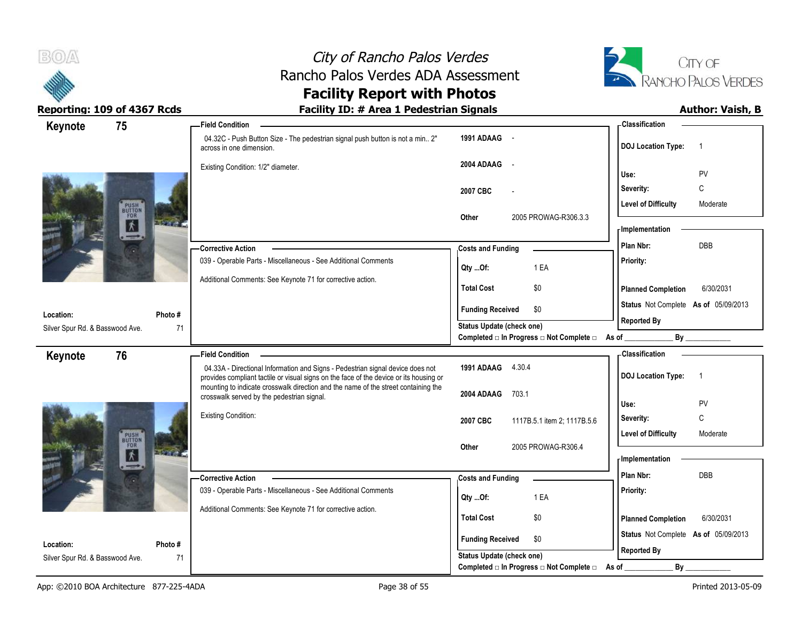



| Keynote                                      | 75                           | -Field Condition                                                                                                                                                             |                                                             | - Classification                            |
|----------------------------------------------|------------------------------|------------------------------------------------------------------------------------------------------------------------------------------------------------------------------|-------------------------------------------------------------|---------------------------------------------|
|                                              |                              | 04.32C - Push Button Size - The pedestrian signal push button is not a min 2"<br>across in one dimension.                                                                    | 1991 ADAAG -                                                | <b>DOJ</b> Location Type:<br>$\overline{1}$ |
|                                              |                              | Existing Condition: 1/2" diameter.                                                                                                                                           | 2004 ADAAG<br>$\sim$                                        | PV<br>Use:                                  |
|                                              |                              |                                                                                                                                                                              |                                                             | $\mathsf{C}$<br>Severity:                   |
|                                              |                              |                                                                                                                                                                              | 2007 CBC                                                    | <b>Level of Difficulty</b><br>Moderate      |
| PUSH<br>BUTTON<br>FOR                        | $\pmb{\hbar}$                |                                                                                                                                                                              | 2005 PROWAG-R306.3.3<br>Other                               |                                             |
|                                              |                              |                                                                                                                                                                              |                                                             | - Implementation<br><b>DBB</b>              |
|                                              |                              | <b>Corrective Action</b>                                                                                                                                                     | <b>Costs and Funding</b>                                    | Plan Nbr:                                   |
|                                              |                              | 039 - Operable Parts - Miscellaneous - See Additional Comments                                                                                                               | 1 EA<br>Qty Of:                                             | Priority:                                   |
|                                              |                              | Additional Comments: See Keynote 71 for corrective action.                                                                                                                   | <b>Total Cost</b><br>\$0                                    | <b>Planned Completion</b><br>6/30/2031      |
| Location:                                    | Photo #                      |                                                                                                                                                                              | <b>Funding Received</b><br>\$0                              | Status Not Complete As of 05/09/2013        |
| Silver Spur Rd. & Basswood Ave.              | 71                           |                                                                                                                                                                              | <b>Status Update (check one)</b>                            | <b>Reported By</b>                          |
|                                              |                              |                                                                                                                                                                              | Completed □ In Progress □ Not Complete □ As of _            | By                                          |
| Keynote                                      | 76                           | <b>Field Condition</b>                                                                                                                                                       |                                                             | - Classification                            |
|                                              |                              |                                                                                                                                                                              |                                                             |                                             |
|                                              |                              | 04.33A - Directional Information and Signs - Pedestrian signal device does not                                                                                               | 1991 ADAAG 4.30.4                                           | $\overline{1}$                              |
|                                              |                              | provides compliant tactile or visual signs on the face of the device or its housing or<br>mounting to indicate crosswalk direction and the name of the street containing the |                                                             | <b>DOJ Location Type:</b>                   |
|                                              |                              | crosswalk served by the pedestrian signal.                                                                                                                                   | 2004 ADAAG<br>703.1                                         | Use:<br><b>PV</b>                           |
|                                              |                              | <b>Existing Condition:</b>                                                                                                                                                   | 2007 CBC<br>1117B.5.1 item 2; 1117B.5.6                     | C<br>Severity:                              |
|                                              |                              |                                                                                                                                                                              |                                                             | <b>Level of Difficulty</b><br>Moderate      |
|                                              | <b>PUSH</b><br>BUTTON<br>FOR |                                                                                                                                                                              | 2005 PROWAG-R306.4<br>Other                                 |                                             |
|                                              | $\pmb{\hbar}$                |                                                                                                                                                                              |                                                             | - Implementation                            |
|                                              |                              | - Corrective Action                                                                                                                                                          | <b>Costs and Funding</b>                                    | Plan Nbr:<br>DBB                            |
|                                              |                              | 039 - Operable Parts - Miscellaneous - See Additional Comments                                                                                                               | 1 EA<br>Qty Of:                                             | Priority:                                   |
|                                              |                              | Additional Comments: See Keynote 71 for corrective action.                                                                                                                   | <b>Total Cost</b><br>\$0                                    | <b>Planned Completion</b><br>6/30/2031      |
|                                              |                              |                                                                                                                                                                              | \$0                                                         | Status Not Complete As of 05/09/2013        |
| Location:<br>Silver Spur Rd. & Basswood Ave. | Photo #<br>71                |                                                                                                                                                                              | <b>Funding Received</b><br><b>Status Update (check one)</b> | <b>Reported By</b>                          |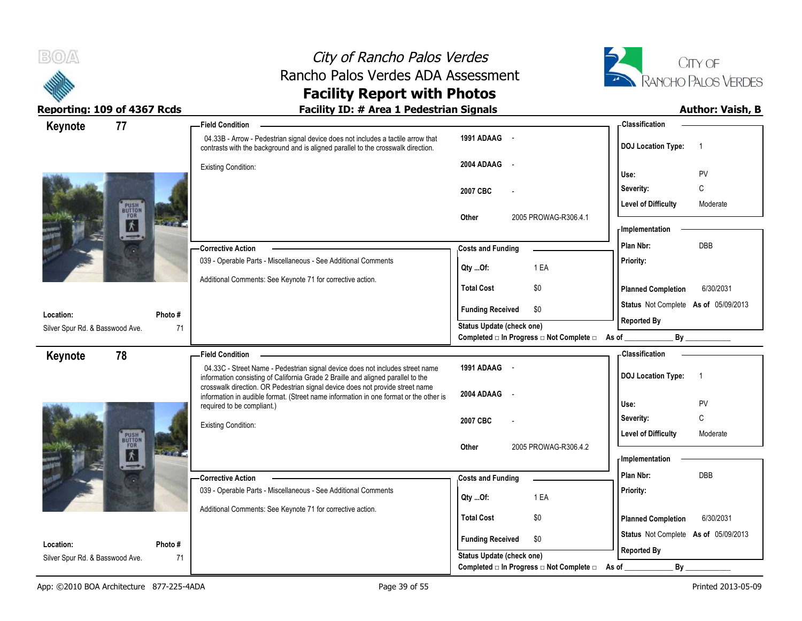



| Keynote                                       | 77                           | <b>Field Condition</b>                                                                                                                                                |                                                             | - Classification                                           |
|-----------------------------------------------|------------------------------|-----------------------------------------------------------------------------------------------------------------------------------------------------------------------|-------------------------------------------------------------|------------------------------------------------------------|
|                                               |                              | 04.33B - Arrow - Pedestrian signal device does not includes a tactile arrow that<br>contrasts with the background and is aligned parallel to the crosswalk direction. | 1991 ADAAG -                                                | <b>DOJ</b> Location Type:<br>$\overline{1}$                |
|                                               |                              | <b>Existing Condition:</b>                                                                                                                                            | 2004 ADAAG<br>$\sim$ $\sim$                                 |                                                            |
|                                               |                              |                                                                                                                                                                       |                                                             | PV<br>Use:                                                 |
|                                               |                              |                                                                                                                                                                       | 2007 CBC                                                    | C<br>Severity:                                             |
| PUSH<br>BUTTON<br>FOR<br>$\overline{\Lambda}$ |                              |                                                                                                                                                                       | 2005 PROWAG-R306.4.1<br>Other                               | <b>Level of Difficulty</b><br>Moderate                     |
|                                               |                              |                                                                                                                                                                       |                                                             | <b>Implementation</b>                                      |
|                                               | $-1$                         | -Corrective Action                                                                                                                                                    | <b>Costs and Funding</b>                                    | <b>DBB</b><br>Plan Nbr:                                    |
|                                               |                              | 039 - Operable Parts - Miscellaneous - See Additional Comments                                                                                                        |                                                             | Priority:                                                  |
|                                               |                              | Additional Comments: See Keynote 71 for corrective action.                                                                                                            | 1 EA<br>Qty Of:                                             |                                                            |
|                                               |                              |                                                                                                                                                                       | <b>Total Cost</b><br>\$0                                    | <b>Planned Completion</b><br>6/30/2031                     |
| Location:                                     | Photo #                      |                                                                                                                                                                       | <b>Funding Received</b><br>\$0                              | Status Not Complete As of 05/09/2013                       |
| Silver Spur Rd. & Basswood Ave.               | 71                           |                                                                                                                                                                       | <b>Status Update (check one)</b>                            | <b>Reported By</b>                                         |
|                                               |                              |                                                                                                                                                                       | Completed □ In Progress □ Not Complete □ As of              | By                                                         |
| Keynote                                       | 78                           | - Field Condition                                                                                                                                                     |                                                             | - Classification                                           |
|                                               |                              | 04.33C - Street Name - Pedestrian signal device does not includes street name<br>information consisting of California Grade 2 Braille and aligned parallel to the     | 1991 ADAAG -                                                | <b>DOJ</b> Location Type:<br>$\overline{1}$                |
|                                               |                              | crosswalk direction. OR Pedestrian signal device does not provide street name                                                                                         |                                                             |                                                            |
|                                               |                              |                                                                                                                                                                       |                                                             |                                                            |
|                                               |                              | information in audible format. (Street name information in one format or the other is                                                                                 | 2004 ADAAG<br>$\sim$                                        | PV<br>Use:                                                 |
|                                               |                              | required to be compliant.)                                                                                                                                            | 2007 CBC                                                    | C<br>Severity:                                             |
|                                               |                              | <b>Existing Condition:</b>                                                                                                                                            |                                                             | <b>Level of Difficulty</b><br>Moderate                     |
|                                               | <b>PUSH</b><br>BUTTON<br>FOR |                                                                                                                                                                       | 2005 PROWAG-R306.4.2<br>Other                               |                                                            |
|                                               | 休                            |                                                                                                                                                                       |                                                             | - Implementation                                           |
|                                               |                              | - Corrective Action                                                                                                                                                   | <b>Costs and Funding</b>                                    | Plan Nbr:<br>DBB                                           |
|                                               |                              | 039 - Operable Parts - Miscellaneous - See Additional Comments                                                                                                        | 1 EA<br>Qty Of:                                             | Priority:                                                  |
|                                               |                              | Additional Comments: See Keynote 71 for corrective action.                                                                                                            | \$0<br><b>Total Cost</b>                                    |                                                            |
|                                               |                              |                                                                                                                                                                       |                                                             | 6/30/2031<br><b>Planned Completion</b>                     |
| Location:                                     | Photo#                       |                                                                                                                                                                       | <b>Funding Received</b><br>\$0<br>Status Update (check one) | Status Not Complete As of 05/09/2013<br><b>Reported By</b> |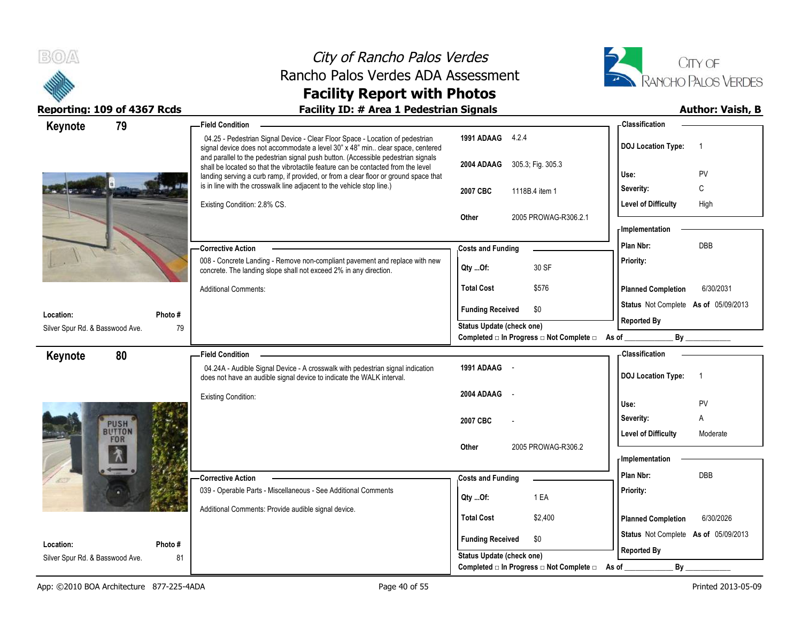



| 79<br>Keynote                   |         | <b>Field Condition</b>                                                                                                                                                                                                                                         |                                                  | - Classification                            |
|---------------------------------|---------|----------------------------------------------------------------------------------------------------------------------------------------------------------------------------------------------------------------------------------------------------------------|--------------------------------------------------|---------------------------------------------|
|                                 |         | 04.25 - Pedestrian Signal Device - Clear Floor Space - Location of pedestrian<br>signal device does not accommodate a level 30" x 48" min clear space, centered                                                                                                | 1991 ADAAG 4.2.4                                 | <b>DOJ Location Type:</b><br>$\overline{1}$ |
|                                 |         | and parallel to the pedestrian signal push button. (Accessible pedestrian signals<br>shall be located so that the vibrotactile feature can be contacted from the level<br>landing serving a curb ramp, if provided, or from a clear floor or ground space that | 2004 ADAAG 305.3, Fig. 305.3                     | Use:<br>PV                                  |
|                                 |         | is in line with the crosswalk line adjacent to the vehicle stop line.)                                                                                                                                                                                         | 2007 CBC<br>1118B.4 item 1                       | C<br>Severity:                              |
|                                 |         | Existing Condition: 2.8% CS.                                                                                                                                                                                                                                   |                                                  | <b>Level of Difficulty</b><br>High          |
|                                 |         |                                                                                                                                                                                                                                                                | 2005 PROWAG-R306.2.1<br>Other                    | - Implementation                            |
|                                 |         |                                                                                                                                                                                                                                                                |                                                  | <b>DBB</b><br>Plan Nbr:                     |
|                                 |         | <b>Corrective Action</b><br>008 - Concrete Landing - Remove non-compliant pavement and replace with new                                                                                                                                                        | <b>Costs and Funding</b>                         |                                             |
|                                 |         | concrete. The landing slope shall not exceed 2% in any direction.                                                                                                                                                                                              | 30 SF<br>Qty Of:                                 | Priority:                                   |
|                                 |         | <b>Additional Comments:</b>                                                                                                                                                                                                                                    | <b>Total Cost</b><br>\$576                       | 6/30/2031<br><b>Planned Completion</b>      |
| Location:                       | Photo # |                                                                                                                                                                                                                                                                | <b>Funding Received</b><br>\$0                   | Status Not Complete As of 05/09/2013        |
| Silver Spur Rd. & Basswood Ave. | 79      |                                                                                                                                                                                                                                                                | Status Update (check one)                        | <b>Reported By</b>                          |
|                                 |         |                                                                                                                                                                                                                                                                | Completed □ In Progress □ Not Complete □ As of _ |                                             |
| 80<br>Keynote                   |         | <b>Field Condition</b>                                                                                                                                                                                                                                         |                                                  | - Classification                            |
|                                 |         | 04.24A - Audible Signal Device - A crosswalk with pedestrian signal indication<br>does not have an audible signal device to indicate the WALK interval.                                                                                                        | 1991 ADAAG -                                     | <b>DOJ Location Type:</b><br>$\overline{1}$ |
|                                 |         | <b>Existing Condition:</b>                                                                                                                                                                                                                                     | 2004 ADAAG                                       | Use:<br>PV                                  |
|                                 |         |                                                                                                                                                                                                                                                                |                                                  | Severity:<br>A                              |
| PUSH<br><b>BUTTON</b>           |         |                                                                                                                                                                                                                                                                | 2007 CBC                                         | <b>Level of Difficulty</b><br>Moderate      |
| FOR                             |         |                                                                                                                                                                                                                                                                | 2005 PROWAG-R306.2<br>Other                      |                                             |
|                                 |         |                                                                                                                                                                                                                                                                |                                                  | - Implementation                            |
|                                 |         | <b>Corrective Action</b>                                                                                                                                                                                                                                       | <b>Costs and Funding</b>                         | Plan Nbr:<br>DBB                            |
|                                 |         | 039 - Operable Parts - Miscellaneous - See Additional Comments                                                                                                                                                                                                 | 1 EA<br>Qty Of:                                  | Priority:                                   |
|                                 |         | Additional Comments: Provide audible signal device.                                                                                                                                                                                                            |                                                  |                                             |
|                                 |         |                                                                                                                                                                                                                                                                | <b>Total Cost</b><br>\$2,400                     | <b>Planned Completion</b><br>6/30/2026      |
| Location:                       | Photo # |                                                                                                                                                                                                                                                                | <b>Funding Received</b><br>\$0                   | Status Not Complete As of 05/09/2013        |
| Silver Spur Rd. & Basswood Ave. | 81      |                                                                                                                                                                                                                                                                | Status Update (check one)                        | <b>Reported By</b>                          |
|                                 |         |                                                                                                                                                                                                                                                                | Completed □ In Progress □ Not Complete □         | By<br>As of                                 |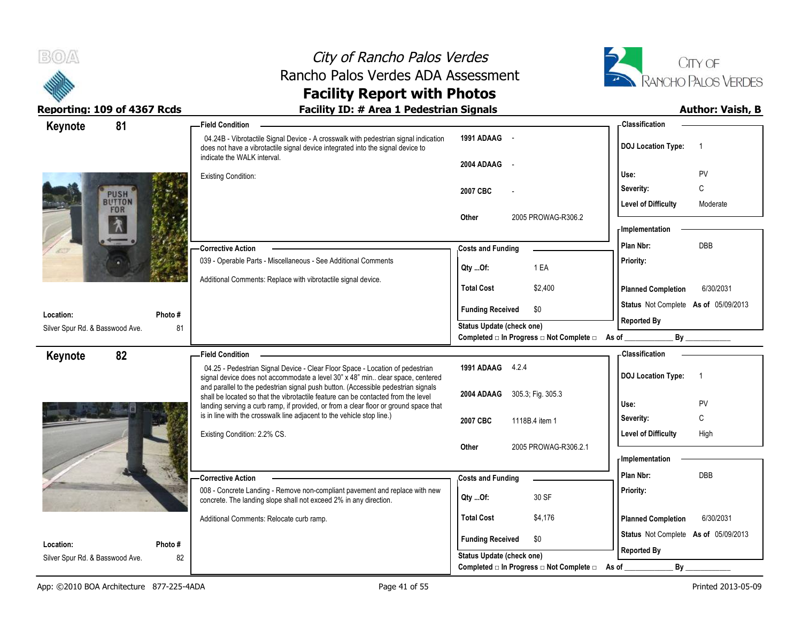



### **Facility Report with Photos** Reporting: 109 of 4367 Rcds **Facility ID: # Area 1 Pedestrian Signals Facility ID: # Area 1 Pedestrian Signals**

| 81<br>Keynote                   |         | <b>Field Condition</b>                                                                                                                                                                                |                                                | - Classification                            |
|---------------------------------|---------|-------------------------------------------------------------------------------------------------------------------------------------------------------------------------------------------------------|------------------------------------------------|---------------------------------------------|
|                                 |         | 04.24B - Vibrotactile Signal Device - A crosswalk with pedestrian signal indication<br>does not have a vibrotactile signal device integrated into the signal device to<br>indicate the WALK interval. | 1991 ADAAG -                                   | <b>DOJ Location Type:</b><br>$\overline{1}$ |
|                                 |         |                                                                                                                                                                                                       | 2004 ADAAG<br>$\sim$ $\sim$                    |                                             |
|                                 |         | <b>Existing Condition:</b>                                                                                                                                                                            |                                                | Use:<br>PV                                  |
| <b>PUSH</b><br>BUTTON           |         |                                                                                                                                                                                                       | 2007 CBC                                       | C<br>Severity:                              |
| FOR                             |         |                                                                                                                                                                                                       |                                                | <b>Level of Difficulty</b><br>Moderate      |
|                                 |         |                                                                                                                                                                                                       | 2005 PROWAG-R306.2<br>Other                    | <b>Implementation</b>                       |
|                                 |         |                                                                                                                                                                                                       |                                                | Plan Nbr:<br><b>DBB</b>                     |
|                                 |         | -Corrective Action                                                                                                                                                                                    | <b>Costs and Funding</b>                       |                                             |
|                                 |         | 039 - Operable Parts - Miscellaneous - See Additional Comments                                                                                                                                        | 1 EA<br>Qty Of:                                | Priority:                                   |
|                                 |         | Additional Comments: Replace with vibrotactile signal device.                                                                                                                                         | <b>Total Cost</b><br>\$2,400                   | 6/30/2031<br><b>Planned Completion</b>      |
| Location:                       | Photo#  |                                                                                                                                                                                                       | <b>Funding Received</b><br>\$0                 | Status Not Complete As of 05/09/2013        |
| Silver Spur Rd. & Basswood Ave. | 81      |                                                                                                                                                                                                       | <b>Status Update (check one)</b>               | <b>Reported By</b>                          |
|                                 |         |                                                                                                                                                                                                       | Completed □ In Progress □ Not Complete □ As of | By                                          |
| 82<br>Keynote                   |         | <b>Field Condition</b>                                                                                                                                                                                |                                                | - Classification                            |
|                                 |         | 04.25 - Pedestrian Signal Device - Clear Floor Space - Location of pedestrian<br>signal device does not accommodate a level 30" x 48" min clear space, centered                                       | 1991 ADAAG 4.2.4                               | <b>DOJ Location Type:</b><br>$\overline{1}$ |
|                                 |         | and parallel to the pedestrian signal push button. (Accessible pedestrian signals                                                                                                                     |                                                |                                             |
|                                 |         | shall be located so that the vibrotactile feature can be contacted from the level<br>landing serving a curb ramp, if provided, or from a clear floor or ground space that                             | 2004 ADAAG<br>305.3; Fig. 305.3                | PV<br>Use:                                  |
|                                 |         | is in line with the crosswalk line adjacent to the vehicle stop line.)                                                                                                                                | 2007 CBC<br>1118B.4 item 1                     | C<br>Severity:                              |
|                                 |         | Existing Condition: 2.2% CS.                                                                                                                                                                          |                                                | <b>Level of Difficulty</b><br>High          |
|                                 |         |                                                                                                                                                                                                       | Other<br>2005 PROWAG-R306.2.1                  |                                             |
|                                 |         |                                                                                                                                                                                                       |                                                | - Implementation                            |
|                                 |         | -Corrective Action                                                                                                                                                                                    | <b>Costs and Funding</b>                       | Plan Nbr:<br>DBB                            |
|                                 |         | 008 - Concrete Landing - Remove non-compliant pavement and replace with new                                                                                                                           | 30 SF<br>Qty Of:                               | Priority:                                   |
|                                 |         | concrete. The landing slope shall not exceed 2% in any direction.                                                                                                                                     |                                                |                                             |
|                                 |         | Additional Comments: Relocate curb ramp.                                                                                                                                                              | <b>Total Cost</b><br>\$4,176                   | 6/30/2031<br><b>Planned Completion</b>      |
|                                 |         |                                                                                                                                                                                                       | <b>Funding Received</b><br>\$0                 | Status Not Complete As of 05/09/2013        |
| Location:                       | Photo # |                                                                                                                                                                                                       | <b>Status Update (check one)</b>               | <b>Reported By</b>                          |
| Silver Spur Rd. & Basswood Ave. | 82      |                                                                                                                                                                                                       | Completed □ In Progress □ Not Complete □       | By<br>As of                                 |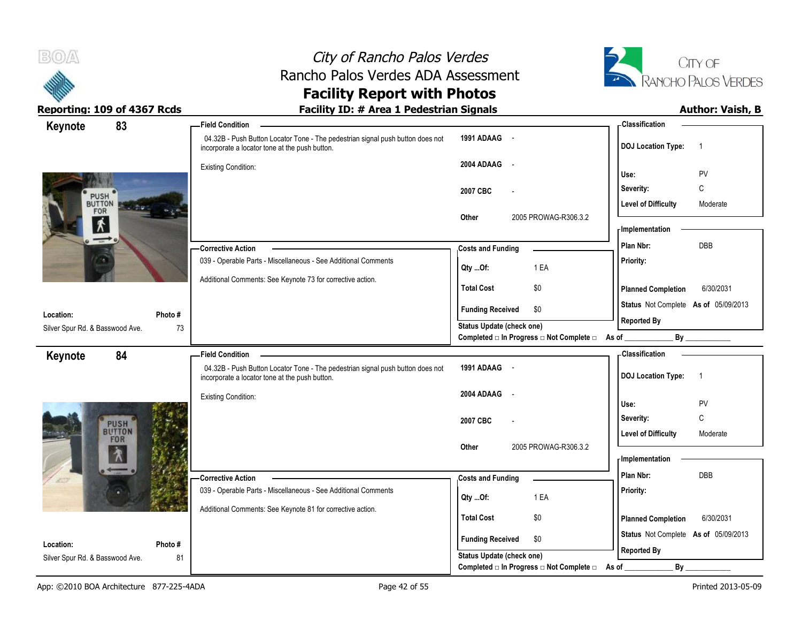



Reporting: 109 of 4367 Rcds **Facility ID: # Area 1 Pedestrian Signals Author: Vaish, B** 

# **Facility Report with Photos**

| Keynote                                      | 83            | - Field Condition                                                                                                                |                                                  | - Classification                            |
|----------------------------------------------|---------------|----------------------------------------------------------------------------------------------------------------------------------|--------------------------------------------------|---------------------------------------------|
|                                              |               | 04.32B - Push Button Locator Tone - The pedestrian signal push button does not<br>incorporate a locator tone at the push button. | 1991 ADAAG -                                     | <b>DOJ Location Type:</b><br>$\overline{1}$ |
|                                              |               | <b>Existing Condition:</b>                                                                                                       | 2004 ADAAG<br>$\sim$                             | PV<br>Use:                                  |
|                                              |               |                                                                                                                                  | 2007 CBC                                         | C<br>Severity:                              |
| PUSH <sup>®</sup><br>FOR                     |               |                                                                                                                                  |                                                  | <b>Level of Difficulty</b><br>Moderate      |
| $\mathbf{\hat{X}}$                           |               |                                                                                                                                  | 2005 PROWAG-R306.3.2<br>Other                    | - Implementation                            |
| $\rightarrow$                                |               | <b>Corrective Action</b>                                                                                                         | <b>Costs and Funding</b>                         | Plan Nbr:<br>DBB                            |
|                                              |               | 039 - Operable Parts - Miscellaneous - See Additional Comments                                                                   | 1 EA<br>Qty Of:                                  | Priority:                                   |
|                                              |               | Additional Comments: See Keynote 73 for corrective action.                                                                       | <b>Total Cost</b><br>\$0                         | <b>Planned Completion</b><br>6/30/2031      |
| Location:                                    | Photo#        |                                                                                                                                  | <b>Funding Received</b><br>\$0                   | Status Not Complete As of 05/09/2013        |
| Silver Spur Rd. & Basswood Ave.              | 73            |                                                                                                                                  | Status Update (check one)                        | <b>Reported By</b>                          |
|                                              |               |                                                                                                                                  | Completed □ In Progress □ Not Complete □ As of _ | By                                          |
| Keynote                                      | 84            | <b>Field Condition</b><br>04.32B - Push Button Locator Tone - The pedestrian signal push button does not                         | 1991 ADAAG -                                     | <b>Classification</b>                       |
|                                              |               | incorporate a locator tone at the push button.                                                                                   |                                                  | <b>DOJ</b> Location Type:<br>$\overline{1}$ |
|                                              |               | <b>Existing Condition:</b>                                                                                                       | 2004 ADAAG<br>$\sim$                             | Use:<br>PV                                  |
|                                              |               |                                                                                                                                  |                                                  |                                             |
| PUSH<br>BUTTON<br>FOR                        |               |                                                                                                                                  | 2007 CBC                                         | C<br>Severity:                              |
|                                              |               |                                                                                                                                  |                                                  | <b>Level of Difficulty</b><br>Moderate      |
|                                              |               |                                                                                                                                  | 2005 PROWAG-R306.3.2<br>Other                    | <b>Implementation</b>                       |
|                                              |               | <b>Corrective Action</b>                                                                                                         | <b>Costs and Funding</b>                         | Plan Nbr:<br>DBB                            |
|                                              |               | 039 - Operable Parts - Miscellaneous - See Additional Comments                                                                   | 1 EA<br>Qty Of:                                  | Priority:                                   |
|                                              |               | Additional Comments: See Keynote 81 for corrective action.                                                                       | <b>Total Cost</b><br>\$0                         | <b>Planned Completion</b><br>6/30/2031      |
|                                              |               |                                                                                                                                  | <b>Funding Received</b><br>\$0                   | Status Not Complete As of 05/09/2013        |
| Location:<br>Silver Spur Rd. & Basswood Ave. | Photo #<br>81 |                                                                                                                                  | Status Update (check one)                        | <b>Reported By</b>                          |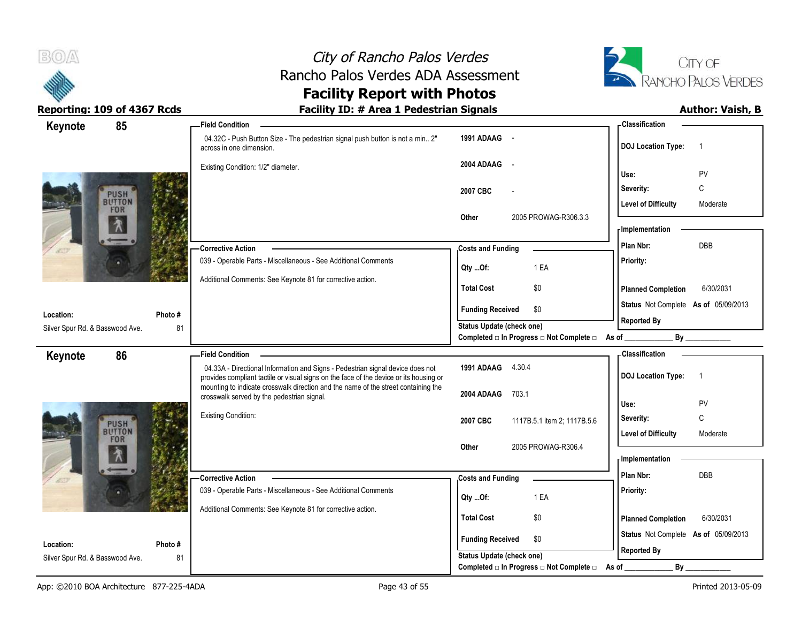



| 85<br>Keynote                   |         | <b>Field Condition</b>                                                                                                                                                   |                                                | -Classification                             |
|---------------------------------|---------|--------------------------------------------------------------------------------------------------------------------------------------------------------------------------|------------------------------------------------|---------------------------------------------|
|                                 |         | 04.32C - Push Button Size - The pedestrian signal push button is not a min 2"<br>across in one dimension.                                                                | 1991 ADAAG -                                   | <b>DOJ Location Type:</b><br>$\overline{1}$ |
|                                 |         | Existing Condition: 1/2" diameter.                                                                                                                                       | 2004 ADAAG -                                   | PV<br>Use:                                  |
|                                 |         |                                                                                                                                                                          |                                                | C<br>Severity:                              |
| <b>PUSH</b><br>BUTTON           |         |                                                                                                                                                                          | 2007 CBC                                       |                                             |
| FOR                             |         |                                                                                                                                                                          |                                                | <b>Level of Difficulty</b><br>Moderate      |
|                                 |         |                                                                                                                                                                          | 2005 PROWAG-R306.3.3<br>Other                  | - Implementation                            |
|                                 |         |                                                                                                                                                                          |                                                |                                             |
|                                 |         | -Corrective Action                                                                                                                                                       | <b>Costs and Funding</b>                       | <b>DBB</b><br>Plan Nbr:                     |
|                                 |         | 039 - Operable Parts - Miscellaneous - See Additional Comments                                                                                                           | 1 EA<br>Qty Of:                                | Priority:                                   |
|                                 |         | Additional Comments: See Keynote 81 for corrective action.                                                                                                               | \$0<br><b>Total Cost</b>                       | 6/30/2031<br><b>Planned Completion</b>      |
| Location:                       | Photo#  |                                                                                                                                                                          | <b>Funding Received</b><br>\$0                 | Status Not Complete As of 05/09/2013        |
| Silver Spur Rd. & Basswood Ave. | 81      |                                                                                                                                                                          | <b>Status Update (check one)</b>               | <b>Reported By</b>                          |
|                                 |         |                                                                                                                                                                          | Completed □ In Progress □ Not Complete □ As of | By                                          |
| 86<br>Keynote                   |         | <b>Field Condition</b>                                                                                                                                                   |                                                | - Classification                            |
|                                 |         | 04.33A - Directional Information and Signs - Pedestrian signal device does not<br>provides compliant tactile or visual signs on the face of the device or its housing or | 1991 ADAAG 4.30.4                              | <b>DOJ Location Type:</b><br>$\overline{1}$ |
|                                 |         | mounting to indicate crosswalk direction and the name of the street containing the                                                                                       |                                                |                                             |
|                                 |         | crosswalk served by the pedestrian signal.                                                                                                                               | 2004 ADAAG<br>703.1                            | Use:<br>PV                                  |
|                                 |         | <b>Existing Condition:</b>                                                                                                                                               | 2007 CBC<br>1117B.5.1 item 2; 1117B.5.6        | C<br>Severity:                              |
| <b>PUSH</b><br>BUTTON           |         |                                                                                                                                                                          |                                                | <b>Level of Difficulty</b><br>Moderate      |
| FOR                             |         |                                                                                                                                                                          | Other<br>2005 PROWAG-R306.4                    |                                             |
|                                 |         |                                                                                                                                                                          |                                                | <b>Implementation</b>                       |
|                                 |         |                                                                                                                                                                          |                                                | Plan Nbr:<br><b>DBB</b>                     |
|                                 |         | -Corrective Action<br>039 - Operable Parts - Miscellaneous - See Additional Comments                                                                                     | <b>Costs and Funding</b>                       |                                             |
|                                 |         |                                                                                                                                                                          | 1 EA<br>Qty Of:                                | Priority:                                   |
|                                 |         | Additional Comments: See Keynote 81 for corrective action.                                                                                                               | <b>Total Cost</b><br>\$0                       |                                             |
|                                 |         |                                                                                                                                                                          |                                                | <b>Planned Completion</b><br>6/30/2031      |
| Location:                       | Photo # |                                                                                                                                                                          | <b>Funding Received</b><br>\$0                 | Status Not Complete As of 05/09/2013        |
| Silver Spur Rd. & Basswood Ave. | 81      |                                                                                                                                                                          | <b>Status Update (check one)</b>               | <b>Reported By</b>                          |
|                                 |         |                                                                                                                                                                          | Completed □ In Progress □ Not Complete □       | By<br>As of                                 |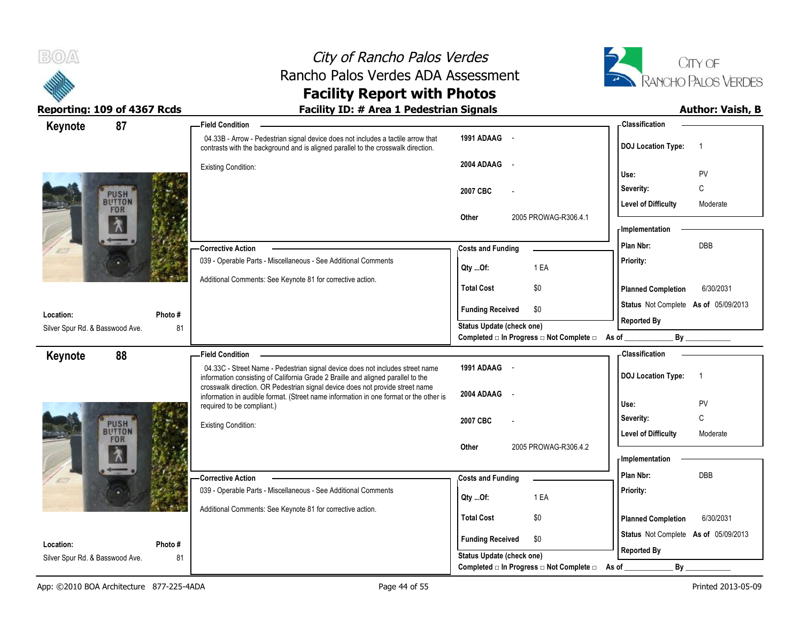



| 87<br>Keynote                   |         | <b>Field Condition</b>                                                                                                                                                 |                                                                              | - Classification                            |
|---------------------------------|---------|------------------------------------------------------------------------------------------------------------------------------------------------------------------------|------------------------------------------------------------------------------|---------------------------------------------|
|                                 |         | 04.33B - Arrow - Pedestrian signal device does not includes a tactile arrow that<br>contrasts with the background and is aligned parallel to the crosswalk direction.  | 1991 ADAAG -                                                                 | <b>DOJ</b> Location Type:<br>-1             |
|                                 |         | <b>Existing Condition:</b>                                                                                                                                             | 2004 ADAAG<br>$\sim$                                                         | PV<br>Use:                                  |
| <b>PUSH</b>                     |         |                                                                                                                                                                        | 2007 CBC                                                                     | C<br>Severity:                              |
| BUTTON<br>FOR                   |         |                                                                                                                                                                        |                                                                              | <b>Level of Difficulty</b><br>Moderate      |
|                                 |         |                                                                                                                                                                        | 2005 PROWAG-R306.4.1<br>Other                                                | - Implementation                            |
|                                 |         | <b>Corrective Action</b>                                                                                                                                               | <b>Costs and Funding</b>                                                     | DBB<br>Plan Nbr:                            |
|                                 |         | 039 - Operable Parts - Miscellaneous - See Additional Comments                                                                                                         | 1 EA<br>Qty Of:                                                              | Priority:                                   |
|                                 |         | Additional Comments: See Keynote 81 for corrective action.                                                                                                             | <b>Total Cost</b><br>\$0                                                     | <b>Planned Completion</b><br>6/30/2031      |
| Location:                       | Photo # |                                                                                                                                                                        | <b>Funding Received</b><br>\$0                                               | Status Not Complete As of 05/09/2013        |
| Silver Spur Rd. & Basswood Ave. | 81      |                                                                                                                                                                        | <b>Status Update (check one)</b>                                             | <b>Reported By</b>                          |
|                                 |         |                                                                                                                                                                        | Completed $\square$ In Progress $\square$ Not Complete $\square$ As of _     | By                                          |
| 88<br>Keynote                   |         | <b>Field Condition</b>                                                                                                                                                 |                                                                              | - Classification                            |
|                                 |         | 04.33C - Street Name - Pedestrian signal device does not includes street name<br>information consisting of California Grade 2 Braille and aligned parallel to the      | 1991 ADAAG -                                                                 | <b>DOJ</b> Location Type:<br>$\overline{1}$ |
|                                 |         | crosswalk direction. OR Pedestrian signal device does not provide street name<br>information in audible format. (Street name information in one format or the other is | 2004 ADAAG                                                                   |                                             |
|                                 |         | required to be compliant.)                                                                                                                                             |                                                                              | PV<br>Use:                                  |
|                                 |         | <b>Existing Condition:</b>                                                                                                                                             | 2007 CBC                                                                     | C<br>Severity:                              |
| PUSH<br>BUTTON<br>FOR           |         |                                                                                                                                                                        |                                                                              | <b>Level of Difficulty</b><br>Moderate      |
|                                 |         |                                                                                                                                                                        | 2005 PROWAG-R306.4.2<br>Other                                                | - Implementation                            |
|                                 |         | -Corrective Action                                                                                                                                                     | <b>Costs and Funding</b>                                                     | Plan Nbr:<br><b>DBB</b>                     |
|                                 |         | 039 - Operable Parts - Miscellaneous - See Additional Comments                                                                                                         |                                                                              | Priority:                                   |
|                                 |         | Additional Comments: See Keynote 81 for corrective action.                                                                                                             | 1 EA<br>Qty Of:                                                              |                                             |
|                                 |         |                                                                                                                                                                        | <b>Total Cost</b><br>\$0                                                     | <b>Planned Completion</b><br>6/30/2031      |
| Location:                       | Photo # |                                                                                                                                                                        | <b>Funding Received</b><br>\$0                                               | Status Not Complete As of 05/09/2013        |
|                                 |         |                                                                                                                                                                        |                                                                              | <b>Reported By</b>                          |
| Silver Spur Rd. & Basswood Ave. | 81      |                                                                                                                                                                        | <b>Status Update (check one)</b><br>Completed □ In Progress □ Not Complete □ | By<br>As of                                 |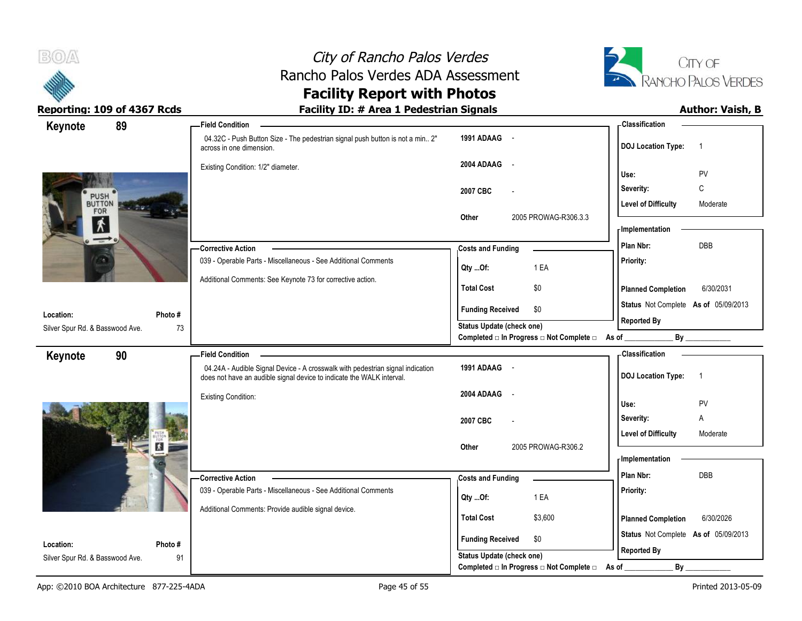



## **Facility Report with Photos**

| Keynote                         | 89      | <b>Field Condition</b>                                                                                                                                  |                                                  | <b>Classification</b>                       |
|---------------------------------|---------|---------------------------------------------------------------------------------------------------------------------------------------------------------|--------------------------------------------------|---------------------------------------------|
|                                 |         | 04.32C - Push Button Size - The pedestrian signal push button is not a min 2"<br>across in one dimension.                                               | 1991 ADAAG -                                     | <b>DOJ Location Type:</b><br>$\overline{1}$ |
|                                 |         | Existing Condition: 1/2" diameter.                                                                                                                      | 2004 ADAAG -                                     | Use:<br>PV                                  |
|                                 |         |                                                                                                                                                         |                                                  |                                             |
|                                 |         |                                                                                                                                                         | 2007 CBC                                         | C<br>Severity:                              |
| PUSH<br>BUTTON<br>FOR           |         |                                                                                                                                                         |                                                  | <b>Level of Difficulty</b><br>Moderate      |
| 术                               |         |                                                                                                                                                         | 2005 PROWAG-R306.3.3<br>Other                    | - Implementation                            |
| $\rightarrow$                   |         |                                                                                                                                                         |                                                  | <b>DBB</b><br>Plan Nbr:                     |
|                                 |         | -Corrective Action                                                                                                                                      | <b>Costs and Funding</b>                         |                                             |
|                                 |         | 039 - Operable Parts - Miscellaneous - See Additional Comments                                                                                          | 1 EA<br>Qty Of:                                  | Priority:                                   |
|                                 |         | Additional Comments: See Keynote 73 for corrective action.                                                                                              | <b>Total Cost</b><br>\$0                         | 6/30/2031<br><b>Planned Completion</b>      |
|                                 |         |                                                                                                                                                         | <b>Funding Received</b><br>\$0                   | Status Not Complete As of 05/09/2013        |
| Location:                       | Photo#  |                                                                                                                                                         | Status Update (check one)                        | <b>Reported By</b>                          |
| Silver Spur Rd. & Basswood Ave. | 73      |                                                                                                                                                         | Completed □ In Progress □ Not Complete □ As of _ | By                                          |
| Keynote                         | 90      | <b>Field Condition</b>                                                                                                                                  |                                                  | - Classification                            |
|                                 |         | 04.24A - Audible Signal Device - A crosswalk with pedestrian signal indication<br>does not have an audible signal device to indicate the WALK interval. | 1991 ADAAG -                                     | <b>DOJ Location Type:</b><br>$\overline{1}$ |
|                                 |         | <b>Existing Condition:</b>                                                                                                                              | 2004 ADAAG -                                     |                                             |
|                                 |         |                                                                                                                                                         |                                                  | PV<br>Use:                                  |
|                                 |         |                                                                                                                                                         | 2007 CBC                                         | Severity:<br>Α                              |
|                                 |         |                                                                                                                                                         |                                                  | <b>Level of Difficulty</b><br>Moderate      |
|                                 | и       |                                                                                                                                                         | Other<br>2005 PROWAG-R306.2                      | - Implementation                            |
|                                 |         |                                                                                                                                                         |                                                  |                                             |
|                                 |         | - Corrective Action                                                                                                                                     | <b>Costs and Funding</b>                         | DBB<br>Plan Nbr:                            |
|                                 |         | 039 - Operable Parts - Miscellaneous - See Additional Comments                                                                                          | 1 EA<br>Qty Of:                                  | Priority:                                   |
|                                 |         | Additional Comments: Provide audible signal device.                                                                                                     | <b>Total Cost</b><br>\$3,600                     |                                             |
|                                 |         |                                                                                                                                                         |                                                  | 6/30/2026<br><b>Planned Completion</b>      |
| Location:                       | Photo # |                                                                                                                                                         | \$0<br><b>Funding Received</b>                   | Status Not Complete As of 05/09/2013        |
| Silver Spur Rd. & Basswood Ave. | 91      |                                                                                                                                                         | Status Update (check one)                        | <b>Reported By</b>                          |
|                                 |         |                                                                                                                                                         | Completed □ In Progress □ Not Complete □ As of _ | $By$ <sub>—</sub>                           |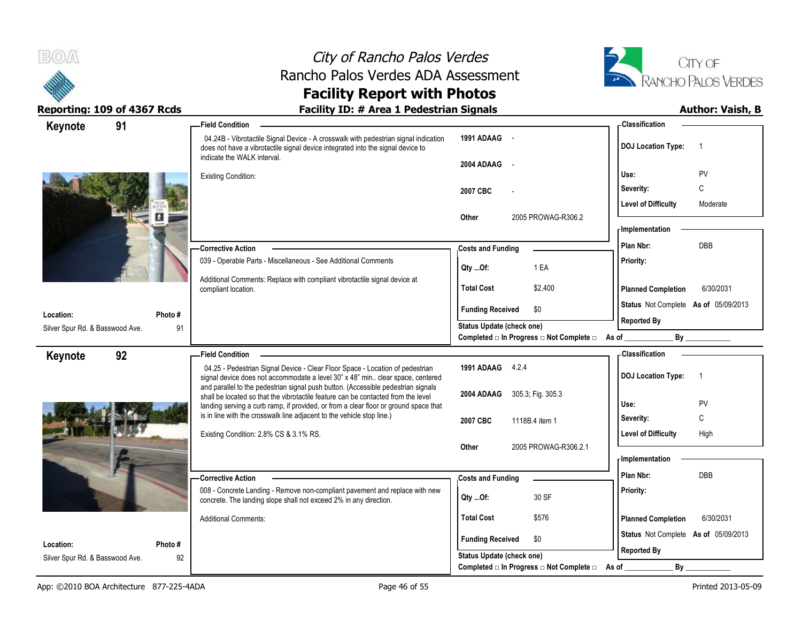



| Keynote                                      | 91            | -Field Condition                                                                                                                                                                                      |                                                                          | - Classification                            |
|----------------------------------------------|---------------|-------------------------------------------------------------------------------------------------------------------------------------------------------------------------------------------------------|--------------------------------------------------------------------------|---------------------------------------------|
|                                              |               | 04.24B - Vibrotactile Signal Device - A crosswalk with pedestrian signal indication<br>does not have a vibrotactile signal device integrated into the signal device to<br>indicate the WALK interval. | 1991 ADAAG -<br>2004 ADAAG                                               | <b>DOJ Location Type:</b><br>$\overline{1}$ |
|                                              |               | <b>Existing Condition:</b>                                                                                                                                                                            | $\sim$ $-$                                                               | PV<br>Use:                                  |
|                                              |               |                                                                                                                                                                                                       | 2007 CBC                                                                 | C<br>Severity:                              |
|                                              |               |                                                                                                                                                                                                       |                                                                          | <b>Level of Difficulty</b><br>Moderate      |
|                                              |               |                                                                                                                                                                                                       | 2005 PROWAG-R306.2<br>Other                                              |                                             |
|                                              |               |                                                                                                                                                                                                       |                                                                          | - Implementation                            |
|                                              |               | - Corrective Action                                                                                                                                                                                   | <b>Costs and Funding</b>                                                 | <b>DBB</b><br>Plan Nbr:                     |
|                                              |               | 039 - Operable Parts - Miscellaneous - See Additional Comments                                                                                                                                        | 1 EA<br>Qty Of:                                                          | Priority:                                   |
|                                              |               | Additional Comments: Replace with compliant vibrotactile signal device at<br>compliant location.                                                                                                      | <b>Total Cost</b><br>\$2,400                                             | 6/30/2031<br><b>Planned Completion</b>      |
|                                              |               |                                                                                                                                                                                                       | <b>Funding Received</b><br>\$0                                           | Status Not Complete As of 05/09/2013        |
| Location:<br>Silver Spur Rd. & Basswood Ave. | Photo #<br>91 |                                                                                                                                                                                                       | <b>Status Update (check one)</b>                                         | <b>Reported By</b>                          |
|                                              |               |                                                                                                                                                                                                       | Completed $\square$ In Progress $\square$ Not Complete $\square$ As of _ | By                                          |
| Keynote                                      | 92            | Field Condition -                                                                                                                                                                                     |                                                                          | - Classification                            |
|                                              |               | 04.25 - Pedestrian Signal Device - Clear Floor Space - Location of pedestrian<br>signal device does not accommodate a level 30" x 48" min clear space, centered                                       | 1991 ADAAG 4.2.4                                                         | <b>DOJ Location Type:</b><br>$\overline{1}$ |
|                                              |               | and parallel to the pedestrian signal push button. (Accessible pedestrian signals                                                                                                                     |                                                                          |                                             |
|                                              |               | shall be located so that the vibrotactile feature can be contacted from the level<br>landing serving a curb ramp, if provided, or from a clear floor or ground space that                             | 2004 ADAAG 305.3; Fig. 305.3                                             | Use:<br>PV                                  |
|                                              |               | is in line with the crosswalk line adjacent to the vehicle stop line.)                                                                                                                                | 2007 CBC<br>1118B.4 item 1                                               | C<br>Severity:                              |
|                                              |               |                                                                                                                                                                                                       |                                                                          |                                             |
|                                              |               | Existing Condition: 2.8% CS & 3.1% RS.                                                                                                                                                                |                                                                          | <b>Level of Difficulty</b><br>High          |
|                                              |               |                                                                                                                                                                                                       | 2005 PROWAG-R306.2.1<br>Other                                            |                                             |
|                                              |               |                                                                                                                                                                                                       |                                                                          | - Implementation                            |
|                                              |               | -Corrective Action                                                                                                                                                                                    | <b>Costs and Funding</b>                                                 | Plan Nbr:<br>DBB                            |
|                                              |               | 008 - Concrete Landing - Remove non-compliant pavement and replace with new<br>concrete. The landing slope shall not exceed 2% in any direction.                                                      | 30 SF<br>Qty Of:                                                         | Priority:                                   |
|                                              |               | <b>Additional Comments:</b>                                                                                                                                                                           | <b>Total Cost</b><br>\$576                                               | <b>Planned Completion</b><br>6/30/2031      |
| Location:                                    | Photo #       |                                                                                                                                                                                                       | <b>Funding Received</b><br>\$0                                           | Status Not Complete As of 05/09/2013        |
| Silver Spur Rd. & Basswood Ave.              | 92            |                                                                                                                                                                                                       | Status Update (check one)<br>Completed □ In Progress □ Not Complete □    | <b>Reported By</b><br>By                    |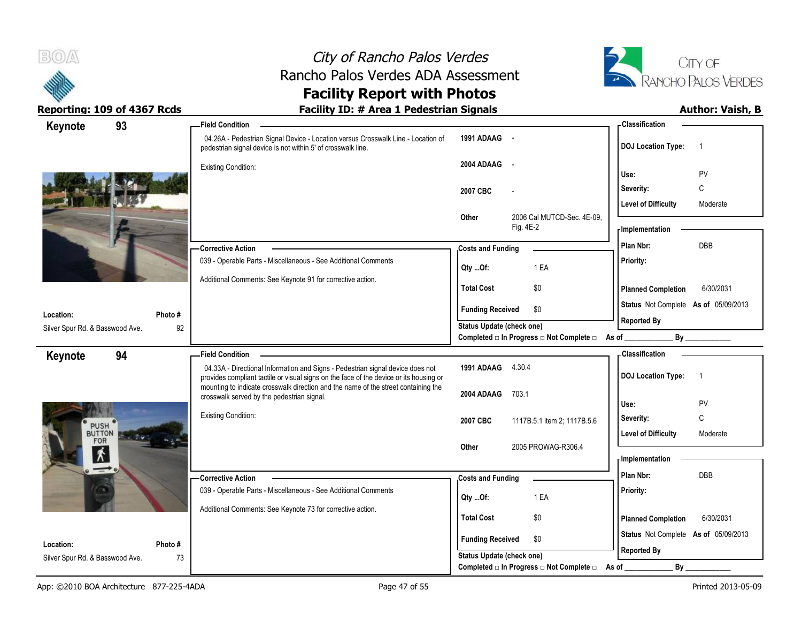



| Keynote                         | 93      | <b>Field Condition</b>                                                                                                                                                   |                                                                                      | <b>Classification</b>                                              |
|---------------------------------|---------|--------------------------------------------------------------------------------------------------------------------------------------------------------------------------|--------------------------------------------------------------------------------------|--------------------------------------------------------------------|
|                                 |         | 04.26A - Pedestrian Signal Device - Location versus Crosswalk Line - Location of<br>pedestrian signal device is not within 5' of crosswalk line.                         | 1991 ADAAG -                                                                         | <b>DOJ Location Type:</b><br>$\overline{1}$                        |
|                                 |         | <b>Existing Condition:</b>                                                                                                                                               | 2004 ADAAG<br>$\sim$                                                                 | PV<br>Use:                                                         |
|                                 |         |                                                                                                                                                                          | 2007 CBC                                                                             | C<br>Severity:                                                     |
|                                 |         |                                                                                                                                                                          |                                                                                      | <b>Level of Difficulty</b><br>Moderate                             |
|                                 |         |                                                                                                                                                                          | Other<br>2006 Cal MUTCD-Sec. 4E-09.<br>Fig. 4E-2                                     | - Implementation                                                   |
|                                 |         | - Corrective Action                                                                                                                                                      | <b>Costs and Funding</b>                                                             | <b>DBB</b><br>Plan Nbr:                                            |
|                                 |         | 039 - Operable Parts - Miscellaneous - See Additional Comments                                                                                                           | 1 EA<br>Qty Of:                                                                      | Priority:                                                          |
|                                 |         | Additional Comments: See Keynote 91 for corrective action.                                                                                                               | <b>Total Cost</b><br>\$0                                                             | <b>Planned Completion</b><br>6/30/2031                             |
| Location:                       | Photo#  |                                                                                                                                                                          | <b>Funding Received</b><br>\$0                                                       | Status Not Complete As of 05/09/2013                               |
| Silver Spur Rd. & Basswood Ave. | 92      |                                                                                                                                                                          | <b>Status Update (check one)</b><br>Completed □ In Progress □ Not Complete □ As of _ | <b>Reported By</b><br>By                                           |
| Keynote                         | 94      | <b>Field Condition</b>                                                                                                                                                   |                                                                                      | - Classification                                                   |
|                                 |         |                                                                                                                                                                          |                                                                                      |                                                                    |
|                                 |         | 04.33A - Directional Information and Signs - Pedestrian signal device does not<br>provides compliant tactile or visual signs on the face of the device or its housing or | 1991 ADAAG 4.30.4                                                                    | <b>DOJ Location Type:</b><br>$\overline{1}$                        |
|                                 |         | mounting to indicate crosswalk direction and the name of the street containing the<br>crosswalk served by the pedestrian signal.                                         | 2004 ADAAG<br>703.1                                                                  |                                                                    |
|                                 |         | <b>Existing Condition:</b>                                                                                                                                               |                                                                                      | Use:<br>PV                                                         |
| <b>PUSH</b><br><b>BUTTON</b>    |         |                                                                                                                                                                          | 2007 CBC<br>1117B.5.1 item 2; 1117B.5.6                                              | $\mathsf C$<br>Severity:<br><b>Level of Difficulty</b><br>Moderate |
| FOR                             |         |                                                                                                                                                                          | 2005 PROWAG-R306.4<br>Other                                                          |                                                                    |
| *<br>$\overline{\phantom{a}}$   |         |                                                                                                                                                                          |                                                                                      | - Implementation<br>Plan Nbr:<br><b>DBB</b>                        |
|                                 |         | -Corrective Action                                                                                                                                                       | <b>Costs and Funding</b>                                                             |                                                                    |
|                                 |         | 039 - Operable Parts - Miscellaneous - See Additional Comments                                                                                                           | 1 EA<br>Qty Of:                                                                      | Priority:                                                          |
|                                 |         | Additional Comments: See Keynote 73 for corrective action.                                                                                                               | <b>Total Cost</b><br>\$0                                                             | <b>Planned Completion</b><br>6/30/2031                             |
| Location:                       | Photo # |                                                                                                                                                                          | \$0<br><b>Funding Received</b>                                                       | Status Not Complete As of 05/09/2013                               |
| Silver Spur Rd. & Basswood Ave. | 73      |                                                                                                                                                                          | <b>Status Update (check one)</b><br>Completed □ In Progress □ Not Complete □         | <b>Reported By</b><br>$By_$<br>As of                               |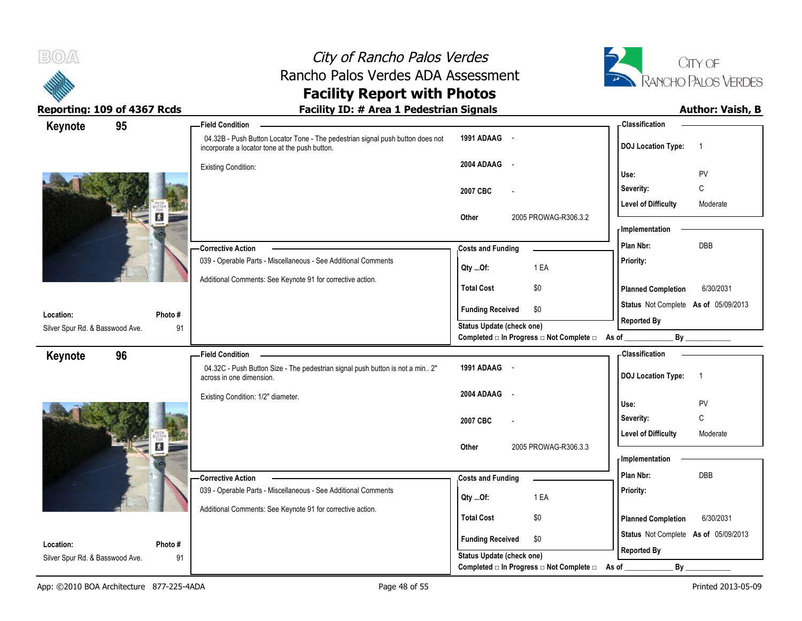



### **Facility Report with Photos** Reporting: 109 of 4367 Rcds **Facility ID: # Area 1 Pedestrian Signals Facility ID: # Area 1 Pedestrian Signals**

| Keynote                         | 95      | <b>Field Condition</b>                                                                                                           |                                                  | - Classification                            |
|---------------------------------|---------|----------------------------------------------------------------------------------------------------------------------------------|--------------------------------------------------|---------------------------------------------|
|                                 |         | 04.32B - Push Button Locator Tone - The pedestrian signal push button does not<br>incorporate a locator tone at the push button. | 1991 ADAAG -                                     | <b>DOJ Location Type:</b><br>$\overline{1}$ |
|                                 |         | <b>Existing Condition:</b>                                                                                                       | 2004 ADAAG -                                     |                                             |
|                                 |         |                                                                                                                                  |                                                  | PV<br>Use:                                  |
|                                 |         |                                                                                                                                  | 2007 CBC                                         | $\mathsf C$<br>Severity:                    |
|                                 |         |                                                                                                                                  |                                                  | <b>Level of Difficulty</b><br>Moderate      |
|                                 |         |                                                                                                                                  | 2005 PROWAG-R306.3.2<br>Other                    | - Implementation                            |
|                                 |         | -Corrective Action                                                                                                               |                                                  | <b>DBB</b><br>Plan Nbr:                     |
|                                 |         | 039 - Operable Parts - Miscellaneous - See Additional Comments                                                                   | <b>Costs and Funding</b>                         | Priority:                                   |
|                                 |         |                                                                                                                                  | 1 EA<br>Qty Of:                                  |                                             |
|                                 |         | Additional Comments: See Keynote 91 for corrective action.                                                                       | \$0<br><b>Total Cost</b>                         | <b>Planned Completion</b><br>6/30/2031      |
| Location:                       | Photo # |                                                                                                                                  | \$0<br><b>Funding Received</b>                   | Status Not Complete As of 05/09/2013        |
| Silver Spur Rd. & Basswood Ave. | 91      |                                                                                                                                  | <b>Status Update (check one)</b>                 | <b>Reported By</b>                          |
|                                 |         |                                                                                                                                  | Completed □ In Progress □ Not Complete □ As of _ | By                                          |
| Keynote                         | 96      | <b>Field Condition</b>                                                                                                           |                                                  | <b>Classification</b>                       |
|                                 |         | 04.32C - Push Button Size - The pedestrian signal push button is not a min 2"<br>across in one dimension.                        | 1991 ADAAG -                                     | <b>DOJ Location Type:</b><br>$\overline{1}$ |
|                                 |         | Existing Condition: 1/2" diameter.                                                                                               | 2004 ADAAG -                                     |                                             |
|                                 |         |                                                                                                                                  |                                                  | PV<br>Use:                                  |
|                                 |         |                                                                                                                                  | 2007 CBC                                         | C<br>Severity:                              |
|                                 |         |                                                                                                                                  |                                                  | <b>Level of Difficulty</b><br>Moderate      |
|                                 | и       |                                                                                                                                  | 2005 PROWAG-R306.3.3<br>Other                    | - Implementation                            |
|                                 |         |                                                                                                                                  |                                                  | Plan Nbr:<br>DBB                            |
|                                 |         | - Corrective Action<br>039 - Operable Parts - Miscellaneous - See Additional Comments                                            | <b>Costs and Funding</b>                         | Priority:                                   |
|                                 |         |                                                                                                                                  | 1 EA<br>Qty Of:                                  |                                             |
|                                 |         | Additional Comments: See Keynote 91 for corrective action.                                                                       | <b>Total Cost</b><br>\$0                         | <b>Planned Completion</b><br>6/30/2031      |
|                                 |         |                                                                                                                                  |                                                  | Status Not Complete As of 05/09/2013        |
| Location:                       | Photo#  |                                                                                                                                  | \$0<br><b>Funding Received</b>                   | <b>Reported By</b>                          |
| Silver Spur Rd. & Basswood Ave. | 91      |                                                                                                                                  | Status Update (check one)                        |                                             |
|                                 |         |                                                                                                                                  | Completed □ In Progress □ Not Complete □ As of _ | $By$ <sub>—</sub>                           |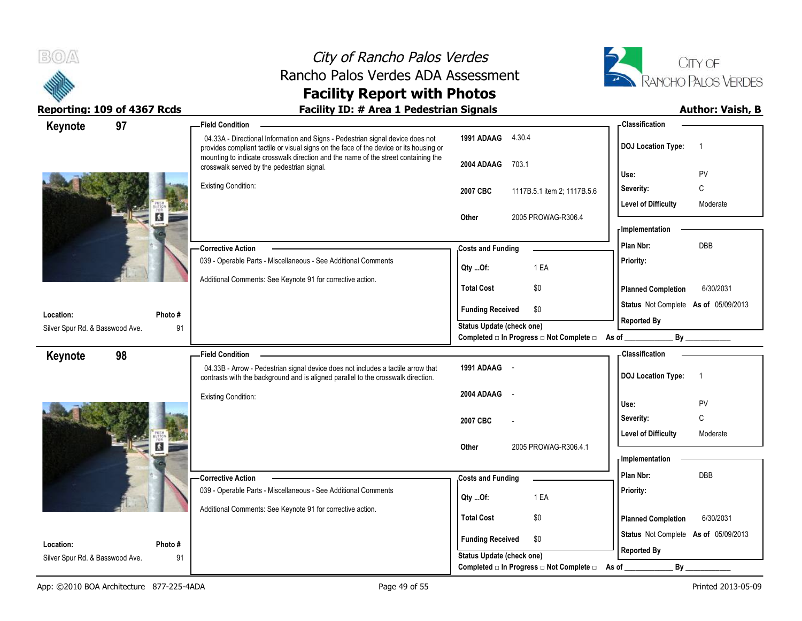



| Keynote                         | 97 |         | <b>Field Condition</b>                                                                                                                                                   |                                                                              | - Classification                            |
|---------------------------------|----|---------|--------------------------------------------------------------------------------------------------------------------------------------------------------------------------|------------------------------------------------------------------------------|---------------------------------------------|
|                                 |    |         | 04.33A - Directional Information and Signs - Pedestrian signal device does not<br>provides compliant tactile or visual signs on the face of the device or its housing or | 1991 ADAAG 4.30.4                                                            | <b>DOJ Location Type:</b><br>-1             |
|                                 |    |         | mounting to indicate crosswalk direction and the name of the street containing the<br>crosswalk served by the pedestrian signal.                                         | 2004 ADAAG<br>703.1                                                          | PV<br>Use:                                  |
|                                 |    |         | <b>Existing Condition:</b>                                                                                                                                               | 2007 CBC<br>1117B.5.1 item 2; 1117B.5.6                                      | C<br>Severity:                              |
|                                 |    |         |                                                                                                                                                                          |                                                                              | <b>Level of Difficulty</b><br>Moderate      |
|                                 |    |         |                                                                                                                                                                          | 2005 PROWAG-R306.4<br>Other                                                  |                                             |
|                                 |    |         |                                                                                                                                                                          |                                                                              | - Implementation                            |
|                                 |    |         | -Corrective Action                                                                                                                                                       | <b>Costs and Funding</b>                                                     | DBB<br>Plan Nbr:                            |
|                                 |    |         | 039 - Operable Parts - Miscellaneous - See Additional Comments                                                                                                           | 1 EA<br>Qty Of:                                                              | Priority:                                   |
|                                 |    |         | Additional Comments: See Keynote 91 for corrective action.                                                                                                               | <b>Total Cost</b><br>\$0                                                     | <b>Planned Completion</b><br>6/30/2031      |
|                                 |    |         |                                                                                                                                                                          | <b>Funding Received</b><br>\$0                                               | Status Not Complete As of 05/09/2013        |
| Location:                       |    | Photo # |                                                                                                                                                                          | <b>Status Update (check one)</b>                                             | <b>Reported By</b>                          |
| Silver Spur Rd. & Basswood Ave. |    | 91      |                                                                                                                                                                          | Completed □ In Progress □ Not Complete □ As of _                             |                                             |
| Keynote                         | 98 |         | <b>Field Condition</b>                                                                                                                                                   |                                                                              | - Classification                            |
|                                 |    |         | 04.33B - Arrow - Pedestrian signal device does not includes a tactile arrow that<br>contrasts with the background and is aligned parallel to the crosswalk direction.    | 1991 ADAAG -                                                                 | <b>DOJ Location Type:</b><br>$\overline{1}$ |
|                                 |    |         | <b>Existing Condition:</b>                                                                                                                                               | 2004 ADAAG<br>$\sim$                                                         | Use:<br><b>PV</b>                           |
|                                 |    |         |                                                                                                                                                                          |                                                                              | $\mathbb C$<br>Severity:                    |
|                                 |    |         |                                                                                                                                                                          | 2007 CBC                                                                     | <b>Level of Difficulty</b><br>Moderate      |
|                                 |    | и       |                                                                                                                                                                          | 2005 PROWAG-R306.4.1<br>Other                                                |                                             |
|                                 |    |         |                                                                                                                                                                          |                                                                              | - Implementation                            |
|                                 |    |         | -Corrective Action                                                                                                                                                       | <b>Costs and Funding</b>                                                     | Plan Nbr:<br>DBB                            |
|                                 |    |         | 039 - Operable Parts - Miscellaneous - See Additional Comments                                                                                                           | 1 EA<br>Qty Of:                                                              | Priority:                                   |
|                                 |    |         | Additional Comments: See Keynote 91 for corrective action.                                                                                                               |                                                                              |                                             |
|                                 |    |         |                                                                                                                                                                          | <b>Total Cost</b><br>\$0                                                     | 6/30/2031<br><b>Planned Completion</b>      |
|                                 |    |         |                                                                                                                                                                          |                                                                              |                                             |
| Location:                       |    | Photo # |                                                                                                                                                                          | <b>Funding Received</b><br>\$0                                               | Status Not Complete As of 05/09/2013        |
| Silver Spur Rd. & Basswood Ave. |    | 91      |                                                                                                                                                                          | <b>Status Update (check one)</b><br>Completed □ In Progress □ Not Complete □ | <b>Reported By</b><br>By<br>As of           |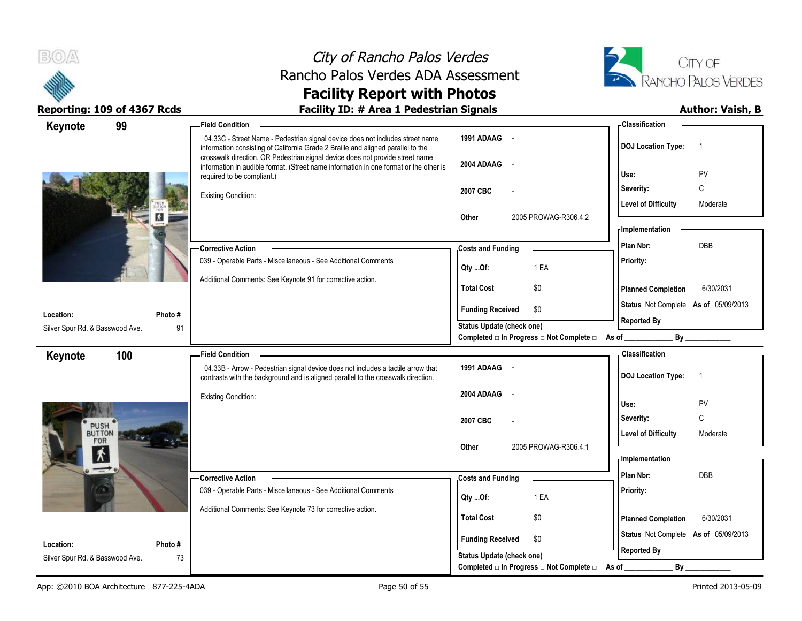



| Keynote                                      | 99            | <b>Field Condition</b>                                                                                                                                                                                                                             |                                                | - Classification                            |
|----------------------------------------------|---------------|----------------------------------------------------------------------------------------------------------------------------------------------------------------------------------------------------------------------------------------------------|------------------------------------------------|---------------------------------------------|
|                                              |               | 04.33C - Street Name - Pedestrian signal device does not includes street name<br>information consisting of California Grade 2 Braille and aligned parallel to the<br>crosswalk direction. OR Pedestrian signal device does not provide street name | 1991 ADAAG -                                   | <b>DOJ</b> Location Type:<br>$\overline{1}$ |
|                                              |               | information in audible format. (Street name information in one format or the other is<br>required to be compliant.)                                                                                                                                | 2004 ADAAG<br>$\sim$                           | PV<br>Use:                                  |
|                                              |               | <b>Existing Condition:</b>                                                                                                                                                                                                                         | 2007 CBC                                       | Severity:<br>C                              |
|                                              | и             |                                                                                                                                                                                                                                                    | 2005 PROWAG-R306.4.2<br>Other                  | <b>Level of Difficulty</b><br>Moderate      |
|                                              |               |                                                                                                                                                                                                                                                    |                                                | - Implementation                            |
|                                              |               | -Corrective Action                                                                                                                                                                                                                                 | <b>Costs and Funding</b>                       | <b>DBB</b><br>Plan Nbr:                     |
|                                              |               | 039 - Operable Parts - Miscellaneous - See Additional Comments                                                                                                                                                                                     | Qty Of:<br>1 EA                                | Priority:                                   |
|                                              |               | Additional Comments: See Keynote 91 for corrective action.                                                                                                                                                                                         | <b>Total Cost</b><br>\$0                       | <b>Planned Completion</b><br>6/30/2031      |
|                                              |               |                                                                                                                                                                                                                                                    | <b>Funding Received</b><br>\$0                 | Status Not Complete As of 05/09/2013        |
| Location:<br>Silver Spur Rd. & Basswood Ave. | Photo #<br>91 |                                                                                                                                                                                                                                                    | <b>Status Update (check one)</b>               | <b>Reported By</b>                          |
|                                              |               |                                                                                                                                                                                                                                                    | Completed □ In Progress □ Not Complete □ As of | By                                          |
| Keynote                                      | 100           | <b>Field Condition</b>                                                                                                                                                                                                                             |                                                | - Classification                            |
|                                              |               | 04.33B - Arrow - Pedestrian signal device does not includes a tactile arrow that<br>contrasts with the background and is aligned parallel to the crosswalk direction.                                                                              | 1991 ADAAG -                                   | <b>DOJ Location Type:</b><br>$\overline{1}$ |
|                                              |               | <b>Existing Condition:</b>                                                                                                                                                                                                                         | 2004 ADAAG<br>$\overline{\phantom{a}}$         | PV<br>Use:                                  |
|                                              |               |                                                                                                                                                                                                                                                    | 2007 CBC                                       | C<br>Severity:                              |
| <b>PUSH</b><br>BUTTON<br>FOR                 |               |                                                                                                                                                                                                                                                    | 2005 PROWAG-R306.4.1                           | <b>Level of Difficulty</b><br>Moderate      |
| $\bm{\hat{\pi}}$                             |               |                                                                                                                                                                                                                                                    | Other                                          | - Implementation                            |
| $\rightarrow$                                |               | - Corrective Action                                                                                                                                                                                                                                | <b>Costs and Funding</b>                       | <b>DBB</b><br>Plan Nbr:                     |
|                                              |               | 039 - Operable Parts - Miscellaneous - See Additional Comments                                                                                                                                                                                     |                                                | Priority:                                   |
|                                              |               | Additional Comments: See Keynote 73 for corrective action.                                                                                                                                                                                         | 1 EA<br>Qty Of:                                |                                             |
|                                              |               |                                                                                                                                                                                                                                                    | <b>Total Cost</b><br>\$0                       | <b>Planned Completion</b><br>6/30/2031      |
| Location:                                    | Photo#        |                                                                                                                                                                                                                                                    | <b>Funding Received</b><br>\$0                 | Status Not Complete As of 05/09/2013        |
| Silver Spur Rd. & Basswood Ave.              | 73            |                                                                                                                                                                                                                                                    | <b>Status Update (check one)</b>               | <b>Reported By</b>                          |
|                                              |               |                                                                                                                                                                                                                                                    | Completed □ In Progress □ Not Complete □       | By<br>As of                                 |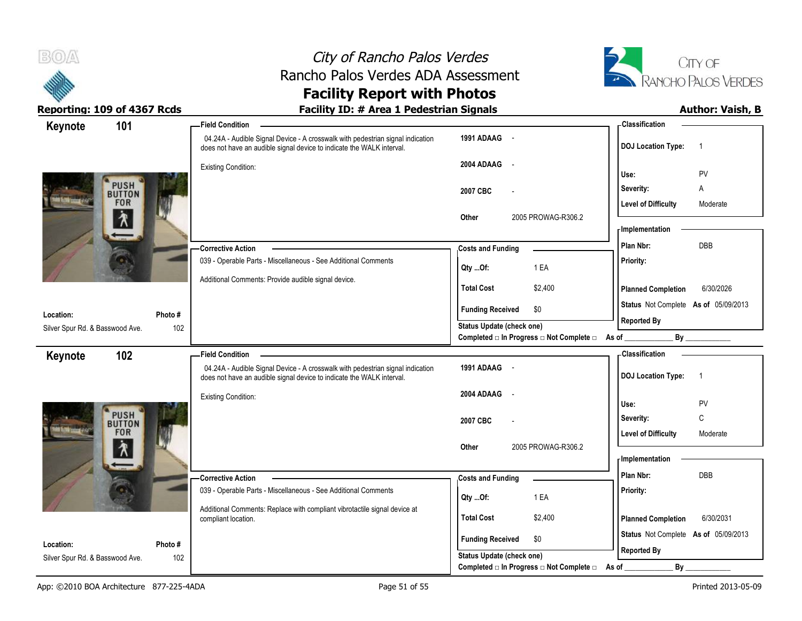



### **Facility Report with Photos** Reporting: 109 of 4367 Rcds **Facility ID: # Area 1 Pedestrian Signals Facility ID: # Area 1 Pedestrian Signals**

| 101<br>Keynote                               |               | <b>Field Condition</b>                                                                                                                                  |                                                                       | - Classification                            |
|----------------------------------------------|---------------|---------------------------------------------------------------------------------------------------------------------------------------------------------|-----------------------------------------------------------------------|---------------------------------------------|
|                                              |               | 04.24A - Audible Signal Device - A crosswalk with pedestrian signal indication<br>does not have an audible signal device to indicate the WALK interval. | 1991 ADAAG -                                                          | <b>DOJ Location Type:</b><br>$\overline{1}$ |
|                                              |               | <b>Existing Condition:</b>                                                                                                                              | 2004 ADAAG -                                                          | PV<br>Use:                                  |
| <b>PUSH</b>                                  |               |                                                                                                                                                         |                                                                       | Severity:<br>Α                              |
| <b>BUTTON</b><br><b>FOR</b>                  |               |                                                                                                                                                         | 2007 CBC                                                              | <b>Level of Difficulty</b><br>Moderate      |
| 介                                            |               |                                                                                                                                                         | 2005 PROWAG-R306.2<br>Other                                           | - Implementation                            |
|                                              |               | <b>Corrective Action</b>                                                                                                                                | <b>Costs and Funding</b>                                              | DBB<br>Plan Nbr:                            |
|                                              |               | 039 - Operable Parts - Miscellaneous - See Additional Comments                                                                                          | 1 EA<br>Qty Of:                                                       | Priority:                                   |
|                                              |               | Additional Comments: Provide audible signal device.                                                                                                     | <b>Total Cost</b><br>\$2,400                                          | 6/30/2026<br><b>Planned Completion</b>      |
|                                              |               |                                                                                                                                                         | <b>Funding Received</b><br>\$0                                        | Status Not Complete As of 05/09/2013        |
| Location:<br>Silver Spur Rd. & Basswood Ave. | Photo#<br>102 |                                                                                                                                                         | <b>Status Update (check one)</b>                                      | <b>Reported By</b>                          |
|                                              |               |                                                                                                                                                         | Completed $\Box$ In Progress $\Box$ Not Complete $\Box$ As of _       | By                                          |
| 102<br>Keynote                               |               | <b>Field Condition</b>                                                                                                                                  |                                                                       | - Classification                            |
|                                              |               | 04.24A - Audible Signal Device - A crosswalk with pedestrian signal indication<br>does not have an audible signal device to indicate the WALK interval. | 1991 ADAAG -                                                          | <b>DOJ Location Type:</b><br>$\overline{1}$ |
|                                              |               | <b>Existing Condition:</b>                                                                                                                              | 2004 ADAAG<br>$\sim$                                                  |                                             |
|                                              |               |                                                                                                                                                         |                                                                       | PV<br>Use:                                  |
| <b>PUSH</b>                                  |               |                                                                                                                                                         | 2007 CBC                                                              | C<br>Severity:                              |
| <b>FOR</b>                                   |               |                                                                                                                                                         |                                                                       | <b>Level of Difficulty</b><br>Moderate      |
| 介                                            |               |                                                                                                                                                         | 2005 PROWAG-R306.2<br>Other                                           | - Implementation                            |
|                                              |               |                                                                                                                                                         |                                                                       | Plan Nbr:<br><b>DBB</b>                     |
|                                              |               | Corrective Action<br>039 - Operable Parts - Miscellaneous - See Additional Comments                                                                     | <b>Costs and Funding</b>                                              | Priority:                                   |
|                                              |               |                                                                                                                                                         | 1 EA<br>Qty Of:                                                       |                                             |
|                                              |               | Additional Comments: Replace with compliant vibrotactile signal device at                                                                               |                                                                       |                                             |
|                                              |               |                                                                                                                                                         | <b>Total Cost</b><br>\$2,400                                          | 6/30/2031                                   |
|                                              |               | compliant location.                                                                                                                                     |                                                                       | <b>Planned Completion</b>                   |
| Location:                                    | Photo #       |                                                                                                                                                         | <b>Funding Received</b><br>\$0                                        | Status Not Complete As of 05/09/2013        |
| Silver Spur Rd. & Basswood Ave.              | 102           |                                                                                                                                                         | Status Update (check one)<br>Completed □ In Progress □ Not Complete □ | <b>Reported By</b><br>By<br>As of           |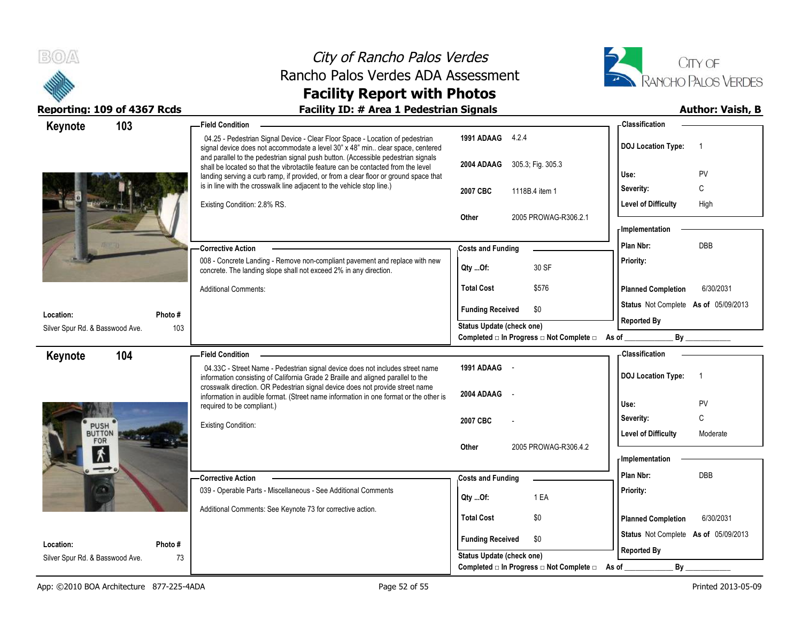



| 103<br>Keynote                         | <b>Field Condition</b>                                                                                                                                                                                                                                         |                                                   | - Classification                            |  |
|----------------------------------------|----------------------------------------------------------------------------------------------------------------------------------------------------------------------------------------------------------------------------------------------------------------|---------------------------------------------------|---------------------------------------------|--|
|                                        | 04.25 - Pedestrian Signal Device - Clear Floor Space - Location of pedestrian<br>signal device does not accommodate a level 30" x 48" min clear space, centered                                                                                                | 1991 ADAAG 4.2.4                                  | <b>DOJ Location Type:</b><br>$\overline{1}$ |  |
|                                        | and parallel to the pedestrian signal push button. (Accessible pedestrian signals<br>shall be located so that the vibrotactile feature can be contacted from the level<br>landing serving a curb ramp, if provided, or from a clear floor or ground space that | 2004 ADAAG<br>305.3; Fig. 305.3                   | PV<br>Use:                                  |  |
|                                        | is in line with the crosswalk line adjacent to the vehicle stop line.)                                                                                                                                                                                         | 2007 CBC<br>1118B.4 item 1                        | C<br>Severity:                              |  |
|                                        | Existing Condition: 2.8% RS.                                                                                                                                                                                                                                   |                                                   | <b>Level of Difficulty</b><br>High          |  |
|                                        |                                                                                                                                                                                                                                                                | <b>Other</b><br>2005 PROWAG-R306.2.1              |                                             |  |
|                                        |                                                                                                                                                                                                                                                                |                                                   | - Implementation                            |  |
|                                        | <b>Corrective Action</b>                                                                                                                                                                                                                                       | <b>Costs and Funding</b>                          | <b>DBB</b><br>Plan Nbr:                     |  |
|                                        | 008 - Concrete Landing - Remove non-compliant pavement and replace with new<br>concrete. The landing slope shall not exceed 2% in any direction.                                                                                                               | 30 SF<br>Qty Of:                                  | Priority:                                   |  |
|                                        | <b>Additional Comments:</b>                                                                                                                                                                                                                                    | \$576<br><b>Total Cost</b>                        | <b>Planned Completion</b><br>6/30/2031      |  |
| Location:<br>Photo #                   |                                                                                                                                                                                                                                                                | <b>Funding Received</b><br>\$0                    | Status Not Complete As of 05/09/2013        |  |
| 103<br>Silver Spur Rd. & Basswood Ave. |                                                                                                                                                                                                                                                                | <b>Status Update (check one)</b>                  | <b>Reported By</b>                          |  |
|                                        |                                                                                                                                                                                                                                                                | Completed □ In Progress □ Not Complete □ As of __ | $\mathsf{By}$                               |  |
| 104<br>Keynote                         | <b>Field Condition</b>                                                                                                                                                                                                                                         |                                                   | - Classification                            |  |
|                                        | 04.33C - Street Name - Pedestrian signal device does not includes street name<br>information consisting of California Grade 2 Braille and aligned parallel to the                                                                                              | 1991 ADAAG                                        | <b>DOJ Location Type:</b><br>$\overline{1}$ |  |
|                                        | crosswalk direction. OR Pedestrian signal device does not provide street name<br>information in audible format. (Street name information in one format or the other is                                                                                         | 2004 ADAAG                                        |                                             |  |
|                                        | required to be compliant.)                                                                                                                                                                                                                                     |                                                   | PV<br>Use:                                  |  |
| <b>PUSH</b>                            | <b>Existing Condition:</b>                                                                                                                                                                                                                                     | 2007 CBC                                          | C<br>Severity:                              |  |
| <b>BUTTON</b><br>FOR                   |                                                                                                                                                                                                                                                                | 2005 PROWAG-R306.4.2<br><b>Other</b>              | <b>Level of Difficulty</b><br>Moderate      |  |
| $\bm{\kappa}$                          |                                                                                                                                                                                                                                                                |                                                   | - Implementation                            |  |
| $\rightarrow$                          | -Corrective Action                                                                                                                                                                                                                                             | <b>Costs and Funding</b>                          | Plan Nbr:<br><b>DBB</b>                     |  |
|                                        | 039 - Operable Parts - Miscellaneous - See Additional Comments                                                                                                                                                                                                 |                                                   | Priority:                                   |  |
|                                        | Additional Comments: See Keynote 73 for corrective action.                                                                                                                                                                                                     | 1 EA<br>Qty Of:                                   |                                             |  |
|                                        |                                                                                                                                                                                                                                                                | <b>Total Cost</b><br>\$0                          | <b>Planned Completion</b><br>6/30/2031      |  |
| Location:<br>Photo #                   |                                                                                                                                                                                                                                                                | <b>Funding Received</b><br>\$0                    | Status Not Complete As of 05/09/2013        |  |
|                                        |                                                                                                                                                                                                                                                                |                                                   | <b>Reported By</b>                          |  |
| Silver Spur Rd. & Basswood Ave.        | 73                                                                                                                                                                                                                                                             | <b>Status Update (check one)</b>                  |                                             |  |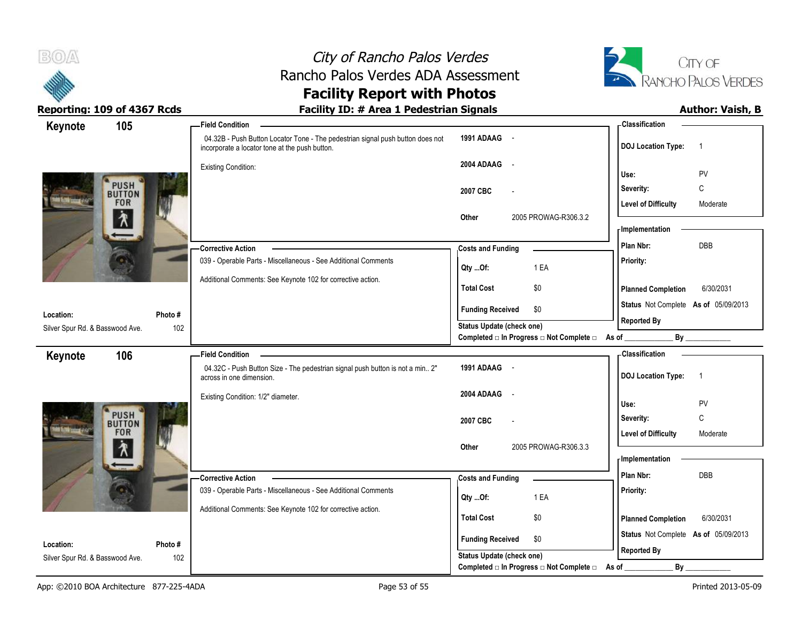



## **Facility Report with Photos**

| 105<br>Keynote                  |         | <b>Field Condition</b>                                                                                                           |                                                         | - Classification                            |
|---------------------------------|---------|----------------------------------------------------------------------------------------------------------------------------------|---------------------------------------------------------|---------------------------------------------|
|                                 |         | 04.32B - Push Button Locator Tone - The pedestrian signal push button does not<br>incorporate a locator tone at the push button. | 1991 ADAAG -                                            | <b>DOJ Location Type:</b><br>$\overline{1}$ |
|                                 |         | <b>Existing Condition:</b>                                                                                                       | 2004 ADAAG -                                            |                                             |
|                                 |         |                                                                                                                                  |                                                         | PV<br>Use:                                  |
| <b>PUSH</b>                     |         |                                                                                                                                  | 2007 CBC                                                | C<br>Severity:                              |
| <b>FOR</b>                      |         |                                                                                                                                  |                                                         | <b>Level of Difficulty</b><br>Moderate      |
| ∕₹                              |         |                                                                                                                                  | 2005 PROWAG-R306.3.2<br>Other                           | - Implementation                            |
|                                 |         |                                                                                                                                  |                                                         | DBB<br>Plan Nbr:                            |
|                                 |         | <b>Corrective Action</b>                                                                                                         | <b>Costs and Funding</b>                                |                                             |
|                                 |         | 039 - Operable Parts - Miscellaneous - See Additional Comments                                                                   | 1 EA<br>Qty Of:                                         | Priority:                                   |
|                                 |         | Additional Comments: See Keynote 102 for corrective action.                                                                      | \$0<br><b>Total Cost</b>                                | 6/30/2031<br><b>Planned Completion</b>      |
|                                 |         |                                                                                                                                  |                                                         | Status Not Complete As of 05/09/2013        |
| Location:                       | Photo # |                                                                                                                                  | <b>Funding Received</b><br>\$0                          | <b>Reported By</b>                          |
| Silver Spur Rd. & Basswood Ave. | 102     |                                                                                                                                  | <b>Status Update (check one)</b>                        |                                             |
|                                 |         |                                                                                                                                  | Completed □ In Progress □ Not Complete □ As of ________ |                                             |
| 106<br>Keynote                  |         | <b>Field Condition</b>                                                                                                           |                                                         | <b>Classification</b>                       |
|                                 |         | 04.32C - Push Button Size - The pedestrian signal push button is not a min 2"<br>across in one dimension.                        | 1991 ADAAG -                                            | <b>DOJ Location Type:</b><br>$\overline{1}$ |
|                                 |         | Existing Condition: 1/2" diameter.                                                                                               | 2004 ADAAG -                                            |                                             |
|                                 |         |                                                                                                                                  |                                                         | PV<br>Use:                                  |
| <b>PUSH</b>                     |         |                                                                                                                                  | 2007 CBC                                                | $\mathbb C$<br>Severity:                    |
| <b>FOR</b>                      |         |                                                                                                                                  |                                                         | <b>Level of Difficulty</b><br>Moderate      |
| ∕እ                              |         |                                                                                                                                  | 2005 PROWAG-R306.3.3<br>Other                           | - Implementation                            |
|                                 |         |                                                                                                                                  |                                                         | Plan Nbr:<br>DBB                            |
|                                 |         | - Corrective Action<br>039 - Operable Parts - Miscellaneous - See Additional Comments                                            | <b>Costs and Funding</b>                                |                                             |
|                                 |         |                                                                                                                                  | 1 EA<br>Qty  Of:                                        | Priority:                                   |
|                                 |         | Additional Comments: See Keynote 102 for corrective action.                                                                      | <b>Total Cost</b><br>\$0                                | <b>Planned Completion</b><br>6/30/2031      |
|                                 |         |                                                                                                                                  |                                                         |                                             |
| Location:                       | Photo # |                                                                                                                                  | <b>Funding Received</b><br>\$0                          | Status Not Complete As of 05/09/2013        |
| Silver Spur Rd. & Basswood Ave. | 102     |                                                                                                                                  | <b>Status Update (check one)</b>                        | <b>Reported By</b>                          |
|                                 |         |                                                                                                                                  | Completed □ In Progress □ Not Complete □                | As of<br>$By$ <sub>—</sub>                  |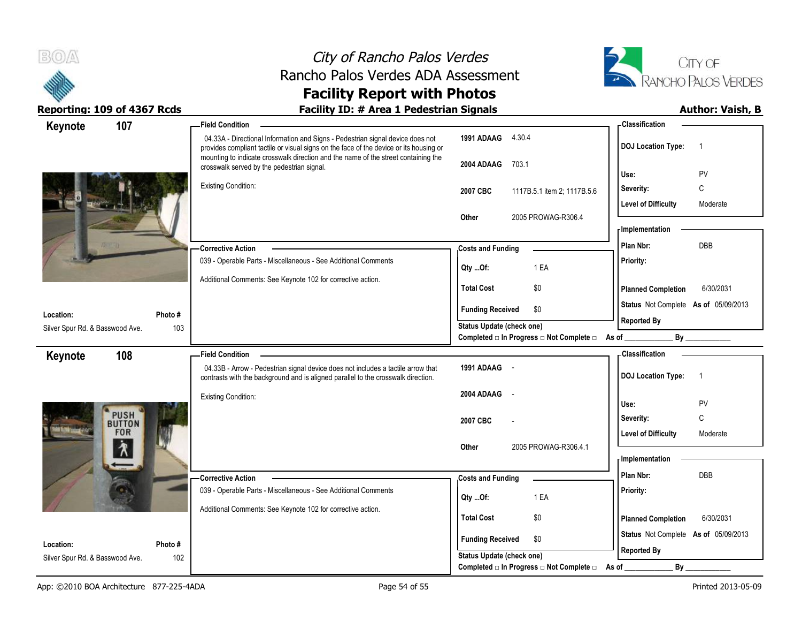



| Keynote                         | 107                          | -Field Condition                                                                                                                                                                                                                                               |                                                                                      | - Classification                            |
|---------------------------------|------------------------------|----------------------------------------------------------------------------------------------------------------------------------------------------------------------------------------------------------------------------------------------------------------|--------------------------------------------------------------------------------------|---------------------------------------------|
|                                 |                              | 04.33A - Directional Information and Signs - Pedestrian signal device does not<br>provides compliant tactile or visual signs on the face of the device or its housing or<br>mounting to indicate crosswalk direction and the name of the street containing the | 1991 ADAAG<br>4.30.4                                                                 | <b>DOJ Location Type:</b><br>$\overline{1}$ |
|                                 |                              | crosswalk served by the pedestrian signal.                                                                                                                                                                                                                     | 2004 ADAAG<br>703.1                                                                  | PV<br>Use:                                  |
|                                 |                              | <b>Existing Condition:</b>                                                                                                                                                                                                                                     | 2007 CBC<br>1117B.5.1 item 2; 1117B.5.6                                              | C<br>Severity:                              |
|                                 |                              |                                                                                                                                                                                                                                                                |                                                                                      | <b>Level of Difficulty</b><br>Moderate      |
|                                 |                              |                                                                                                                                                                                                                                                                | 2005 PROWAG-R306.4<br>Other                                                          |                                             |
|                                 |                              |                                                                                                                                                                                                                                                                |                                                                                      | - Implementation                            |
|                                 |                              | <b>Corrective Action</b>                                                                                                                                                                                                                                       | <b>Costs and Funding</b>                                                             | <b>DBB</b><br>Plan Nbr:                     |
|                                 |                              | 039 - Operable Parts - Miscellaneous - See Additional Comments                                                                                                                                                                                                 | 1 EA<br>Qty Of:                                                                      | Priority:                                   |
|                                 |                              | Additional Comments: See Keynote 102 for corrective action.                                                                                                                                                                                                    | <b>Total Cost</b><br>\$0                                                             | <b>Planned Completion</b><br>6/30/2031      |
|                                 |                              |                                                                                                                                                                                                                                                                |                                                                                      | Status Not Complete As of 05/09/2013        |
| Location:                       | Photo #                      |                                                                                                                                                                                                                                                                | <b>Funding Received</b><br>\$0                                                       | <b>Reported By</b>                          |
| Silver Spur Rd. & Basswood Ave. | 103                          |                                                                                                                                                                                                                                                                | <b>Status Update (check one)</b><br>Completed □ In Progress □ Not Complete □ As of _ |                                             |
| Keynote                         | 108                          | <b>Field Condition</b>                                                                                                                                                                                                                                         |                                                                                      | - Classification                            |
|                                 |                              | 04.33B - Arrow - Pedestrian signal device does not includes a tactile arrow that<br>contrasts with the background and is aligned parallel to the crosswalk direction.                                                                                          | 1991 ADAAG -                                                                         | <b>DOJ</b> Location Type:<br>$\overline{1}$ |
|                                 |                              | <b>Existing Condition:</b>                                                                                                                                                                                                                                     | 2004 ADAAG<br>$\sim$                                                                 | Use:<br>PV                                  |
|                                 |                              |                                                                                                                                                                                                                                                                |                                                                                      |                                             |
|                                 |                              |                                                                                                                                                                                                                                                                |                                                                                      |                                             |
|                                 | <b>PUSH</b><br><b>BUTTON</b> |                                                                                                                                                                                                                                                                | 2007 CBC                                                                             | C<br>Severity:                              |
|                                 | <b>FOR</b>                   |                                                                                                                                                                                                                                                                | 2005 PROWAG-R306.4.1<br>Other                                                        | <b>Level of Difficulty</b><br>Moderate      |
|                                 | $\lambda$                    |                                                                                                                                                                                                                                                                |                                                                                      | - Implementation                            |
|                                 |                              | <b>Corrective Action</b>                                                                                                                                                                                                                                       | <b>Costs and Funding</b>                                                             | Plan Nbr:<br>DBB                            |
|                                 |                              | 039 - Operable Parts - Miscellaneous - See Additional Comments                                                                                                                                                                                                 | 1 EA                                                                                 | Priority:                                   |
|                                 |                              | Additional Comments: See Keynote 102 for corrective action.                                                                                                                                                                                                    | Qty Of:                                                                              |                                             |
|                                 |                              |                                                                                                                                                                                                                                                                | <b>Total Cost</b><br>\$0                                                             | <b>Planned Completion</b><br>6/30/2031      |
| Location:                       | Photo #                      |                                                                                                                                                                                                                                                                | <b>Funding Received</b><br>\$0                                                       | Status Not Complete As of 05/09/2013        |
| Silver Spur Rd. & Basswood Ave. | 102                          |                                                                                                                                                                                                                                                                | <b>Status Update (check one)</b><br>Completed □ In Progress □ Not Complete □         | <b>Reported By</b><br>By<br>As of           |